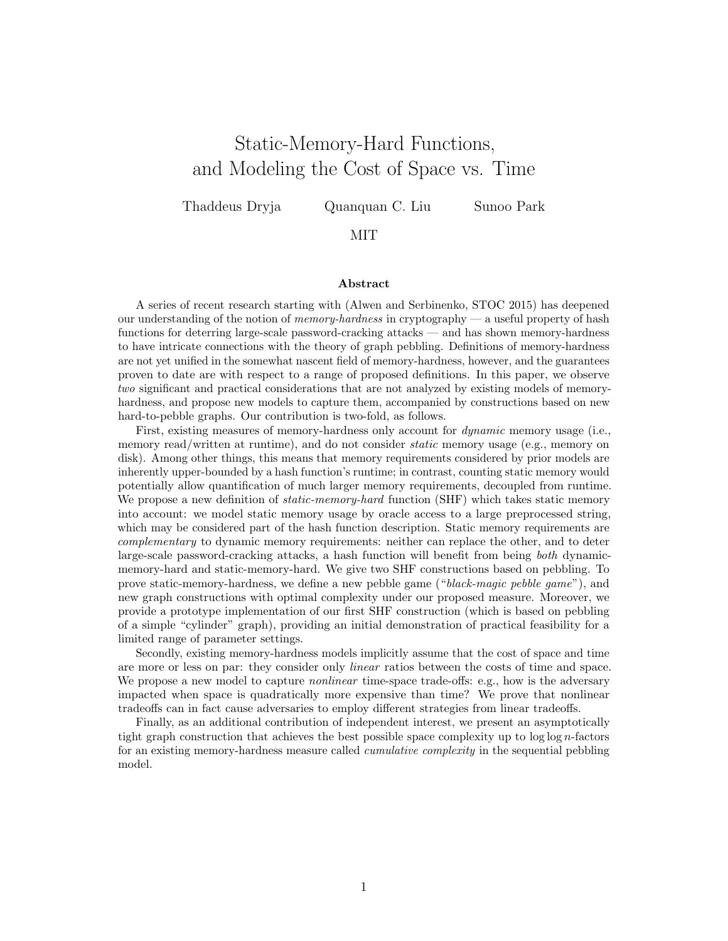# Static-Memory-Hard Functions, and Modeling the Cost of Space vs. Time

Thaddeus Dryja Quanquan C. Liu Sunoo Park

#### **MIT**

#### Abstract

A series of recent research starting with (Alwen and Serbinenko, STOC 2015) has deepened our understanding of the notion of *memory-hardness* in cryptography — a useful property of hash functions for deterring large-scale password-cracking attacks — and has shown memory-hardness to have intricate connections with the theory of graph pebbling. Definitions of memory-hardness are not yet unified in the somewhat nascent field of memory-hardness, however, and the guarantees proven to date are with respect to a range of proposed definitions. In this paper, we observe two significant and practical considerations that are not analyzed by existing models of memoryhardness, and propose new models to capture them, accompanied by constructions based on new hard-to-pebble graphs. Our contribution is two-fold, as follows.

First, existing measures of memory-hardness only account for dynamic memory usage (i.e., memory read/written at runtime), and do not consider *static* memory usage (e.g., memory on disk). Among other things, this means that memory requirements considered by prior models are inherently upper-bounded by a hash function's runtime; in contrast, counting static memory would potentially allow quantification of much larger memory requirements, decoupled from runtime. We propose a new definition of *static-memory-hard* function (SHF) which takes static memory into account: we model static memory usage by oracle access to a large preprocessed string, which may be considered part of the hash function description. Static memory requirements are complementary to dynamic memory requirements: neither can replace the other, and to deter large-scale password-cracking attacks, a hash function will benefit from being both dynamicmemory-hard and static-memory-hard. We give two SHF constructions based on pebbling. To prove static-memory-hardness, we define a new pebble game ("black-magic pebble game"), and new graph constructions with optimal complexity under our proposed measure. Moreover, we provide a prototype implementation of our first SHF construction (which is based on pebbling of a simple "cylinder" graph), providing an initial demonstration of practical feasibility for a limited range of parameter settings.

Secondly, existing memory-hardness models implicitly assume that the cost of space and time are more or less on par: they consider only *linear* ratios between the costs of time and space. We propose a new model to capture *nonlinear* time-space trade-offs: e.g., how is the adversary impacted when space is quadratically more expensive than time? We prove that nonlinear tradeoffs can in fact cause adversaries to employ different strategies from linear tradeoffs.

Finally, as an additional contribution of independent interest, we present an asymptotically tight graph construction that achieves the best possible space complexity up to  $\log \log n$ -factors for an existing memory-hardness measure called cumulative complexity in the sequential pebbling model.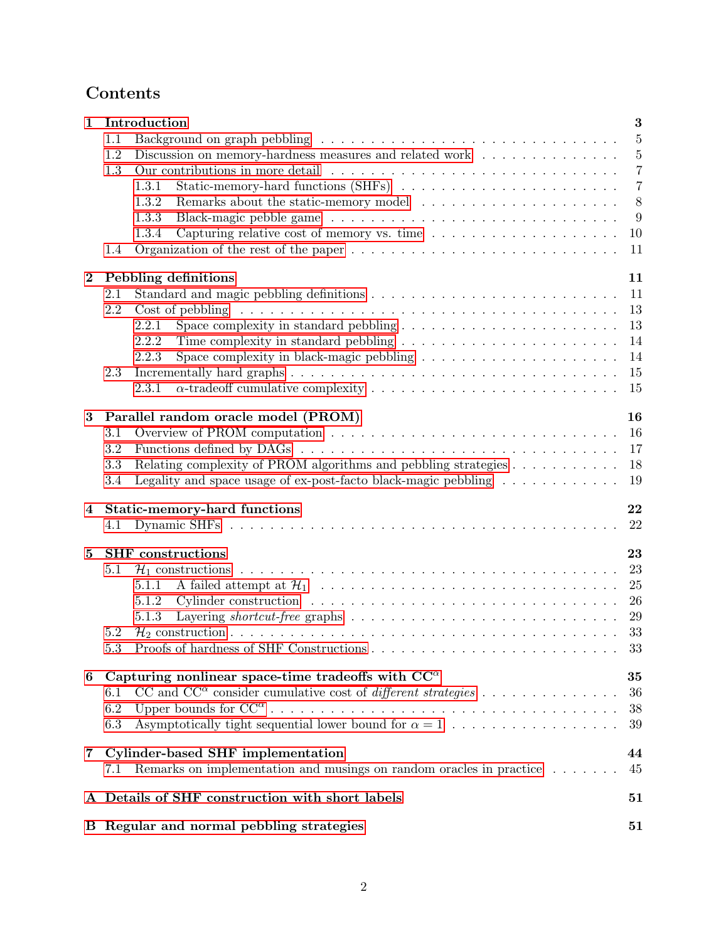# Contents

| $\mathbf{1}$   | Introduction                                                                                            | $\bf{3}$       |
|----------------|---------------------------------------------------------------------------------------------------------|----------------|
|                | 1.1                                                                                                     | $\bf 5$        |
|                | Discussion on memory-hardness measures and related work<br>1.2                                          | $\bf 5$        |
|                | 1.3                                                                                                     | $\overline{7}$ |
|                | 1.3.1                                                                                                   | $\overline{7}$ |
|                | 1.3.2                                                                                                   | $8\phantom{.}$ |
|                | 1.3.3                                                                                                   | 9              |
|                | Capturing relative cost of memory vs. time $\ldots \ldots \ldots \ldots \ldots \ldots$<br>1.3.4         | 10             |
|                | 1.4                                                                                                     | 11             |
|                |                                                                                                         |                |
| $\bf{2}$       | Pebbling definitions                                                                                    | 11             |
|                | 2.1                                                                                                     | 11             |
|                | 2.2                                                                                                     | 13             |
|                | Space complexity in standard pebbling $\dots \dots \dots \dots \dots \dots \dots \dots$<br>2.2.1        | 13             |
|                | 2.2.2                                                                                                   | 14             |
|                | Space complexity in black-magic pebbling $\ldots \ldots \ldots \ldots \ldots \ldots \ldots$<br>2.2.3    | 14             |
|                | 2.3                                                                                                     | 15             |
|                | 2.3.1                                                                                                   | 15             |
|                |                                                                                                         |                |
| 3              | Parallel random oracle model (PROM)                                                                     | 16             |
|                | 3.1                                                                                                     | 16             |
|                | 3.2                                                                                                     | 17             |
|                | 3.3                                                                                                     | 18             |
|                | Legality and space usage of ex-post-facto black-magic pebbling $\dots \dots \dots \dots$<br>3.4         | 19             |
|                |                                                                                                         |                |
| 4              | <b>Static-memory-hard functions</b>                                                                     | 22             |
|                | 4.1                                                                                                     | 22             |
|                |                                                                                                         |                |
| 5              | <b>SHF</b> constructions                                                                                | 23             |
|                | 5.1                                                                                                     | 23             |
|                | 5.1.1                                                                                                   | 25             |
|                | 5.1.2                                                                                                   | 26             |
|                | Layering shortcut-free graphs $\ldots \ldots \ldots \ldots \ldots \ldots \ldots \ldots \ldots$<br>5.1.3 | 29             |
|                | 5.2                                                                                                     | 33             |
|                | 5.3                                                                                                     | $33\,$         |
| 6              | Capturing nonlinear space-time tradeoffs with $CC^{\alpha}$                                             | 35             |
|                |                                                                                                         |                |
|                | CC and $CC^{\alpha}$ consider cumulative cost of <i>different strategies</i><br>6.1                     | 36             |
|                | 6.2                                                                                                     | 38             |
|                | Asymptotically tight sequential lower bound for $\alpha = 1$<br>6.3                                     | 39             |
| $\overline{7}$ | Cylinder-based SHF implementation                                                                       | 44             |
|                | Remarks on implementation and musings on random oracles in practice<br>7.1                              | 45             |
|                | A Details of SHF construction with short labels                                                         | 51             |
|                |                                                                                                         |                |
|                | B Regular and normal pebbling strategies                                                                | 51             |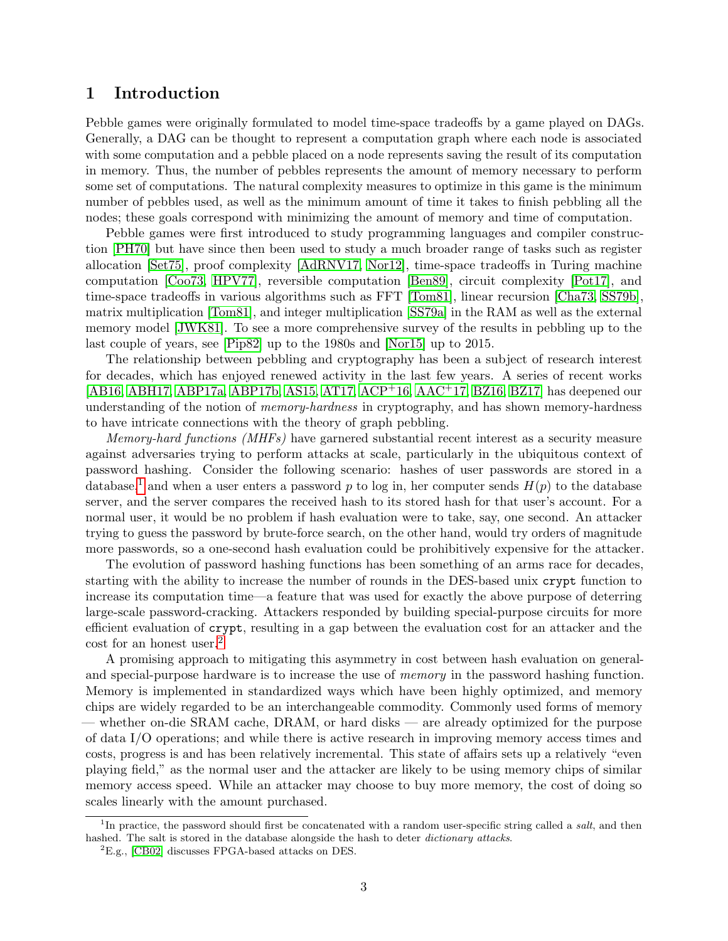## <span id="page-2-0"></span>1 Introduction

Pebble games were originally formulated to model time-space tradeoffs by a game played on DAGs. Generally, a DAG can be thought to represent a computation graph where each node is associated with some computation and a pebble placed on a node represents saving the result of its computation in memory. Thus, the number of pebbles represents the amount of memory necessary to perform some set of computations. The natural complexity measures to optimize in this game is the minimum number of pebbles used, as well as the minimum amount of time it takes to finish pebbling all the nodes; these goals correspond with minimizing the amount of memory and time of computation.

Pebble games were first introduced to study programming languages and compiler construction [\[PH70\]](#page-49-0) but have since then been used to study a much broader range of tasks such as register allocation [\[Set75\]](#page-49-1), proof complexity [\[AdRNV17,](#page-46-0) [Nor12\]](#page-49-2), time-space tradeoffs in Turing machine computation [\[Coo73,](#page-48-0) [HPV77\]](#page-48-1), reversible computation [\[Ben89\]](#page-47-0), circuit complexity [\[Pot17\]](#page-49-3), and time-space tradeoffs in various algorithms such as FFT [\[Tom81\]](#page-49-4), linear recursion [\[Cha73,](#page-47-1) [SS79b\]](#page-49-5), matrix multiplication [\[Tom81\]](#page-49-4), and integer multiplication [\[SS79a\]](#page-49-6) in the RAM as well as the external memory model [\[JWK81\]](#page-48-2). To see a more comprehensive survey of the results in pebbling up to the last couple of years, see [\[Pip82\]](#page-49-7) up to the 1980s and [\[Nor15\]](#page-49-8) up to 2015.

The relationship between pebbling and cryptography has been a subject of research interest for decades, which has enjoyed renewed activity in the last few years. A series of recent works  $[AB16, ABH17, ABP17a, ABP17b, AS15, AT17, ACP<sup>+</sup>16, AAC<sup>+</sup>17, BZ16, BZ17]$  $[AB16, ABH17, ABP17a, ABP17b, AS15, AT17, ACP<sup>+</sup>16, AAC<sup>+</sup>17, BZ16, BZ17]$  $[AB16, ABH17, ABP17a, ABP17b, AS15, AT17, ACP<sup>+</sup>16, AAC<sup>+</sup>17, BZ16, BZ17]$  $[AB16, ABH17, ABP17a, ABP17b, AS15, AT17, ACP<sup>+</sup>16, AAC<sup>+</sup>17, BZ16, BZ17]$  $[AB16, ABH17, ABP17a, ABP17b, AS15, AT17, ACP<sup>+</sup>16, AAC<sup>+</sup>17, BZ16, BZ17]$  $[AB16, ABH17, ABP17a, ABP17b, AS15, AT17, ACP<sup>+</sup>16, AAC<sup>+</sup>17, BZ16, BZ17]$  $[AB16, ABH17, ABP17a, ABP17b, AS15, AT17, ACP<sup>+</sup>16, AAC<sup>+</sup>17, BZ16, BZ17]$  $[AB16, ABH17, ABP17a, ABP17b, AS15, AT17, ACP<sup>+</sup>16, AAC<sup>+</sup>17, BZ16, BZ17]$  $[AB16, ABH17, ABP17a, ABP17b, AS15, AT17, ACP<sup>+</sup>16, AAC<sup>+</sup>17, BZ16, BZ17]$  $[AB16, ABH17, ABP17a, ABP17b, AS15, AT17, ACP<sup>+</sup>16, AAC<sup>+</sup>17, BZ16, BZ17]$  $[AB16, ABH17, ABP17a, ABP17b, AS15, AT17, ACP<sup>+</sup>16, AAC<sup>+</sup>17, BZ16, BZ17]$  $[AB16, ABH17, ABP17a, ABP17b, AS15, AT17, ACP<sup>+</sup>16, AAC<sup>+</sup>17, BZ16, BZ17]$  $[AB16, ABH17, ABP17a, ABP17b, AS15, AT17, ACP<sup>+</sup>16, AAC<sup>+</sup>17, BZ16, BZ17]$  $[AB16, ABH17, ABP17a, ABP17b, AS15, AT17, ACP<sup>+</sup>16, AAC<sup>+</sup>17, BZ16, BZ17]$  $[AB16, ABH17, ABP17a, ABP17b, AS15, AT17, ACP<sup>+</sup>16, AAC<sup>+</sup>17, BZ16, BZ17]$  $[AB16, ABH17, ABP17a, ABP17b, AS15, AT17, ACP<sup>+</sup>16, AAC<sup>+</sup>17, BZ16, BZ17]$  $[AB16, ABH17, ABP17a, ABP17b, AS15, AT17, ACP<sup>+</sup>16, AAC<sup>+</sup>17, BZ16, BZ17]$  $[AB16, ABH17, ABP17a, ABP17b, AS15, AT17, ACP<sup>+</sup>16, AAC<sup>+</sup>17, BZ16, BZ17]$  $[AB16, ABH17, ABP17a, ABP17b, AS15, AT17, ACP<sup>+</sup>16, AAC<sup>+</sup>17, BZ16, BZ17]$  has deepened our understanding of the notion of *memory-hardness* in cryptography, and has shown memory-hardness to have intricate connections with the theory of graph pebbling.

Memory-hard functions (MHFs) have garnered substantial recent interest as a security measure against adversaries trying to perform attacks at scale, particularly in the ubiquitous context of password hashing. Consider the following scenario: hashes of user passwords are stored in a database,<sup>[1](#page-2-1)</sup> and when a user enters a password p to log in, her computer sends  $H(p)$  to the database server, and the server compares the received hash to its stored hash for that user's account. For a normal user, it would be no problem if hash evaluation were to take, say, one second. An attacker trying to guess the password by brute-force search, on the other hand, would try orders of magnitude more passwords, so a one-second hash evaluation could be prohibitively expensive for the attacker.

The evolution of password hashing functions has been something of an arms race for decades, starting with the ability to increase the number of rounds in the DES-based unix crypt function to increase its computation time—a feature that was used for exactly the above purpose of deterring large-scale password-cracking. Attackers responded by building special-purpose circuits for more efficient evaluation of crypt, resulting in a gap between the evaluation cost for an attacker and the cost for an honest user.<sup>[2](#page-2-2)</sup>

A promising approach to mitigating this asymmetry in cost between hash evaluation on generaland special-purpose hardware is to increase the use of memory in the password hashing function. Memory is implemented in standardized ways which have been highly optimized, and memory chips are widely regarded to be an interchangeable commodity. Commonly used forms of memory — whether on-die SRAM cache, DRAM, or hard disks — are already optimized for the purpose of data I/O operations; and while there is active research in improving memory access times and costs, progress is and has been relatively incremental. This state of affairs sets up a relatively "even playing field," as the normal user and the attacker are likely to be using memory chips of similar memory access speed. While an attacker may choose to buy more memory, the cost of doing so scales linearly with the amount purchased.

<span id="page-2-1"></span><sup>&</sup>lt;sup>1</sup>In practice, the password should first be concatenated with a random user-specific string called a *salt*, and then hashed. The salt is stored in the database alongside the hash to deter *dictionary attacks*.

<span id="page-2-2"></span> ${}^{2}E.g.,$  [\[CB02\]](#page-47-4) discusses FPGA-based attacks on DES.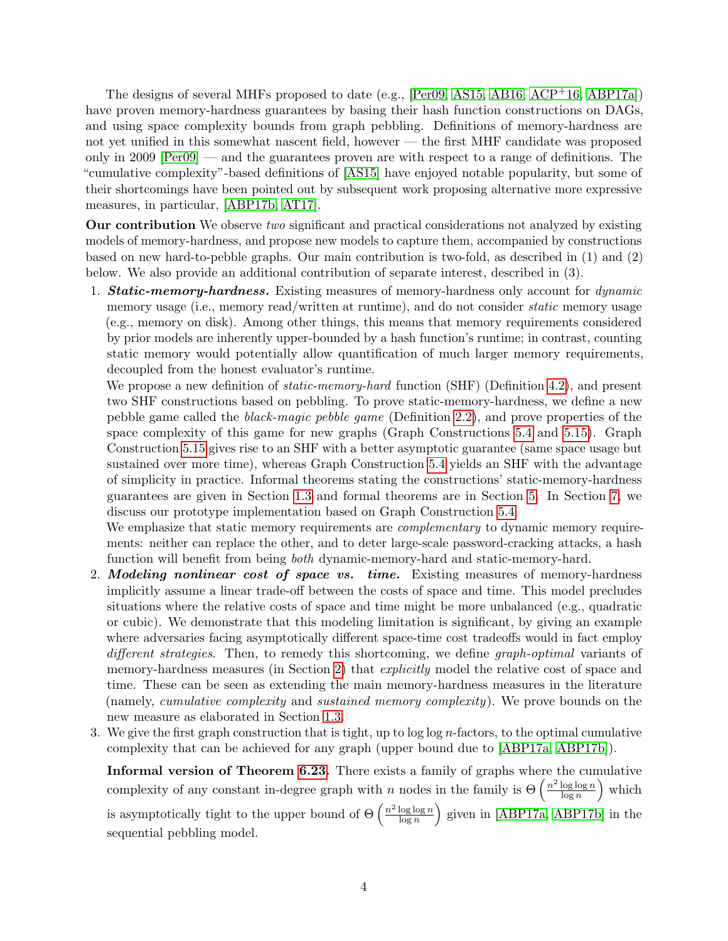The designs of several MHFs proposed to date (e.g., [\[Per09,](#page-49-9) [AS15,](#page-46-5) [AB16,](#page-46-1) [ACP](#page-46-7)+16, [ABP17a\]](#page-46-3)) have proven memory-hardness guarantees by basing their hash function constructions on DAGs, and using space complexity bounds from graph pebbling. Definitions of memory-hardness are not yet unified in this somewhat nascent field, however — the first MHF candidate was proposed only in 2009 [\[Per09\]](#page-49-9) — and the guarantees proven are with respect to a range of definitions. The "cumulative complexity"-based definitions of [\[AS15\]](#page-46-5) have enjoyed notable popularity, but some of their shortcomings have been pointed out by subsequent work proposing alternative more expressive measures, in particular, [\[ABP17b,](#page-46-4) [AT17\]](#page-46-6).

Our contribution We observe two significant and practical considerations not analyzed by existing models of memory-hardness, and propose new models to capture them, accompanied by constructions based on new hard-to-pebble graphs. Our main contribution is two-fold, as described in (1) and (2) below. We also provide an additional contribution of separate interest, described in (3).

1. **Static-memory-hardness.** Existing measures of memory-hardness only account for *dynamic* memory usage (i.e., memory read/written at runtime), and do not consider *static* memory usage (e.g., memory on disk). Among other things, this means that memory requirements considered by prior models are inherently upper-bounded by a hash function's runtime; in contrast, counting static memory would potentially allow quantification of much larger memory requirements, decoupled from the honest evaluator's runtime.

We propose a new definition of *static-memory-hard* function (SHF) (Definition [4.2\)](#page-21-2), and present two SHF constructions based on pebbling. To prove static-memory-hardness, we define a new pebble game called the *black-magic pebble game* (Definition [2.2\)](#page-11-0), and prove properties of the space complexity of this game for new graphs (Graph Constructions [5.4](#page-25-1) and [5.15\)](#page-29-0). Graph Construction [5.15](#page-29-0) gives rise to an SHF with a better asymptotic guarantee (same space usage but sustained over more time), whereas Graph Construction [5.4](#page-25-1) yields an SHF with the advantage of simplicity in practice. Informal theorems stating the constructions' static-memory-hardness guarantees are given in Section [1.3](#page-6-0) and formal theorems are in Section [5.](#page-22-0) In Section [7,](#page-43-0) we discuss our prototype implementation based on Graph Construction [5.4.](#page-25-1)

We emphasize that static memory requirements are *complementary* to dynamic memory requirements: neither can replace the other, and to deter large-scale password-cracking attacks, a hash function will benefit from being both dynamic-memory-hard and static-memory-hard.

- 2. Modeling nonlinear cost of space vs. time. Existing measures of memory-hardness implicitly assume a linear trade-off between the costs of space and time. This model precludes situations where the relative costs of space and time might be more unbalanced (e.g., quadratic or cubic). We demonstrate that this modeling limitation is significant, by giving an example where adversaries facing asymptotically different space-time cost tradeoffs would in fact employ different strategies. Then, to remedy this shortcoming, we define *graph-optimal* variants of memory-hardness measures (in Section [2\)](#page-10-1) that *explicitly* model the relative cost of space and time. These can be seen as extending the main memory-hardness measures in the literature (namely, *cumulative complexity* and *sustained memory complexity*). We prove bounds on the new measure as elaborated in Section [1.3.](#page-6-0)
- 3. We give the first graph construction that is tight, up to  $\log \log n$ -factors, to the optimal cumulative complexity that can be achieved for any graph (upper bound due to [\[ABP17a,](#page-46-3) [ABP17b\]](#page-46-4)).

Informal version of Theorem [6.23.](#page-42-0) There exists a family of graphs where the cumulative complexity of any constant in-degree graph with n nodes in the family is  $\Theta\left(\frac{n^2\log\log n}{\log n}\right)$  $\frac{\log \log n}{\log n}$  which is asymptotically tight to the upper bound of  $\Theta\left(\frac{n^2\log\log n}{\log n}\right)$  $\frac{\log \log n}{\log n}$  given in [\[ABP17a,](#page-46-3) [ABP17b\]](#page-46-4) in the sequential pebbling model.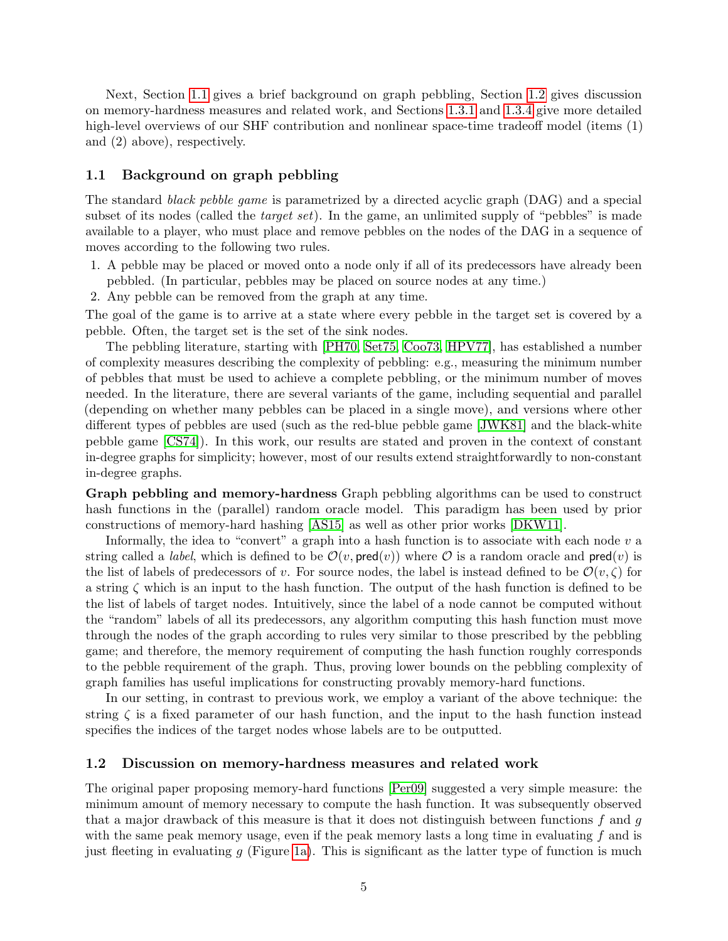Next, Section [1.1](#page-4-0) gives a brief background on graph pebbling, Section [1.2](#page-4-1) gives discussion on memory-hardness measures and related work, and Sections [1.3.1](#page-6-1) and [1.3.4](#page-9-0) give more detailed high-level overviews of our SHF contribution and nonlinear space-time tradeoff model (items (1) and (2) above), respectively.

#### <span id="page-4-0"></span>1.1 Background on graph pebbling

The standard black pebble game is parametrized by a directed acyclic graph (DAG) and a special subset of its nodes (called the *target set*). In the game, an unlimited supply of "pebbles" is made available to a player, who must place and remove pebbles on the nodes of the DAG in a sequence of moves according to the following two rules.

- 1. A pebble may be placed or moved onto a node only if all of its predecessors have already been pebbled. (In particular, pebbles may be placed on source nodes at any time.)
- 2. Any pebble can be removed from the graph at any time.

The goal of the game is to arrive at a state where every pebble in the target set is covered by a pebble. Often, the target set is the set of the sink nodes.

The pebbling literature, starting with [\[PH70,](#page-49-0) [Set75,](#page-49-1) [Coo73,](#page-48-0) [HPV77\]](#page-48-1), has established a number of complexity measures describing the complexity of pebbling: e.g., measuring the minimum number of pebbles that must be used to achieve a complete pebbling, or the minimum number of moves needed. In the literature, there are several variants of the game, including sequential and parallel (depending on whether many pebbles can be placed in a single move), and versions where other different types of pebbles are used (such as the red-blue pebble game [\[JWK81\]](#page-48-2) and the black-white pebble game [\[CS74\]](#page-48-3)). In this work, our results are stated and proven in the context of constant in-degree graphs for simplicity; however, most of our results extend straightforwardly to non-constant in-degree graphs.

Graph pebbling and memory-hardness Graph pebbling algorithms can be used to construct hash functions in the (parallel) random oracle model. This paradigm has been used by prior constructions of memory-hard hashing [\[AS15\]](#page-46-5) as well as other prior works [\[DKW11\]](#page-48-4).

Informally, the idea to "convert" a graph into a hash function is to associate with each node  $v$  a string called a *label*, which is defined to be  $\mathcal{O}(v, \text{pred}(v))$  where  $\mathcal O$  is a random oracle and  $\text{pred}(v)$  is the list of labels of predecessors of v. For source nodes, the label is instead defined to be  $\mathcal{O}(v,\zeta)$  for a string  $\zeta$  which is an input to the hash function. The output of the hash function is defined to be the list of labels of target nodes. Intuitively, since the label of a node cannot be computed without the "random" labels of all its predecessors, any algorithm computing this hash function must move through the nodes of the graph according to rules very similar to those prescribed by the pebbling game; and therefore, the memory requirement of computing the hash function roughly corresponds to the pebble requirement of the graph. Thus, proving lower bounds on the pebbling complexity of graph families has useful implications for constructing provably memory-hard functions.

In our setting, in contrast to previous work, we employ a variant of the above technique: the string  $\zeta$  is a fixed parameter of our hash function, and the input to the hash function instead specifies the indices of the target nodes whose labels are to be outputted.

#### <span id="page-4-1"></span>1.2 Discussion on memory-hardness measures and related work

The original paper proposing memory-hard functions [\[Per09\]](#page-49-9) suggested a very simple measure: the minimum amount of memory necessary to compute the hash function. It was subsequently observed that a major drawback of this measure is that it does not distinguish between functions  $f$  and  $g$ with the same peak memory usage, even if the peak memory lasts a long time in evaluating  $f$  and is just fleeting in evaluating  $g$  (Figure [1a\)](#page-5-0). This is significant as the latter type of function is much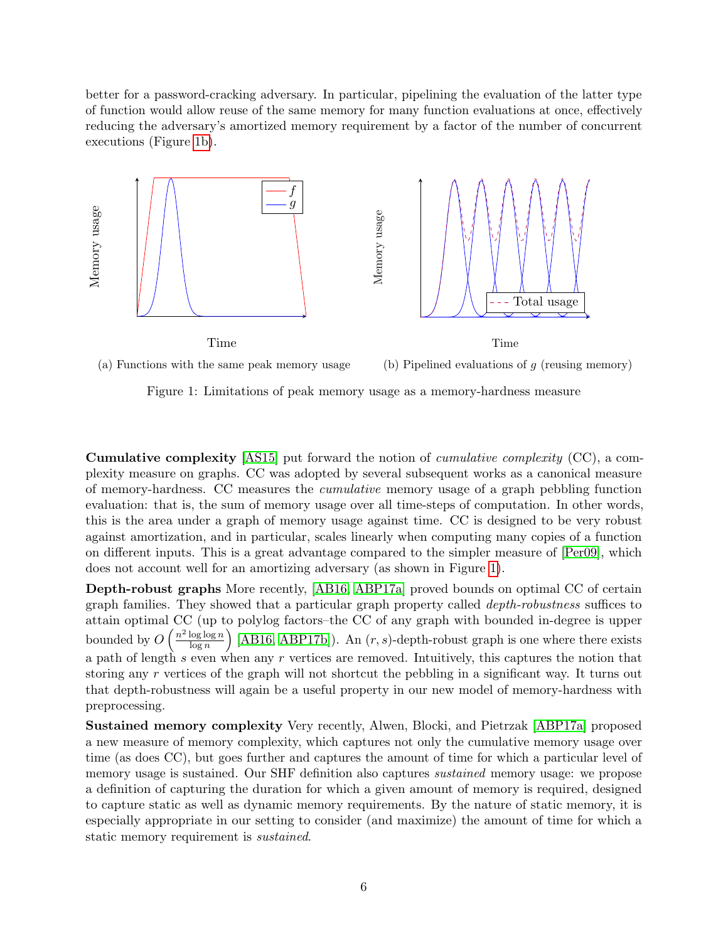better for a password-cracking adversary. In particular, pipelining the evaluation of the latter type of function would allow reuse of the same memory for many function evaluations at once, effectively reducing the adversary's amortized memory requirement by a factor of the number of concurrent executions (Figure [1b\)](#page-5-0).

<span id="page-5-0"></span>

Figure 1: Limitations of peak memory usage as a memory-hardness measure

Cumulative complexity [\[AS15\]](#page-46-5) put forward the notion of cumulative complexity (CC), a complexity measure on graphs. CC was adopted by several subsequent works as a canonical measure of memory-hardness. CC measures the cumulative memory usage of a graph pebbling function evaluation: that is, the sum of memory usage over all time-steps of computation. In other words, this is the area under a graph of memory usage against time. CC is designed to be very robust against amortization, and in particular, scales linearly when computing many copies of a function on different inputs. This is a great advantage compared to the simpler measure of [\[Per09\]](#page-49-9), which does not account well for an amortizing adversary (as shown in Figure [1\)](#page-5-0).

Depth-robust graphs More recently, [\[AB16,](#page-46-1) [ABP17a\]](#page-46-3) proved bounds on optimal CC of certain graph families. They showed that a particular graph property called depth-robustness suffices to attain optimal CC (up to polylog factors–the CC of any graph with bounded in-degree is upper bounded by  $O\left(\frac{n^2\log\log n}{\log n}\right)$  $\frac{\log \log n}{\log n}$  [\[AB16,](#page-46-1) [ABP17b\]](#page-46-4)). An  $(r, s)$ -depth-robust graph is one where there exists a path of length s even when any r vertices are removed. Intuitively, this captures the notion that storing any r vertices of the graph will not shortcut the pebbling in a significant way. It turns out that depth-robustness will again be a useful property in our new model of memory-hardness with preprocessing.

Sustained memory complexity Very recently, Alwen, Blocki, and Pietrzak [\[ABP17a\]](#page-46-3) proposed a new measure of memory complexity, which captures not only the cumulative memory usage over time (as does CC), but goes further and captures the amount of time for which a particular level of memory usage is sustained. Our SHF definition also captures *sustained* memory usage: we propose a definition of capturing the duration for which a given amount of memory is required, designed to capture static as well as dynamic memory requirements. By the nature of static memory, it is especially appropriate in our setting to consider (and maximize) the amount of time for which a static memory requirement is sustained.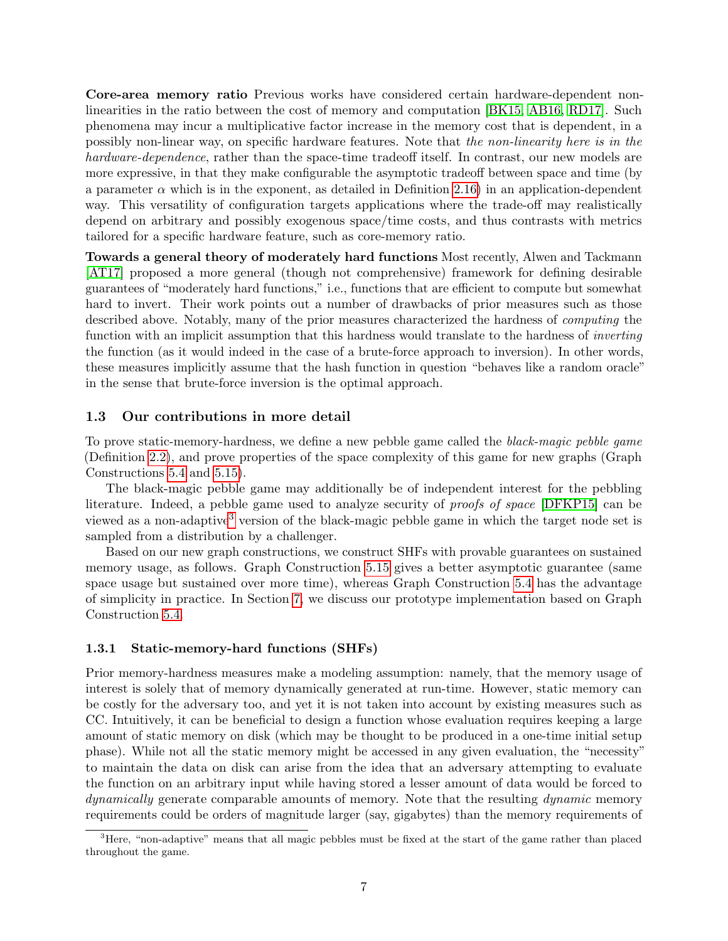Core-area memory ratio Previous works have considered certain hardware-dependent nonlinearities in the ratio between the cost of memory and computation [\[BK15,](#page-47-5) [AB16,](#page-46-1) [RD17\]](#page-49-10). Such phenomena may incur a multiplicative factor increase in the memory cost that is dependent, in a possibly non-linear way, on specific hardware features. Note that the non-linearity here is in the hardware-dependence, rather than the space-time tradeoff itself. In contrast, our new models are more expressive, in that they make configurable the asymptotic tradeoff between space and time (by a parameter  $\alpha$  which is in the exponent, as detailed in Definition [2.16\)](#page-15-2) in an application-dependent way. This versatility of configuration targets applications where the trade-off may realistically depend on arbitrary and possibly exogenous space/time costs, and thus contrasts with metrics tailored for a specific hardware feature, such as core-memory ratio.

Towards a general theory of moderately hard functions Most recently, Alwen and Tackmann [\[AT17\]](#page-46-6) proposed a more general (though not comprehensive) framework for defining desirable guarantees of "moderately hard functions," i.e., functions that are efficient to compute but somewhat hard to invert. Their work points out a number of drawbacks of prior measures such as those described above. Notably, many of the prior measures characterized the hardness of computing the function with an implicit assumption that this hardness would translate to the hardness of inverting the function (as it would indeed in the case of a brute-force approach to inversion). In other words, these measures implicitly assume that the hash function in question "behaves like a random oracle" in the sense that brute-force inversion is the optimal approach.

#### <span id="page-6-0"></span>1.3 Our contributions in more detail

To prove static-memory-hardness, we define a new pebble game called the black-magic pebble game (Definition [2.2\)](#page-11-0), and prove properties of the space complexity of this game for new graphs (Graph Constructions [5.4](#page-25-1) and [5.15\)](#page-29-0).

The black-magic pebble game may additionally be of independent interest for the pebbling literature. Indeed, a pebble game used to analyze security of *proofs of space* [\[DFKP15\]](#page-48-5) can be viewed as a non-adaptive[3](#page-6-2) version of the black-magic pebble game in which the target node set is sampled from a distribution by a challenger.

Based on our new graph constructions, we construct SHFs with provable guarantees on sustained memory usage, as follows. Graph Construction [5.15](#page-29-0) gives a better asymptotic guarantee (same space usage but sustained over more time), whereas Graph Construction [5.4](#page-25-1) has the advantage of simplicity in practice. In Section [7,](#page-43-0) we discuss our prototype implementation based on Graph Construction [5.4.](#page-25-1)

#### <span id="page-6-1"></span>1.3.1 Static-memory-hard functions (SHFs)

Prior memory-hardness measures make a modeling assumption: namely, that the memory usage of interest is solely that of memory dynamically generated at run-time. However, static memory can be costly for the adversary too, and yet it is not taken into account by existing measures such as CC. Intuitively, it can be beneficial to design a function whose evaluation requires keeping a large amount of static memory on disk (which may be thought to be produced in a one-time initial setup phase). While not all the static memory might be accessed in any given evaluation, the "necessity" to maintain the data on disk can arise from the idea that an adversary attempting to evaluate the function on an arbitrary input while having stored a lesser amount of data would be forced to dynamically generate comparable amounts of memory. Note that the resulting *dynamic* memory requirements could be orders of magnitude larger (say, gigabytes) than the memory requirements of

<span id="page-6-2"></span><sup>&</sup>lt;sup>3</sup>Here, "non-adaptive" means that all magic pebbles must be fixed at the start of the game rather than placed throughout the game.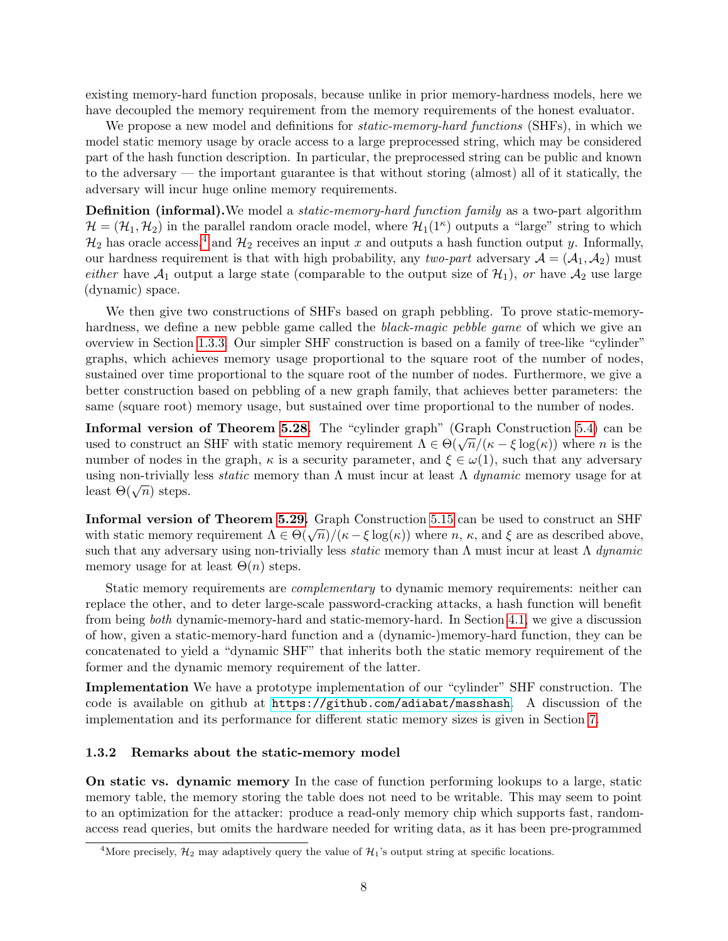existing memory-hard function proposals, because unlike in prior memory-hardness models, here we have decoupled the memory requirement from the memory requirements of the honest evaluator.

We propose a new model and definitions for *static-memory-hard functions* (SHFs), in which we model static memory usage by oracle access to a large preprocessed string, which may be considered part of the hash function description. In particular, the preprocessed string can be public and known to the adversary — the important guarantee is that without storing (almost) all of it statically, the adversary will incur huge online memory requirements.

**Definition (informal).**We model a *static-memory-hard function family* as a two-part algorithm  $\mathcal{H} = (\mathcal{H}_1, \mathcal{H}_2)$  in the parallel random oracle model, where  $\mathcal{H}_1(1^{\kappa})$  outputs a "large" string to which  $\mathcal{H}_2$  has oracle access,<sup>[4](#page-7-1)</sup> and  $\mathcal{H}_2$  receives an input x and outputs a hash function output y. Informally, our hardness requirement is that with high probability, any two-part adversary  $A = (A_1, A_2)$  must either have  $A_1$  output a large state (comparable to the output size of  $\mathcal{H}_1$ ), or have  $A_2$  use large (dynamic) space.

We then give two constructions of SHFs based on graph pebbling. To prove static-memoryhardness, we define a new pebble game called the *black-magic pebble game* of which we give an overview in Section [1.3.3.](#page-8-0) Our simpler SHF construction is based on a family of tree-like "cylinder" graphs, which achieves memory usage proportional to the square root of the number of nodes, sustained over time proportional to the square root of the number of nodes. Furthermore, we give a better construction based on pebbling of a new graph family, that achieves better parameters: the same (square root) memory usage, but sustained over time proportional to the number of nodes.

Informal version of Theorem [5.28.](#page-34-1) The "cylinder graph" (Graph Construction [5.4\)](#page-25-1) can be **INDITIAL VELSION OF THEOTEM 3.28.** The cynnuel graph (Graph Construction 3.4) can be used to construct an SHF with static memory requirement  $\Lambda \in \Theta(\sqrt{n}/(\kappa - \xi \log(\kappa))$  where *n* is the number of nodes in the graph,  $\kappa$  is a security parameter, and  $\xi \in \omega(1)$ , such that any adversary using non-trivially less *static* memory than  $\Lambda$  must incur at least  $\Lambda$  dynamic memory usage for at using non-triviany<br>least  $\Theta(\sqrt{n})$  steps.

Informal version of Theorem [5.29.](#page-34-2) Graph Construction [5.15](#page-29-0) can be used to construct an SHF **THE THE STATIGE 1983** THEORY **EXAMPLE STATIGE 1984** STAR THEORY **NUMBER**  $n, \kappa$ , and  $\xi$  are as described above, such that any adversary using non-trivially less *static* memory than  $\Lambda$  must incur at least  $\Lambda$  dynamic memory usage for at least  $\Theta(n)$  steps.

Static memory requirements are complementary to dynamic memory requirements: neither can replace the other, and to deter large-scale password-cracking attacks, a hash function will benefit from being both dynamic-memory-hard and static-memory-hard. In Section [4.1,](#page-21-1) we give a discussion of how, given a static-memory-hard function and a (dynamic-)memory-hard function, they can be concatenated to yield a "dynamic SHF" that inherits both the static memory requirement of the former and the dynamic memory requirement of the latter.

Implementation We have a prototype implementation of our "cylinder" SHF construction. The code is available on github at <https://github.com/adiabat/masshash>. A discussion of the implementation and its performance for different static memory sizes is given in Section [7.](#page-43-0)

#### <span id="page-7-0"></span>1.3.2 Remarks about the static-memory model

On static vs. dynamic memory In the case of function performing lookups to a large, static memory table, the memory storing the table does not need to be writable. This may seem to point to an optimization for the attacker: produce a read-only memory chip which supports fast, randomaccess read queries, but omits the hardware needed for writing data, as it has been pre-programmed

<span id="page-7-1"></span><sup>&</sup>lt;sup>4</sup>More precisely,  $\mathcal{H}_2$  may adaptively query the value of  $\mathcal{H}_1$ 's output string at specific locations.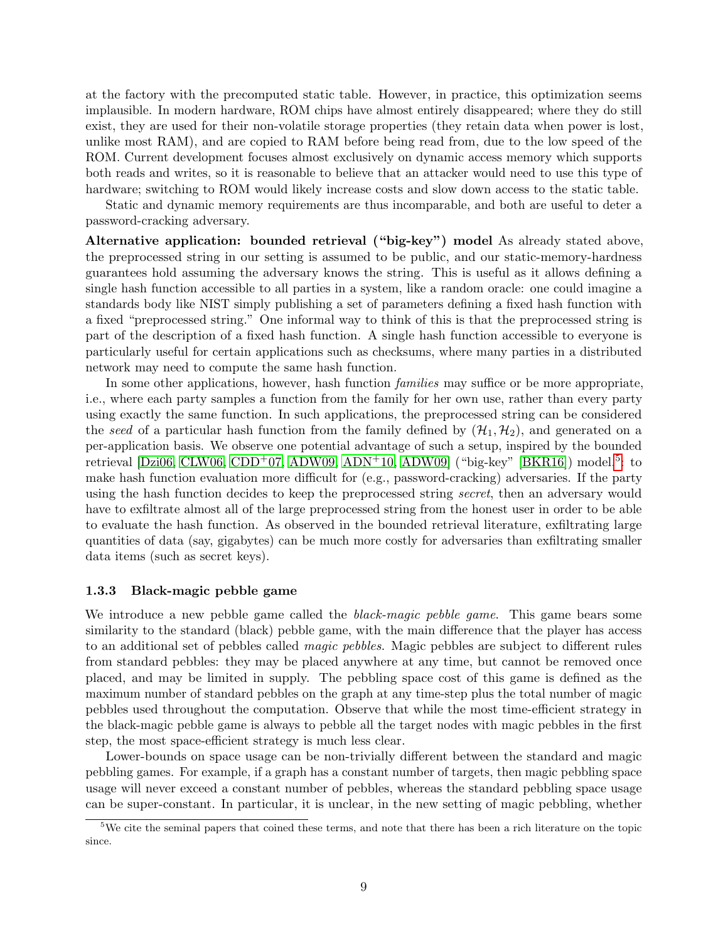at the factory with the precomputed static table. However, in practice, this optimization seems implausible. In modern hardware, ROM chips have almost entirely disappeared; where they do still exist, they are used for their non-volatile storage properties (they retain data when power is lost, unlike most RAM), and are copied to RAM before being read from, due to the low speed of the ROM. Current development focuses almost exclusively on dynamic access memory which supports both reads and writes, so it is reasonable to believe that an attacker would need to use this type of hardware; switching to ROM would likely increase costs and slow down access to the static table.

Static and dynamic memory requirements are thus incomparable, and both are useful to deter a password-cracking adversary.

Alternative application: bounded retrieval ("big-key") model As already stated above, the preprocessed string in our setting is assumed to be public, and our static-memory-hardness guarantees hold assuming the adversary knows the string. This is useful as it allows defining a single hash function accessible to all parties in a system, like a random oracle: one could imagine a standards body like NIST simply publishing a set of parameters defining a fixed hash function with a fixed "preprocessed string." One informal way to think of this is that the preprocessed string is part of the description of a fixed hash function. A single hash function accessible to everyone is particularly useful for certain applications such as checksums, where many parties in a distributed network may need to compute the same hash function.

In some other applications, however, hash function *families* may suffice or be more appropriate, i.e., where each party samples a function from the family for her own use, rather than every party using exactly the same function. In such applications, the preprocessed string can be considered the seed of a particular hash function from the family defined by  $(\mathcal{H}_1, \mathcal{H}_2)$ , and generated on a per-application basis. We observe one potential advantage of such a setup, inspired by the bounded retrieval [\[Dzi06,](#page-48-6) [CLW06,](#page-48-7) [CDD](#page-47-6)<sup>+</sup>07, [ADW09,](#page-46-8) [ADN](#page-46-9)<sup>+</sup>10, [ADW09\]](#page-46-8) ("big-key" [\[BKR16\]](#page-47-7)) model.<sup>[5](#page-8-1)</sup>: to make hash function evaluation more difficult for (e.g., password-cracking) adversaries. If the party using the hash function decides to keep the preprocessed string *secret*, then an adversary would have to exfiltrate almost all of the large preprocessed string from the honest user in order to be able to evaluate the hash function. As observed in the bounded retrieval literature, exfiltrating large quantities of data (say, gigabytes) can be much more costly for adversaries than exfiltrating smaller data items (such as secret keys).

#### <span id="page-8-0"></span>1.3.3 Black-magic pebble game

We introduce a new pebble game called the *black-magic pebble game*. This game bears some similarity to the standard (black) pebble game, with the main difference that the player has access to an additional set of pebbles called magic pebbles. Magic pebbles are subject to different rules from standard pebbles: they may be placed anywhere at any time, but cannot be removed once placed, and may be limited in supply. The pebbling space cost of this game is defined as the maximum number of standard pebbles on the graph at any time-step plus the total number of magic pebbles used throughout the computation. Observe that while the most time-efficient strategy in the black-magic pebble game is always to pebble all the target nodes with magic pebbles in the first step, the most space-efficient strategy is much less clear.

Lower-bounds on space usage can be non-trivially different between the standard and magic pebbling games. For example, if a graph has a constant number of targets, then magic pebbling space usage will never exceed a constant number of pebbles, whereas the standard pebbling space usage can be super-constant. In particular, it is unclear, in the new setting of magic pebbling, whether

<span id="page-8-1"></span><sup>5</sup>We cite the seminal papers that coined these terms, and note that there has been a rich literature on the topic since.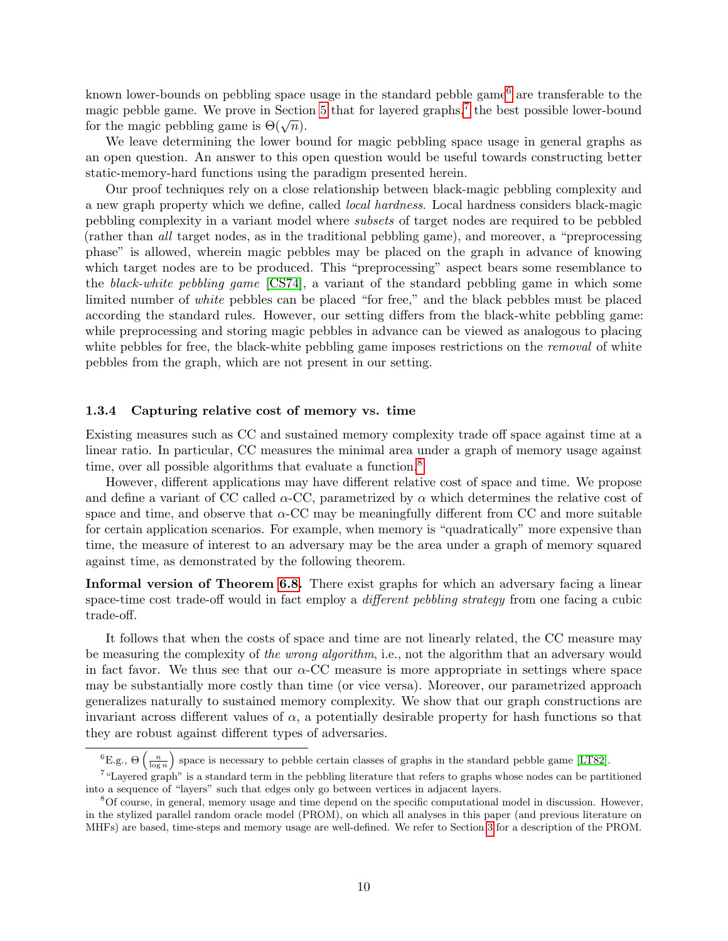known lower-bounds on pebbling space usage in the standard pebble game<sup>[6](#page-9-1)</sup> are transferable to the magic pebble game. We prove in Section [5](#page-22-0) that for layered graphs,<sup>[7](#page-9-2)</sup> the best possible lower-bound magic pebble game. We prove in section<br>for the magic pebbling game is  $\Theta(\sqrt{n})$ .

We leave determining the lower bound for magic pebbling space usage in general graphs as an open question. An answer to this open question would be useful towards constructing better static-memory-hard functions using the paradigm presented herein.

Our proof techniques rely on a close relationship between black-magic pebbling complexity and a new graph property which we define, called local hardness. Local hardness considers black-magic pebbling complexity in a variant model where subsets of target nodes are required to be pebbled (rather than all target nodes, as in the traditional pebbling game), and moreover, a "preprocessing phase" is allowed, wherein magic pebbles may be placed on the graph in advance of knowing which target nodes are to be produced. This "preprocessing" aspect bears some resemblance to the black-white pebbling game [\[CS74\]](#page-48-3), a variant of the standard pebbling game in which some limited number of white pebbles can be placed "for free," and the black pebbles must be placed according the standard rules. However, our setting differs from the black-white pebbling game: while preprocessing and storing magic pebbles in advance can be viewed as analogous to placing white pebbles for free, the black-white pebbling game imposes restrictions on the *removal* of white pebbles from the graph, which are not present in our setting.

#### <span id="page-9-0"></span>1.3.4 Capturing relative cost of memory vs. time

Existing measures such as CC and sustained memory complexity trade off space against time at a linear ratio. In particular, CC measures the minimal area under a graph of memory usage against time, over all possible algorithms that evaluate a function.<sup>[8](#page-9-3)</sup>

However, different applications may have different relative cost of space and time. We propose and define a variant of CC called  $\alpha$ -CC, parametrized by  $\alpha$  which determines the relative cost of space and time, and observe that  $\alpha$ -CC may be meaningfully different from CC and more suitable for certain application scenarios. For example, when memory is "quadratically" more expensive than time, the measure of interest to an adversary may be the area under a graph of memory squared against time, as demonstrated by the following theorem.

Informal version of Theorem [6.8.](#page-36-0) There exist graphs for which an adversary facing a linear space-time cost trade-off would in fact employ a *different pebbling strategy* from one facing a cubic trade-off.

It follows that when the costs of space and time are not linearly related, the CC measure may be measuring the complexity of the wrong algorithm, i.e., not the algorithm that an adversary would in fact favor. We thus see that our  $\alpha$ -CC measure is more appropriate in settings where space may be substantially more costly than time (or vice versa). Moreover, our parametrized approach generalizes naturally to sustained memory complexity. We show that our graph constructions are invariant across different values of  $\alpha$ , a potentially desirable property for hash functions so that they are robust against different types of adversaries.

<span id="page-9-2"></span><span id="page-9-1"></span><sup>&</sup>lt;sup>6</sup>E.g.,  $\Theta\left(\frac{n}{\log n}\right)$  space is necessary to pebble certain classes of graphs in the standard pebble game [\[LT82\]](#page-48-8).

<sup>7</sup> "Layered graph" is a standard term in the pebbling literature that refers to graphs whose nodes can be partitioned into a sequence of "layers" such that edges only go between vertices in adjacent layers.

<span id="page-9-3"></span><sup>8</sup>Of course, in general, memory usage and time depend on the specific computational model in discussion. However, in the stylized parallel random oracle model (PROM), on which all analyses in this paper (and previous literature on MHFs) are based, time-steps and memory usage are well-defined. We refer to Section [3](#page-15-0) for a description of the PROM.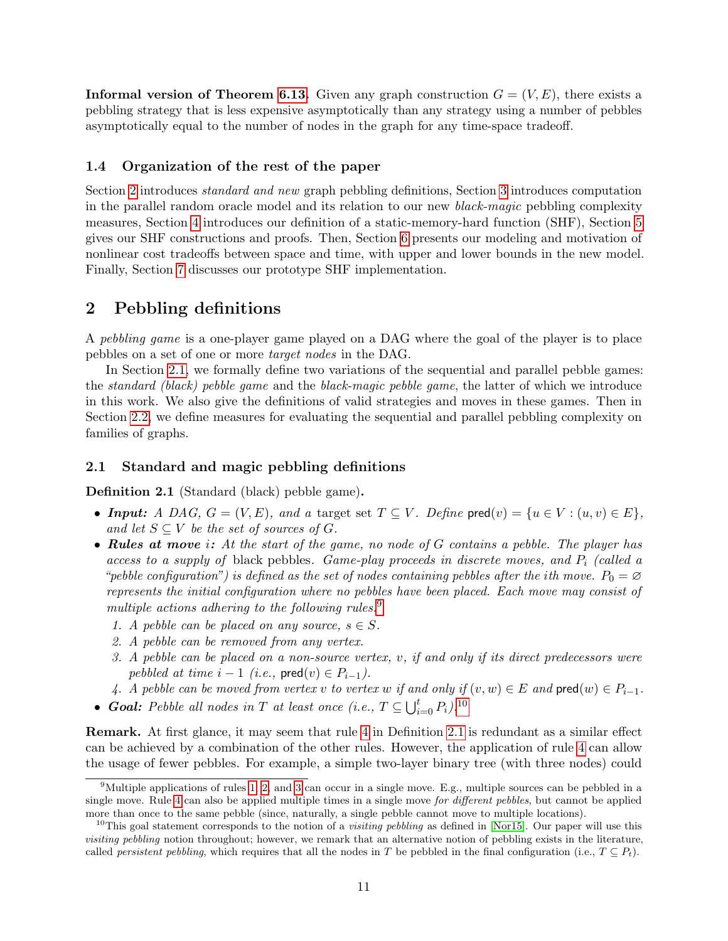**Informal version of Theorem [6.13.](#page-37-1)** Given any graph construction  $G = (V, E)$ , there exists a pebbling strategy that is less expensive asymptotically than any strategy using a number of pebbles asymptotically equal to the number of nodes in the graph for any time-space tradeoff.

#### <span id="page-10-0"></span>1.4 Organization of the rest of the paper

Section [2](#page-10-1) introduces standard and new graph pebbling definitions, Section [3](#page-15-0) introduces computation in the parallel random oracle model and its relation to our new black-magic pebbling complexity measures, Section [4](#page-21-0) introduces our definition of a static-memory-hard function (SHF), Section [5](#page-22-0) gives our SHF constructions and proofs. Then, Section [6](#page-34-0) presents our modeling and motivation of nonlinear cost tradeoffs between space and time, with upper and lower bounds in the new model. Finally, Section [7](#page-43-0) discusses our prototype SHF implementation.

## <span id="page-10-1"></span>2 Pebbling definitions

A pebbling game is a one-player game played on a DAG where the goal of the player is to place pebbles on a set of one or more target nodes in the DAG.

In Section [2.1,](#page-10-2) we formally define two variations of the sequential and parallel pebble games: the standard (black) pebble game and the black-magic pebble game, the latter of which we introduce in this work. We also give the definitions of valid strategies and moves in these games. Then in Section [2.2,](#page-12-0) we define measures for evaluating the sequential and parallel pebbling complexity on families of graphs.

#### <span id="page-10-2"></span>2.1 Standard and magic pebbling definitions

<span id="page-10-6"></span>Definition 2.1 (Standard (black) pebble game).

- Input: A DAG,  $G = (V, E)$ , and a target set  $T \subseteq V$ . Define pred $(v) = \{u \in V : (u, v) \in E\},$ and let  $S \subseteq V$  be the set of sources of G.
- <span id="page-10-7"></span>• Rules at move i: At the start of the game, no node of  $G$  contains a pebble. The player has access to a supply of black pebbles. Game-play proceeds in discrete moves, and  $P_i$  (called a "pebble configuration") is defined as the set of nodes containing pebbles after the ith move.  $P_0 = \varnothing$ represents the initial configuration where no pebbles have been placed. Each move may consist of multiple actions adhering to the following rules. $9$ 
	- 1. A pebble can be placed on any source,  $s \in S$ .
	- 2. A pebble can be removed from any vertex.
	- 3. A pebble can be placed on a non-source vertex, v, if and only if its direct predecessors were pebbled at time  $i - 1$  (i.e., pred $(v) \in P_{i-1}$ ).
	- 4. A pebble can be moved from vertex v to vertex w if and only if  $(v, w) \in E$  and  $\mathsf{pred}(w) \in P_{i-1}$ .
- <span id="page-10-9"></span><span id="page-10-8"></span><span id="page-10-5"></span>• Goal: Pebble all nodes in T at least once (i.e.,  $T \subseteq \bigcup_{i=0}^{t} P_i$ ).<sup>[10](#page-10-4)</sup>

Remark. At first glance, it may seem that rule [4](#page-10-5) in Definition [2.1](#page-10-6) is redundant as a similar effect can be achieved by a combination of the other rules. However, the application of rule [4](#page-10-5) can allow the usage of fewer pebbles. For example, a simple two-layer binary tree (with three nodes) could

<span id="page-10-3"></span><sup>&</sup>lt;sup>9</sup>Multiple applications of rules [1,](#page-10-7) [2,](#page-10-8) and [3](#page-10-9) can occur in a single move. E.g., multiple sources can be pebbled in a single move. Rule [4](#page-10-5) can also be applied multiple times in a single move for different pebbles, but cannot be applied more than once to the same pebble (since, naturally, a single pebble cannot move to multiple locations).

<span id="page-10-4"></span><sup>&</sup>lt;sup>10</sup>This goal statement corresponds to the notion of a *visiting pebbling* as defined in [\[Nor15\]](#page-49-8). Our paper will use this visiting pebbling notion throughout; however, we remark that an alternative notion of pebbling exists in the literature, called persistent pebbling, which requires that all the nodes in T be pebbled in the final configuration (i.e.,  $T \subseteq P_t$ ).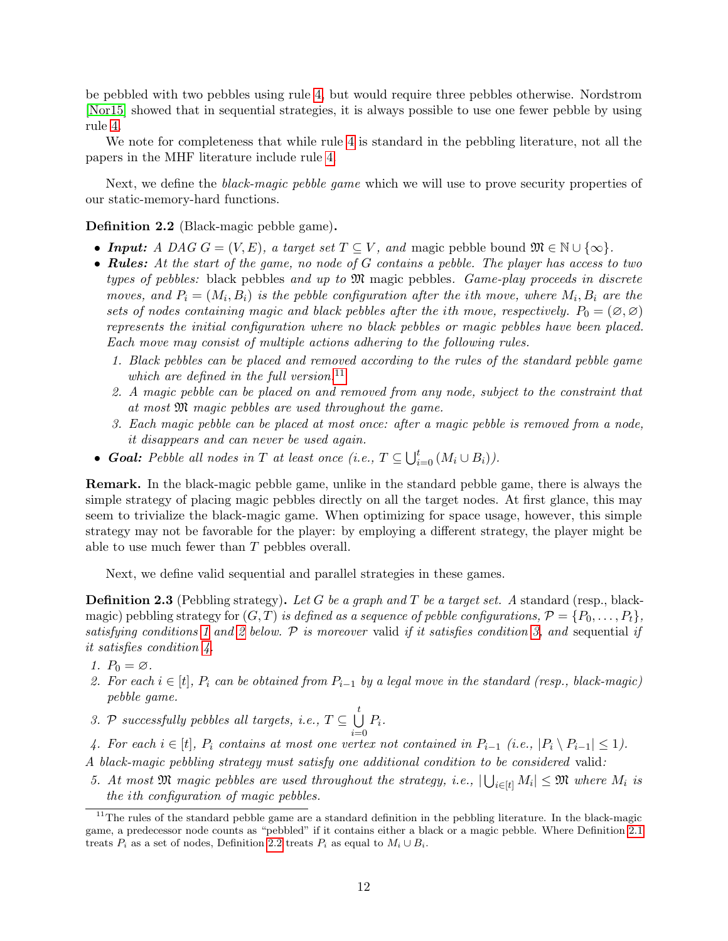be pebbled with two pebbles using rule [4,](#page-10-5) but would require three pebbles otherwise. Nordstrom [\[Nor15\]](#page-49-8) showed that in sequential strategies, it is always possible to use one fewer pebble by using rule [4.](#page-10-5)

We note for completeness that while rule [4](#page-10-5) is standard in the pebbling literature, not all the papers in the MHF literature include rule [4.](#page-10-5)

Next, we define the *black-magic pebble game* which we will use to prove security properties of our static-memory-hard functions.

#### <span id="page-11-0"></span>Definition 2.2 (Black-magic pebble game).

- Input: A DAG  $G = (V, E)$ , a target set  $T \subseteq V$ , and magic pebble bound  $\mathfrak{M} \in \mathbb{N} \cup \{\infty\}.$
- Rules: At the start of the game, no node of G contains a pebble. The player has access to two types of pebbles: black pebbles and up to  $\mathfrak M$  magic pebbles. Game-play proceeds in discrete moves, and  $P_i = (M_i, B_i)$  is the pebble configuration after the ith move, where  $M_i, B_i$  are the sets of nodes containing magic and black pebbles after the ith move, respectively.  $P_0 = (\emptyset, \emptyset)$ represents the initial configuration where no black pebbles or magic pebbles have been placed. Each move may consist of multiple actions adhering to the following rules.
	- 1. Black pebbles can be placed and removed according to the rules of the standard pebble game which are defined in the full version.<sup>[11](#page-11-1)</sup>
	- 2. A magic pebble can be placed on and removed from any node, subject to the constraint that at most M magic pebbles are used throughout the game.
	- 3. Each magic pebble can be placed at most once: after a magic pebble is removed from a node, it disappears and can never be used again.
- Goal: Pebble all nodes in T at least once  $(i.e., T \subseteq \bigcup_{i=0}^{t} (M_i \cup B_i)).$

Remark. In the black-magic pebble game, unlike in the standard pebble game, there is always the simple strategy of placing magic pebbles directly on all the target nodes. At first glance, this may seem to trivialize the black-magic game. When optimizing for space usage, however, this simple strategy may not be favorable for the player: by employing a different strategy, the player might be able to use much fewer than T pebbles overall.

Next, we define valid sequential and parallel strategies in these games.

**Definition 2.3** (Pebbling strategy). Let G be a graph and T be a target set. A standard (resp., blackmagic) pebbling strategy for  $(G, T)$  is defined as a sequence of pebble configurations,  $\mathcal{P} = \{P_0, \ldots, P_t\}$ . satisfying conditions [1](#page-11-2) and [2](#page-11-3) below.  $\mathcal P$  is moreover valid if it satisfies condition [3,](#page-11-4) and sequential if it satisfies condition [4.](#page-11-5)

- <span id="page-11-2"></span>1.  $P_0 = \emptyset$ .
- <span id="page-11-3"></span>2. For each  $i \in [t]$ ,  $P_i$  can be obtained from  $P_{i-1}$  by a legal move in the standard (resp., black-magic) pebble game.
- <span id="page-11-4"></span>3. P successfully pebbles all targets, i.e.,  $T \subseteq \bigcup_{i=1}^{t}$  $\dot{i}=0$  $P_i$ .

<span id="page-11-5"></span>4. For each  $i \in [t], P_i$  contains at most one vertex not contained in  $P_{i-1}$  (i.e.,  $|P_i \setminus P_{i-1}| \leq 1$ ). A black-magic pebbling strategy must satisfy one additional condition to be considered valid:

5. At most  $\mathfrak M$  magic pebbles are used throughout the strategy, i.e.,  $|\bigcup_{i\in[t]}M_i|\leq \mathfrak M$  where  $M_i$  is the ith configuration of magic pebbles.

<span id="page-11-1"></span> $11$ The rules of the standard pebble game are a standard definition in the pebbling literature. In the black-magic game, a predecessor node counts as "pebbled" if it contains either a black or a magic pebble. Where Definition [2.1](#page-10-6) treats  $P_i$  as a set of nodes, Definition [2.2](#page-11-0) treats  $P_i$  as equal to  $M_i \cup B_i$ .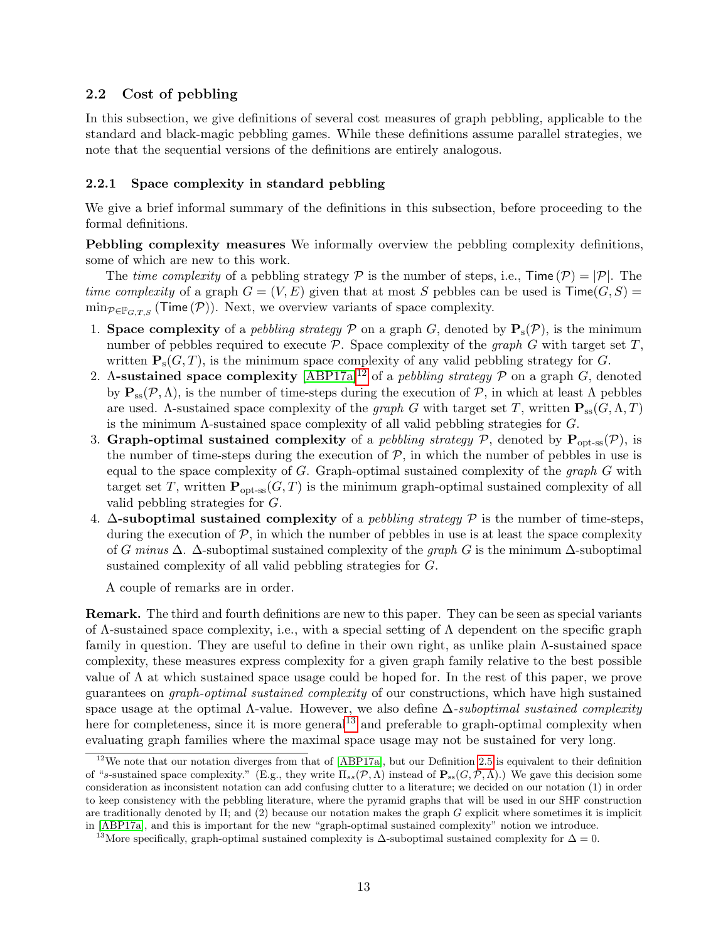### <span id="page-12-0"></span>2.2 Cost of pebbling

In this subsection, we give definitions of several cost measures of graph pebbling, applicable to the standard and black-magic pebbling games. While these definitions assume parallel strategies, we note that the sequential versions of the definitions are entirely analogous.

### <span id="page-12-1"></span>2.2.1 Space complexity in standard pebbling

We give a brief informal summary of the definitions in this subsection, before proceeding to the formal definitions.

Pebbling complexity measures We informally overview the pebbling complexity definitions, some of which are new to this work.

The *time complexity* of a pebbling strategy  $\mathcal P$  is the number of steps, i.e., Time  $(\mathcal P) = |\mathcal P|$ . The time complexity of a graph  $G = (V, E)$  given that at most S pebbles can be used is  $Time(G, S)$  $\min_{\mathcal{P} \in \mathbb{P}_{G, T, S}} (\text{Time}(\mathcal{P}))$ . Next, we overview variants of space complexity.

- 1. Space complexity of a *pebbling strategy*  $\mathcal P$  on a graph  $G$ , denoted by  $P_s(\mathcal P)$ , is the minimum number of pebbles required to execute  $\mathcal P$ . Space complexity of the *graph* G with target set T, written  $P_s(G, T)$ , is the minimum space complexity of any valid pebbling strategy for G.
- 2. A-sustained space complexity  $[ABP17a]^{12}$  $[ABP17a]^{12}$  $[ABP17a]^{12}$  $[ABP17a]^{12}$  of a *pebbling strategy*  $P$  on a graph  $G$ , denoted by  $\mathbf{P}_{ss}(\mathcal{P}, \Lambda)$ , is the number of time-steps during the execution of  $\mathcal{P}$ , in which at least  $\Lambda$  pebbles are used. Λ-sustained space complexity of the graph G with target set T, written  $P_{ss}(G, \Lambda, T)$ is the minimum  $\Lambda$ -sustained space complexity of all valid pebbling strategies for  $G$ .
- 3. Graph-optimal sustained complexity of a *pebbling strategy*  $P$ , denoted by  $P_{\text{out-ss}}(P)$ , is the number of time-steps during the execution of  $P$ , in which the number of pebbles in use is equal to the space complexity of  $G$ . Graph-optimal sustained complexity of the *graph*  $G$  with target set T, written  $\mathbf{P}_{\text{opt-ss}}(G,T)$  is the minimum graph-optimal sustained complexity of all valid pebbling strategies for G.
- 4.  $\Delta$ -suboptimal sustained complexity of a *pebbling strategy*  $\mathcal P$  is the number of time-steps, during the execution of  $P$ , in which the number of pebbles in use is at least the space complexity of G minus  $\Delta$ .  $\Delta$ -suboptimal sustained complexity of the graph G is the minimum  $\Delta$ -suboptimal sustained complexity of all valid pebbling strategies for G.

A couple of remarks are in order.

Remark. The third and fourth definitions are new to this paper. They can be seen as special variants of  $\Lambda$ -sustained space complexity, i.e., with a special setting of  $\Lambda$  dependent on the specific graph family in question. They are useful to define in their own right, as unlike plain Λ-sustained space complexity, these measures express complexity for a given graph family relative to the best possible value of  $\Lambda$  at which sustained space usage could be hoped for. In the rest of this paper, we prove guarantees on graph-optimal sustained complexity of our constructions, which have high sustained space usage at the optimal  $\Lambda$ -value. However, we also define  $\Delta$ -suboptimal sustained complexity here for completeness, since it is more general<sup>[13](#page-12-3)</sup> and preferable to graph-optimal complexity when evaluating graph families where the maximal space usage may not be sustained for very long.

<span id="page-12-2"></span><sup>&</sup>lt;sup>12</sup>We note that our notation diverges from that of  $[ABP17a]$ , but our Definition [2.5](#page-13-2) is equivalent to their definition of "s-sustained space complexity." (E.g., they write  $\Pi_{ss}(\mathcal{P}, \Lambda)$  instead of  $\mathbf{P}_{ss}(G, \mathcal{P}, \Lambda)$ .) We gave this decision some consideration as inconsistent notation can add confusing clutter to a literature; we decided on our notation (1) in order to keep consistency with the pebbling literature, where the pyramid graphs that will be used in our SHF construction are traditionally denoted by  $\Pi$ ; and (2) because our notation makes the graph G explicit where sometimes it is implicit in [\[ABP17a\]](#page-46-3), and this is important for the new "graph-optimal sustained complexity" notion we introduce.

<span id="page-12-3"></span><sup>&</sup>lt;sup>13</sup>More specifically, graph-optimal sustained complexity is  $\Delta$ -suboptimal sustained complexity for  $\Delta = 0$ .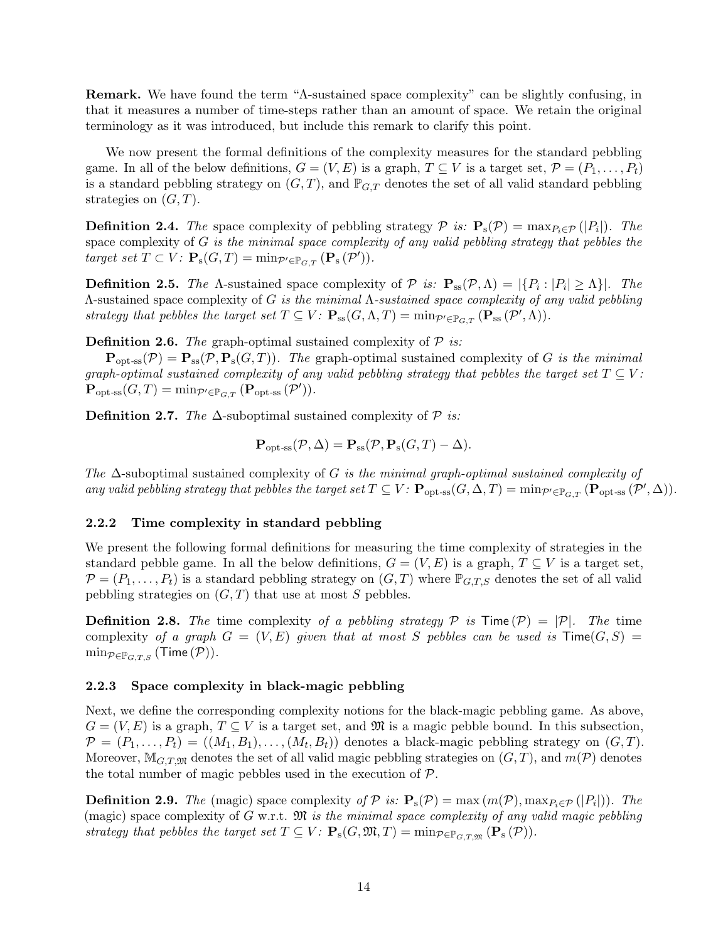Remark. We have found the term "Λ-sustained space complexity" can be slightly confusing, in that it measures a number of time-steps rather than an amount of space. We retain the original terminology as it was introduced, but include this remark to clarify this point.

We now present the formal definitions of the complexity measures for the standard pebbling game. In all of the below definitions,  $G = (V, E)$  is a graph,  $T \subseteq V$  is a target set,  $\mathcal{P} = (P_1, \ldots, P_t)$ is a standard pebbling strategy on  $(G, T)$ , and  $\mathbb{P}_{G,T}$  denotes the set of all valid standard pebbling strategies on  $(G, T)$ .

**Definition 2.4.** The space complexity of pebbling strategy  $P$  is:  $P_s(P) = \max_{P_i \in \mathcal{P}} (|P_i|)$ . The space complexity of  $G$  is the minimal space complexity of any valid pebbling strategy that pebbles the target set  $T \subset V$ :  $\mathbf{P}_{s}(G,T) = \min_{\mathcal{P}' \in \mathbb{P}_{G,T}} (\mathbf{P}_{s}(\mathcal{P}')).$ 

<span id="page-13-2"></span>**Definition 2.5.** The  $\Lambda$ -sustained space complexity of  $\mathcal{P}$  is:  $\mathbf{P}_{ss}(\mathcal{P}, \Lambda) = |\{P_i : |P_i| \geq \Lambda\}|$ . The  $Λ$ -sustained space complexity of G is the minimal  $Λ$ -sustained space complexity of any valid pebbling strategy that pebbles the target set  $T \subseteq V$ :  $\mathbf{P}_{ss}(G, \Lambda, T) = \min_{\mathcal{P}' \in \mathbb{P}_{G,T}} (\mathbf{P}_{ss}(\mathcal{P}', \Lambda)).$ 

**Definition 2.6.** The graph-optimal sustained complexity of  $P$  is:

 ${\bf P}_{\rm opt\text{-}ss}(\mathcal{P})={\bf P}_{\rm ss}(\mathcal{P},{\bf P}_{\rm s}(G,T)).$  The graph-optimal sustained complexity of G is the minimal graph-optimal sustained complexity of any valid pebbling strategy that pebbles the target set  $T \subseteq V$ :  $\mathbf{P}_{\mathrm{opt\text{-}ss}}(G,T) = \min_{\mathcal{P}' \in \mathbb{P}_{G,T}} (\mathbf{P}_{\mathrm{opt\text{-}ss}}(\mathcal{P}')).$ 

Definition 2.7. The  $\Delta$ -suboptimal sustained complexity of  $\mathcal P$  is:

$$
\mathbf{P}_{\rm opt\text{-}ss}(\mathcal{P}, \Delta) = \mathbf{P}_{\rm ss}(\mathcal{P}, \mathbf{P}_{\rm s}(G, T) - \Delta).
$$

The  $\Delta$ -suboptimal sustained complexity of G is the minimal graph-optimal sustained complexity of any valid pebbling strategy that pebbles the target set  $T \subseteq V$ :  $\mathbf{P}_{\text{opt-ss}}(G, \Delta, T) = \min_{\mathcal{P}' \in \mathbb{P}_{G,T}} (\mathbf{P}_{\text{opt-ss}}(\mathcal{P}', \Delta)).$ 

#### <span id="page-13-0"></span>2.2.2 Time complexity in standard pebbling

We present the following formal definitions for measuring the time complexity of strategies in the standard pebble game. In all the below definitions,  $G = (V, E)$  is a graph,  $T \subseteq V$  is a target set,  $\mathcal{P} = (P_1, \ldots, P_t)$  is a standard pebbling strategy on  $(G, T)$  where  $\mathbb{P}_{G,T,S}$  denotes the set of all valid pebbling strategies on  $(G, T)$  that use at most S pebbles.

**Definition 2.8.** The time complexity of a pebbling strategy  $P$  is  $Time (P) = |P|$ . The time complexity of a graph  $G = (V, E)$  given that at most S pebbles can be used is  $\text{Time}(G, S)$  $\min_{\mathcal{P} \in \mathbb{P}_{G, T, S}} (\mathsf{Time}(\mathcal{P})).$ 

#### <span id="page-13-1"></span>2.2.3 Space complexity in black-magic pebbling

Next, we define the corresponding complexity notions for the black-magic pebbling game. As above,  $G = (V, E)$  is a graph,  $T \subseteq V$  is a target set, and  $\mathfrak{M}$  is a magic pebble bound. In this subsection,  $\mathcal{P} = (P_1, \ldots, P_t) = ((M_1, B_1), \ldots, (M_t, B_t))$  denotes a black-magic pebbling strategy on  $(G, T)$ . Moreover,  $\mathbb{M}_{G,T,\mathfrak{M}}$  denotes the set of all valid magic pebbling strategies on  $(G,T)$ , and  $m(\mathcal{P})$  denotes the total number of magic pebbles used in the execution of  $P$ .

<span id="page-13-3"></span>**Definition 2.9.** The (magic) space complexity of  $P$  is:  $P_s(P) = \max(m(P), \max_{P_i \in P} (|P_i|))$ . The (magic) space complexity of  $G$  w.r.t.  $\mathfrak M$  is the minimal space complexity of any valid magic pebbling strategy that pebbles the target set  $T \subseteq V$ :  $\mathbf{P}_{s}(G,\mathfrak{M},T) = \min_{\mathcal{P} \in \mathbb{P}_{G,T,\mathfrak{M}}} (\mathbf{P}_{s}(\mathcal{P})).$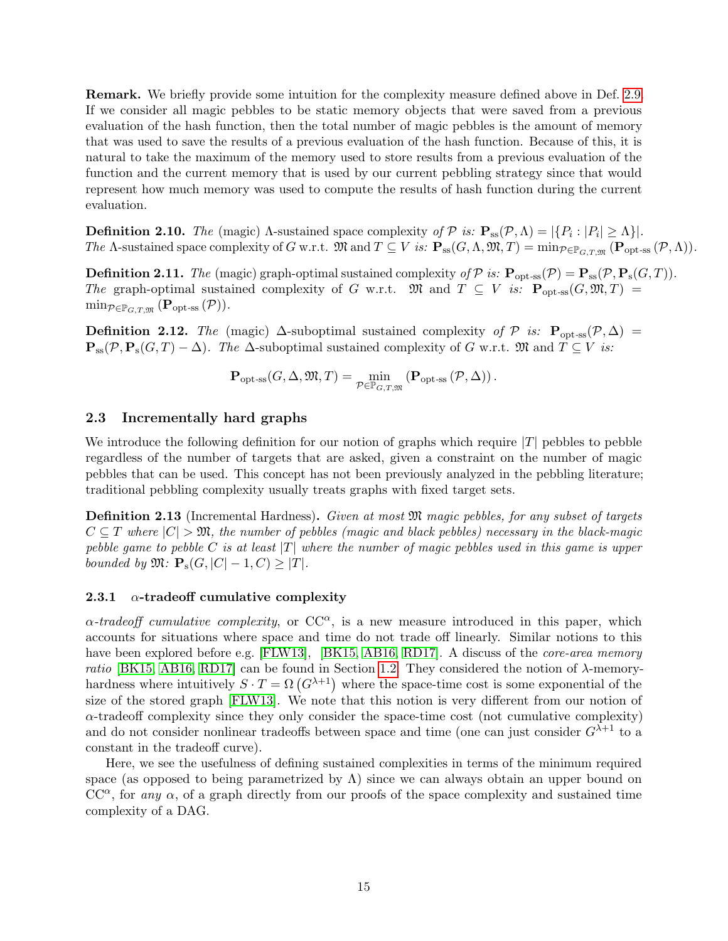Remark. We briefly provide some intuition for the complexity measure defined above in Def. [2.9.](#page-13-3) If we consider all magic pebbles to be static memory objects that were saved from a previous evaluation of the hash function, then the total number of magic pebbles is the amount of memory that was used to save the results of a previous evaluation of the hash function. Because of this, it is natural to take the maximum of the memory used to store results from a previous evaluation of the function and the current memory that is used by our current pebbling strategy since that would represent how much memory was used to compute the results of hash function during the current evaluation.

**Definition 2.10.** The (magic)  $\Lambda$ -sustained space complexity of  $\mathcal{P}$  is:  $\mathbf{P}_{ss}(\mathcal{P}, \Lambda) = |\{P_i : |P_i| \geq \Lambda\}|$ . The A-sustained space complexity of G w.r.t.  $\mathfrak{M}$  and  $T \subseteq V$  is:  $\mathbf{P}_{ss}(G, \Lambda, \mathfrak{M}, T) = \min_{\mathcal{P} \in \mathbb{P}_{G,T}, \mathfrak{M}} (\mathbf{P}_{\text{opt-ss}}(\mathcal{P}, \Lambda)).$ 

**Definition 2.11.** The (magic) graph-optimal sustained complexity of P is:  $\mathbf{P}_{opt\text{-ss}}(\mathcal{P}) = \mathbf{P}_{ss}(\mathcal{P}, \mathbf{P}_s(G, T)).$ The graph-optimal sustained complexity of G w.r.t. M and  $T \subseteq V$  is:  $P_{opt-ss}(G, \mathfrak{M}, T) =$  $\min_{\mathcal{P} \in \mathbb{P}_{G,T,\mathfrak{M}}} (\mathbf{P}_{\mathrm{opt-ss}}(\mathcal{P})).$ 

**Definition 2.12.** The (magic)  $\Delta$ -suboptimal sustained complexity of P is:  $P_{opt-ss}(P, \Delta)$  =  $\mathbf{P}_{ss}(\mathcal{P}, \mathbf{P}_s(G, T) - \Delta)$ . The  $\Delta$ -suboptimal sustained complexity of G w.r.t. M and  $T \subseteq V$  is:

$$
\mathbf{P}_{\rm opt\text{-}ss}(G,\Delta,\mathfrak{M},T)=\min_{\mathcal{P}\in\mathbb{P}_{G,T,\mathfrak{M}}} \left(\mathbf{P}_{\rm opt\text{-}ss}\left(\mathcal{P},\Delta\right)\right).
$$

#### <span id="page-14-0"></span>2.3 Incrementally hard graphs

We introduce the following definition for our notion of graphs which require  $|T|$  pebbles to pebble regardless of the number of targets that are asked, given a constraint on the number of magic pebbles that can be used. This concept has not been previously analyzed in the pebbling literature; traditional pebbling complexity usually treats graphs with fixed target sets.

<span id="page-14-2"></span>**Definition 2.13** (Incremental Hardness). Given at most  $\mathfrak{M}$  magic pebbles, for any subset of targets  $C \subseteq T$  where  $|C| > \mathfrak{M}$ , the number of pebbles (magic and black pebbles) necessary in the black-magic pebble game to pebble C is at least  $|T|$  where the number of magic pebbles used in this game is upper bounded by  $\mathfrak{M}$ :  $\mathbf{P}_s(G, |C| - 1, C) > |T|$ .

#### <span id="page-14-1"></span>2.3.1  $\alpha$ -tradeoff cumulative complexity

 $\alpha$ -tradeoff cumulative complexity, or CC<sup> $\alpha$ </sup>, is a new measure introduced in this paper, which accounts for situations where space and time do not trade off linearly. Similar notions to this have been explored before e.g. [\[FLW13\]](#page-48-9), [\[BK15,](#page-47-5) [AB16,](#page-46-1) [RD17\]](#page-49-10). A discuss of the *core-area memory* ratio [\[BK15,](#page-47-5) [AB16,](#page-46-1) [RD17\]](#page-49-10) can be found in Section [1.2.](#page-4-1) They considered the notion of  $\lambda$ -memoryhardness where intuitively  $S \cdot T = \Omega(G^{\lambda+1})$  where the space-time cost is some exponential of the size of the stored graph [\[FLW13\]](#page-48-9). We note that this notion is very different from our notion of  $\alpha$ -tradeoff complexity since they only consider the space-time cost (not cumulative complexity) and do not consider nonlinear tradeoffs between space and time (one can just consider  $G^{\lambda+1}$  to a constant in the tradeoff curve).

Here, we see the usefulness of defining sustained complexities in terms of the minimum required space (as opposed to being parametrized by  $\Lambda$ ) since we can always obtain an upper bound on CC<sup> $\alpha$ </sup>, for any  $\alpha$ , of a graph directly from our proofs of the space complexity and sustained time complexity of a DAG.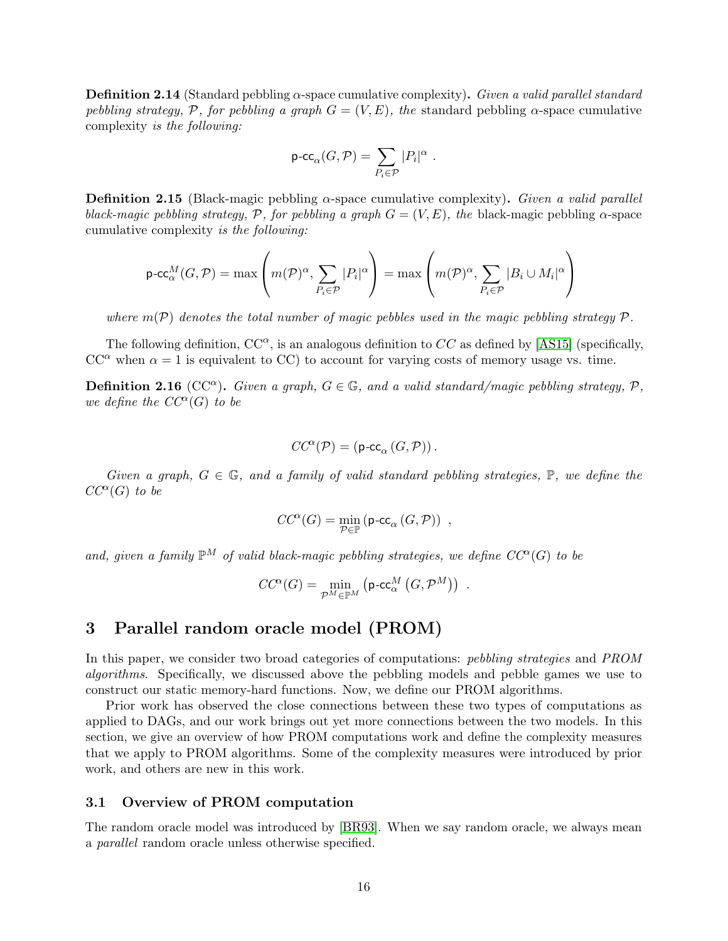**Definition 2.14** (Standard pebbling  $\alpha$ -space cumulative complexity). Given a valid parallel standard pebbling strategy, P, for pebbling a graph  $G = (V, E)$ , the standard pebbling  $\alpha$ -space cumulative complexity is the following:

$$
\mathrm{p\text{-}cc}_\alpha(G,\mathcal{P})=\sum_{P_i\in\mathcal{P}}|P_i|^\alpha
$$

.

**Definition 2.15** (Black-magic pebbling  $\alpha$ -space cumulative complexity). Given a valid parallel black-magic pebbling strategy, P, for pebbling a graph  $G = (V, E)$ , the black-magic pebbling  $\alpha$ -space cumulative complexity is the following:

$$
\mathsf{p}\text{-cc}^M_\alpha(G,\mathcal{P}) = \max\left(m(\mathcal{P})^\alpha, \sum_{P_i \in \mathcal{P}} |P_i|^\alpha\right) = \max\left(m(\mathcal{P})^\alpha, \sum_{P_i \in \mathcal{P}} |B_i \cup M_i|^\alpha\right)
$$

where  $m(\mathcal{P})$  denotes the total number of magic pebbles used in the magic pebbling strategy  $\mathcal{P}$ .

The following definition,  $CC^{\alpha}$ , is an analogous definition to  $CC$  as defined by [\[AS15\]](#page-46-5) (specifically,  $CC^{\alpha}$  when  $\alpha = 1$  is equivalent to CC) to account for varying costs of memory usage vs. time.

<span id="page-15-2"></span>**Definition 2.16** (CC<sup> $\alpha$ </sup>). Given a graph,  $G \in \mathbb{G}$ , and a valid standard/magic pebbling strategy, P, we define the  $CC^{\alpha}(G)$  to be

$$
\mathit{CC}^\alpha(\mathcal{P}) = \left( \mathsf{p{\textrm{-}}cc}_\alpha\left(G,\mathcal{P}\right) \right).
$$

Given a graph,  $G \in \mathbb{G}$ , and a family of valid standard pebbling strategies,  $\mathbb{P}$ , we define the  $CC^{\alpha}(G)$  to be

$$
CC^{\alpha}(G)=\min_{{\mathcal P} \in {\mathbb P}}\left({\rm p\text{-}cc}_{\alpha}\left(G,{\mathcal P}\right)\right) \ ,
$$

and, given a family  $\mathbb{P}^M$  of valid black-magic pebbling strategies, we define  $CC^{\alpha}(G)$  to be

$$
CC^{\alpha}(G) = \min_{\mathcal{P}^M \in \mathbb{P}^M} \left( \mathsf{p}\text{-}\mathsf{cc}^M_{\alpha}\left(G, \mathcal{P}^M\right) \right) \ .
$$

## <span id="page-15-0"></span>3 Parallel random oracle model (PROM)

In this paper, we consider two broad categories of computations: *pebbling strategies* and PROM algorithms. Specifically, we discussed above the pebbling models and pebble games we use to construct our static memory-hard functions. Now, we define our PROM algorithms.

Prior work has observed the close connections between these two types of computations as applied to DAGs, and our work brings out yet more connections between the two models. In this section, we give an overview of how PROM computations work and define the complexity measures that we apply to PROM algorithms. Some of the complexity measures were introduced by prior work, and others are new in this work.

#### <span id="page-15-1"></span>3.1 Overview of PROM computation

The random oracle model was introduced by [\[BR93\]](#page-47-8). When we say random oracle, we always mean a parallel random oracle unless otherwise specified.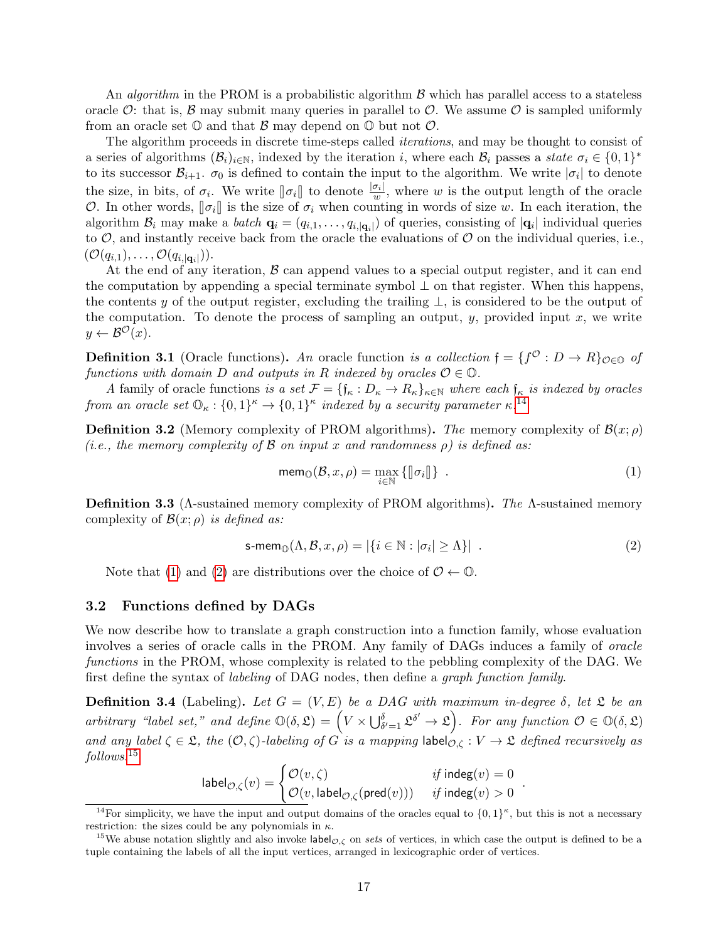An *algorithm* in the PROM is a probabilistic algorithm  $\beta$  which has parallel access to a stateless oracle  $\mathcal{O}$ : that is,  $\mathcal{B}$  may submit many queries in parallel to  $\mathcal{O}$ . We assume  $\mathcal{O}$  is sampled uniformly from an oracle set  $\mathbb O$  and that  $\mathcal B$  may depend on  $\mathbb O$  but not  $\mathcal O$ .

The algorithm proceeds in discrete time-steps called *iterations*, and may be thought to consist of a series of algorithms  $(\mathcal{B}_i)_{i\in\mathbb{N}}$ , indexed by the iteration i, where each  $\mathcal{B}_i$  passes a state  $\sigma_i \in \{0,1\}^*$ to its successor  $\mathcal{B}_{i+1}$ .  $\sigma_0$  is defined to contain the input to the algorithm. We write  $|\sigma_i|$  to denote the size, in bits, of  $\sigma_i$ . We write  $\|\sigma_i\|$  to denote  $\frac{|\sigma_i|}{w}$ , where w is the output length of the oracle  $\Omega$ . In other words,  $\|\sigma_i\|$  is the size of  $\sigma_i$  when counting in words of size  $w$ . In each iteration, O. In other words,  $\|\sigma_i\|$  is the size of  $\sigma_i$  when counting in words of size w. In each iteration, the algorithm  $B_i$  may make a *batch*  $\mathbf{q}_i = (q_{i,1}, \ldots, q_{i,|\mathbf{q}_i|})$  of queries, consisting of  $|\mathbf{q}_i|$  individual queries to  $\mathcal{O}$ , and instantly receive back from the oracle the evaluations of  $\mathcal{O}$  on the individual queries, i.e.,  $(\mathcal{O}(q_{i,1}), \ldots, \mathcal{O}(q_{i,|\mathbf{q}_i|})).$ 

At the end of any iteration,  $\beta$  can append values to a special output register, and it can end the computation by appending a special terminate symbol  $\perp$  on that register. When this happens, the contents y of the output register, excluding the trailing ⊥, is considered to be the output of the computation. To denote the process of sampling an output,  $y$ , provided input  $x$ , we write  $y \leftarrow \mathcal{B}^{\mathcal{O}}(x).$ 

**Definition 3.1** (Oracle functions). An oracle function is a collection  $\mathfrak{f} = \{f^{\mathcal{O}} : D \to R\}_{\mathcal{O} \in \mathbb{O}}$  of functions with domain D and outputs in R indexed by oracles  $\mathcal{O} \in \mathbb{O}$ .

A family of oracle functions is a set  $\mathcal{F} = \{\mathfrak{f}_{\kappa} : D_{\kappa} \to R_{\kappa}\}_{\kappa \in \mathbb{N}}$  where each  $\mathfrak{f}_{\kappa}$  is indexed by oracles from an oracle set  $\mathbb{O}_\kappa: \{0,1\}^\kappa \to \{0,1\}^\kappa$  indexed by a security parameter  $\kappa$ .<sup>[14](#page-16-1)</sup>

**Definition 3.2** (Memory complexity of PROM algorithms). The memory complexity of  $\mathcal{B}(x; \rho)$ (i.e., the memory complexity of B on input x and randomness  $\rho$ ) is defined as:

<span id="page-16-2"></span>
$$
\mathsf{mem}_{\mathbb{O}}(\mathcal{B}, x, \rho) = \max_{i \in \mathbb{N}} \{ \llbracket \sigma_i \rrbracket \} . \tag{1}
$$

.

Definition 3.3 (Λ-sustained memory complexity of PROM algorithms). The Λ-sustained memory complexity of  $\mathcal{B}(x;\rho)$  is defined as:

<span id="page-16-3"></span>
$$
\mathsf{s\text{-}mem}_{\mathbb{O}}(\Lambda, \mathcal{B}, x, \rho) = |\{i \in \mathbb{N} : |\sigma_i| \ge \Lambda\}| \tag{2}
$$

Note that [\(1\)](#page-16-2) and [\(2\)](#page-16-3) are distributions over the choice of  $\mathcal{O} \leftarrow \mathbb{O}$ .

#### <span id="page-16-0"></span>3.2 Functions defined by DAGs

We now describe how to translate a graph construction into a function family, whose evaluation involves a series of oracle calls in the PROM. Any family of DAGs induces a family of oracle functions in the PROM, whose complexity is related to the pebbling complexity of the DAG. We first define the syntax of labeling of DAG nodes, then define a graph function family.

**Definition 3.4** (Labeling). Let  $G = (V, E)$  be a DAG with maximum in-degree  $\delta$ , let  $\mathfrak L$  be an arbitrary "label set," and define  $\mathbb{O}(\delta, \mathfrak{L}) = (V \times \bigcup_{\delta'=1}^{\delta} \mathfrak{L}^{\delta'} \to \mathfrak{L}).$  For any function  $\mathcal{O} \in \mathbb{O}(\delta, \mathfrak{L})$ and any label  $\zeta \in \mathfrak{L}$ , the  $(\mathcal{O}, \zeta)$ -labeling of  $G$  is a mapping label  $\zeta, \zeta : V \to \mathfrak{L}$  defined recursively as follows.[15](#page-16-4)

$$
\mathsf{label}_{\mathcal{O},\zeta}(v) = \begin{cases} \mathcal{O}(v,\zeta) & \textit{if~indeg}(v) = 0 \\ \mathcal{O}(v,\mathsf{label}_{\mathcal{O},\zeta}(\mathsf{pred}(v))) & \textit{if~indeg}(v) > 0 \end{cases}
$$

<span id="page-16-1"></span><sup>&</sup>lt;sup>14</sup>For simplicity, we have the input and output domains of the oracles equal to  $\{0,1\}^{\kappa}$ , but this is not a necessary restriction: the sizes could be any polynomials in  $\kappa$ .

<span id="page-16-4"></span><sup>&</sup>lt;sup>15</sup>We abuse notation slightly and also invoke label<sub> $\mathcal{O}, \zeta$ </sub> on sets of vertices, in which case the output is defined to be a tuple containing the labels of all the input vertices, arranged in lexicographic order of vertices.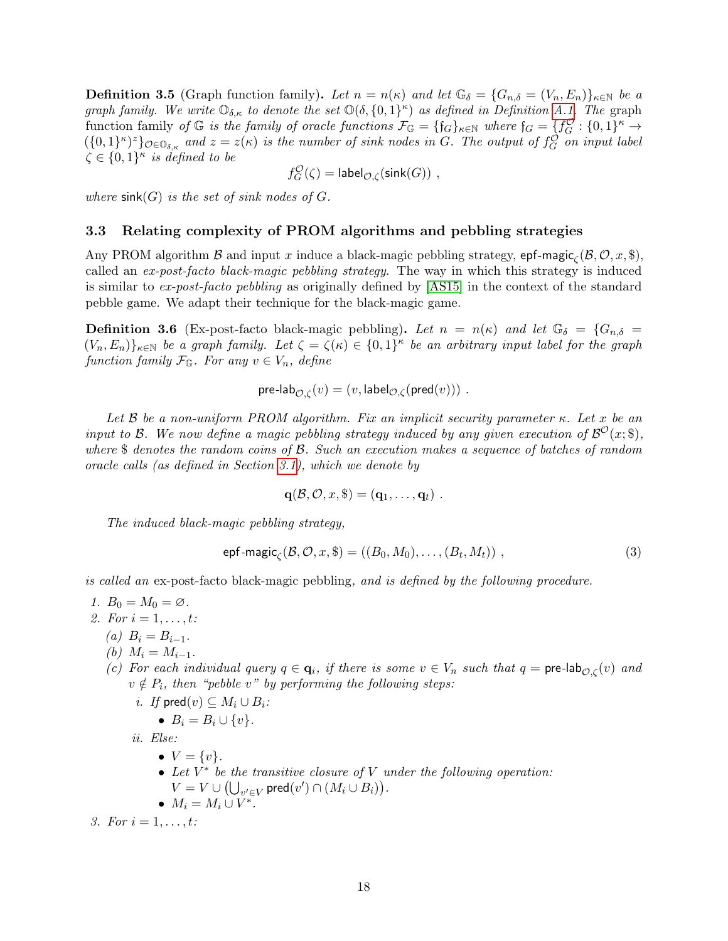**Definition 3.5** (Graph function family). Let  $n = n(\kappa)$  and let  $\mathbb{G}_{\delta} = \{G_{n,\delta} = (V_n, E_n)\}_{\kappa \in \mathbb{N}}$  be a graph family. We write  $\mathbb{O}_{\delta,\kappa}$  to denote the set  $\mathbb{O}(\delta,\{0,1\}^{\kappa})$  as defined in Definition [A.1.](#page-50-2) The graph function family of G is the family of oracle functions  $\mathcal{F}_{\mathbb{G}} = \{f_G\}_{\kappa \in \mathbb{N}}$  where  $f_G = \{f_G^{\mathcal{O}} : \{0,1\}^{\kappa} \to$  $({0,1})^{\kappa})^z\}_{\mathcal{O}\in\mathbb{O}_{\delta,\kappa}}$  and  $z=z(\kappa)$  is the number of sink nodes in G. The output of  $f_G^{\mathcal{O}}$  on input label  $\zeta \in \{0,1\}^{\kappa}$  is defined to be

$$
f_G^{\mathcal{O}}(\zeta) = \mathsf{label}_{\mathcal{O},\zeta}(\mathsf{sink}(G)) \;,
$$

where  $\mathsf{sink}(G)$  is the set of sink nodes of  $G$ .

#### <span id="page-17-0"></span>3.3 Relating complexity of PROM algorithms and pebbling strategies

Any PROM algorithm  $\mathcal B$  and input x induce a black-magic pebbling strategy, epf-magic<sub> $\zeta$ </sub>( $\mathcal B$ , $\mathcal O$ , x, \$), called an ex-post-facto black-magic pebbling strategy. The way in which this strategy is induced is similar to ex-post-facto pebbling as originally defined by [\[AS15\]](#page-46-5) in the context of the standard pebble game. We adapt their technique for the black-magic game.

**Definition 3.6** (Ex-post-facto black-magic pebbling). Let  $n = n(\kappa)$  and let  $\mathbb{G}_{\delta} = \{G_{n,\delta} =$  $(V_n, E_n)$ <sub> $\kappa \in \mathbb{N}$ </sub> be a graph family. Let  $\zeta = \zeta(\kappa) \in \{0,1\}^{\kappa}$  be an arbitrary input label for the graph function family  $\mathcal{F}_{\mathbb{G}}$ . For any  $v \in V_n$ , define

pre-lab
$$
\mathcal{O}_{\zeta}(v) = (v, \text{label}_{\mathcal{O},\zeta}(\text{pred}(v)))
$$
.

Let  $\mathcal B$  be a non-uniform PROM algorithm. Fix an implicit security parameter  $\kappa$ . Let x be an input to B. We now define a magic pebbling strategy induced by any given execution of  $\mathcal{B}^{\mathcal{O}}(x;\$)$ , where \$ denotes the random coins of B. Such an execution makes a sequence of batches of random oracle calls (as defined in Section [3.1\)](#page-15-1), which we denote by

$$
\mathbf{q}(\mathcal{B},\mathcal{O},x,\$) = (\mathbf{q}_1,\ldots,\mathbf{q}_t) \; .
$$

The induced black-magic pebbling strategy,

$$
\mathsf{epf-magic}_{\zeta}(\mathcal{B}, \mathcal{O}, x, \$) = ((B_0, M_0), \dots, (B_t, M_t)) ,
$$
\n
$$
(3)
$$

is called an ex-post-facto black-magic pebbling, and is defined by the following procedure.

- 1.  $B_0 = M_0 = \emptyset$ .
- 2. For  $i = 1, ..., t$ :
	- (a)  $B_i = B_{i-1}$ .
	- (b)  $M_i = M_{i-1}$ .
	- (c) For each individual query  $q \in \mathbf{q}_i$ , if there is some  $v \in V_n$  such that  $q = \text{pre-lab}_{\mathcal{O},\zeta}(v)$  and  $v \notin P_i$ , then "pebble v" by performing the following steps:
		- i. If  $\textsf{pred}(v) \subseteq M_i \cup B_i$ :
			- $B_i = B_i \cup \{v\}.$

ii. Else:

- $V = \{v\}.$
- Let  $V^*$  be the transitive closure of V under the following operation:  $V = V \cup (\bigcup_{v' \in V} \mathsf{pred}(v') \cap (M_i \cup B_i)).$

• 
$$
M_i = M_i \cup V^*.
$$

3. For  $i = 1, ..., t$ :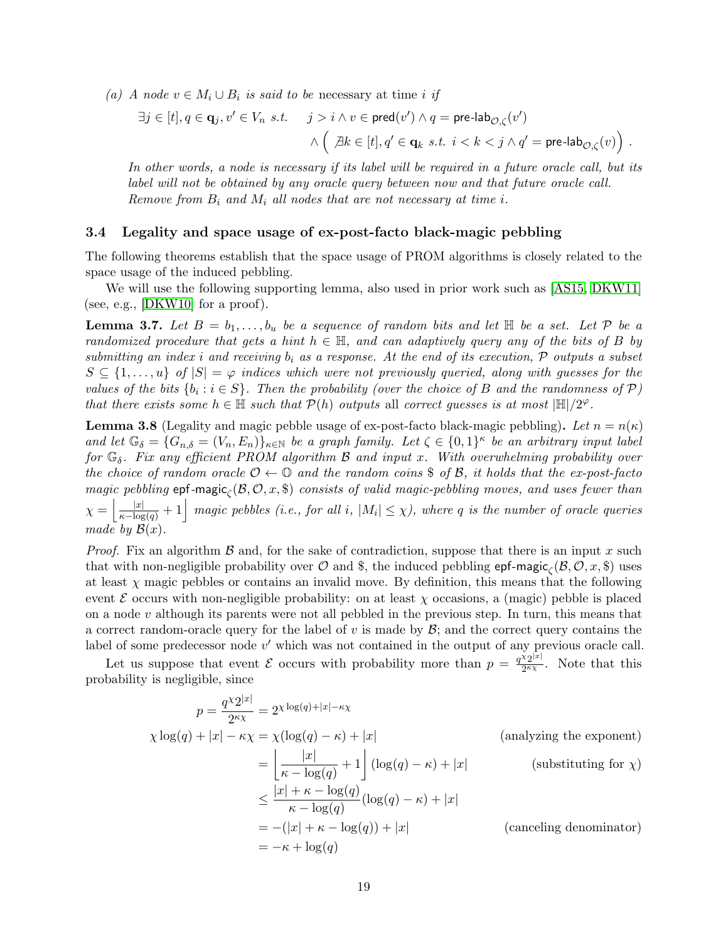(a) A node  $v \in M_i \cup B_i$  is said to be necessary at time i if

$$
\exists j \in [t], q \in \mathbf{q}_j, v' \in V_n \text{ s.t. } j > i \land v \in \mathsf{pred}(v') \land q = \mathsf{pre}\text{-}\mathsf{lab}_{\mathcal{O},\zeta}(v')
$$

$$
\land \left( \not\exists k \in [t], q' \in \mathbf{q}_k \text{ s.t. } i < k < j \land q' = \mathsf{pre}\text{-}\mathsf{lab}_{\mathcal{O},\zeta}(v) \right) .
$$

In other words, a node is necessary if its label will be required in a future oracle call, but its label will not be obtained by any oracle query between now and that future oracle call. Remove from  $B_i$  and  $M_i$  all nodes that are not necessary at time i.

#### <span id="page-18-0"></span>3.4 Legality and space usage of ex-post-facto black-magic pebbling

The following theorems establish that the space usage of PROM algorithms is closely related to the space usage of the induced pebbling.

We will use the following supporting lemma, also used in prior work such as [\[AS15,](#page-46-5) [DKW11\]](#page-48-4) (see, e.g.,  $[DKW10]$  for a proof).

<span id="page-18-1"></span>**Lemma 3.7.** Let  $B = b_1, \ldots, b_u$  be a sequence of random bits and let  $\mathbb{H}$  be a set. Let  $\mathcal{P}$  be a randomized procedure that gets a hint  $h \in \mathbb{H}$ , and can adaptively query any of the bits of B by submitting an index i and receiving  $b_i$  as a response. At the end of its execution,  $\mathcal P$  outputs a subset  $S \subseteq \{1, \ldots, u\}$  of  $|S| = \varphi$  indices which were not previously queried, along with guesses for the values of the bits  $\{b_i : i \in S\}$ . Then the probability (over the choice of B and the randomness of P) that there exists some  $h \in \mathbb{H}$  such that  $\mathcal{P}(h)$  outputs all correct guesses is at most  $|\mathbb{H}|/2^{\varphi}$ .

<span id="page-18-2"></span>**Lemma 3.8** (Legality and magic pebble usage of ex-post-facto black-magic pebbling). Let  $n = n(\kappa)$ and let  $\mathbb{G}_{\delta} = \{G_{n,\delta} = (V_n, E_n)\}_{\kappa \in \mathbb{N}}$  be a graph family. Let  $\zeta \in \{0,1\}^{\kappa}$  be an arbitrary input label for  $\mathbb{G}_{\delta}$ . Fix any efficient PROM algorithm  $\beta$  and input x. With overwhelming probability over the choice of random oracle  $\mathcal{O} \leftarrow \mathbb{O}$  and the random coins \$ of B, it holds that the ex-post-facto magic pebbling epf-magic<sub> $\zeta(\mathcal{B}, \mathcal{O}, x, \mathcal{S})$  consists of valid magic-pebbling moves, and uses fewer than</sub>  $\chi = \left| \frac{|x|}{\kappa - \log(q)} + 1 \right|$  magic pebbles (i.e., for all i,  $|M_i| \leq \chi$ ), where q is the number of oracle queries made by  $\mathcal{B}(x)$ .

*Proof.* Fix an algorithm  $\beta$  and, for the sake of contradiction, suppose that there is an input x such that with non-negligible probability over  $\cal O$  and \$, the induced pebbling  $\mathsf{epf-magic}_\zeta({\cal B},{\cal O},x,\$)$  uses at least  $\chi$  magic pebbles or contains an invalid move. By definition, this means that the following event  $\mathcal E$  occurs with non-negligible probability: on at least  $\chi$  occasions, a (magic) pebble is placed on a node v although its parents were not all pebbled in the previous step. In turn, this means that a correct random-oracle query for the label of v is made by  $\mathcal{B}$ ; and the correct query contains the label of some predecessor node  $v'$  which was not contained in the output of any previous oracle call.

Let us suppose that event  $\mathcal E$  occurs with probability more than  $p = \frac{q^{\chi}2^{|x|}}{2\kappa\chi}$  $\frac{x_2^{(2-\alpha)}}{2\kappa x}$ . Note that this probability is negligible, since

$$
p = \frac{q^{\chi}2|x|}{2^{\kappa\chi}} = 2^{\chi \log(q) + |x| - \kappa\chi}
$$
  
\n
$$
\chi \log(q) + |x| - \kappa\chi = \chi(\log(q) - \kappa) + |x|
$$
 (analyzing the exponent)  
\n
$$
= \left[ \frac{|x|}{\kappa - \log(q)} + 1 \right] (\log(q) - \kappa) + |x|
$$
 (substituting for  $\chi$ )  
\n
$$
\leq \frac{|x| + \kappa - \log(q)}{\kappa - \log(q)} (\log(q) - \kappa) + |x|
$$
  
\n
$$
= -(|x| + \kappa - \log(q)) + |x|
$$
 (canceling denominator)  
\n
$$
= -\kappa + \log(q)
$$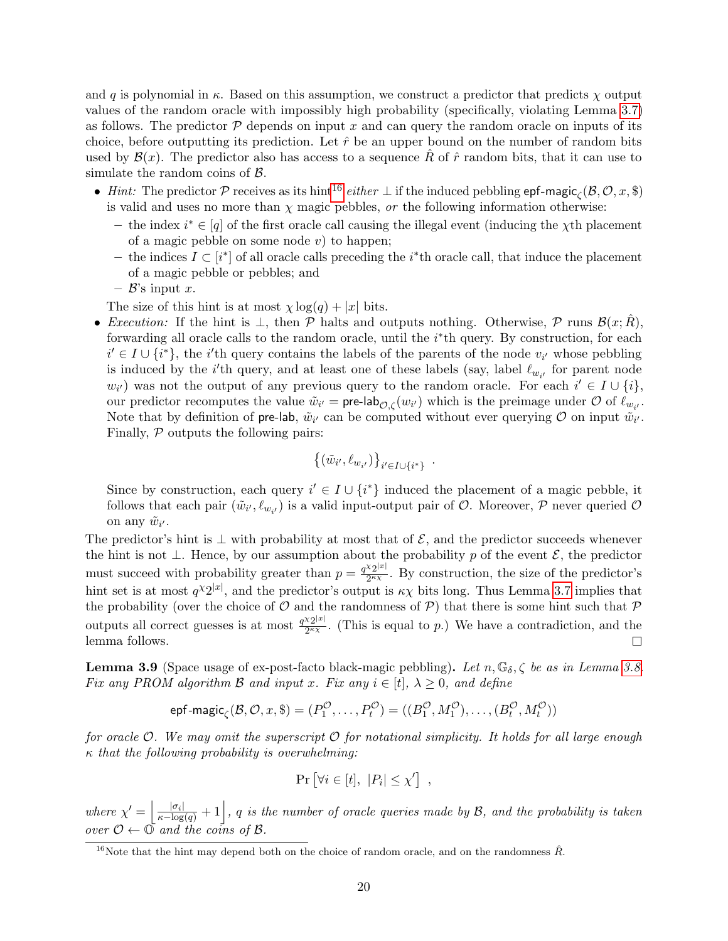and q is polynomial in  $\kappa$ . Based on this assumption, we construct a predictor that predicts  $\chi$  output values of the random oracle with impossibly high probability (specifically, violating Lemma [3.7\)](#page-18-1) as follows. The predictor  $P$  depends on input x and can query the random oracle on inputs of its choice, before outputting its prediction. Let  $\hat{r}$  be an upper bound on the number of random bits used by  $\mathcal{B}(x)$ . The predictor also has access to a sequence  $\hat{R}$  of  $\hat{r}$  random bits, that it can use to simulate the random coins of  $\beta$ .

- *Hint*: The predictor  $P$  receives as its hint<sup>[16](#page-19-0)</sup> either  $\perp$  if the induced pebbling epf-magic<sub> $\zeta$ </sub>( $\mathcal{B}, \mathcal{O}, x, \$$ ) is valid and uses no more than  $\chi$  magic pebbles, or the following information otherwise:
	- $−$  the index  $i^* ∈ [q]$  of the first oracle call causing the illegal event (inducing the χth placement of a magic pebble on some node  $v$ ) to happen;
	- − the indices  $I \subset [i^*]$  of all oracle calls preceding the i<sup>\*</sup>th oracle call, that induce the placement of a magic pebble or pebbles; and
	- $-$  B's input x.

The size of this hint is at most  $\chi \log(q) + |x|$  bits.

• Execution: If the hint is  $\perp$ , then P halts and outputs nothing. Otherwise, P runs  $\mathcal{B}(x;R)$ , forwarding all oracle calls to the random oracle, until the  $i^*$ th query. By construction, for each  $i' \in I \cup \{i^*\},$  the i'th query contains the labels of the parents of the node  $v_{i'}$  whose pebbling is induced by the *i*'th query, and at least one of these labels (say, label  $\ell_{w_{i'}}$  for parent node  $w_{i'}$ ) was not the output of any previous query to the random oracle. For each  $i' \in I \cup \{i\},$ our predictor recomputes the value  $\tilde{w}_{i'} = \text{pre-lab}_{\mathcal{O},\zeta}(w_{i'})$  which is the preimage under  $\mathcal O$  of  $\ell_{w_{i'}}$ . Note that by definition of pre-lab,  $\tilde{w}_{i'}$  can be computed without ever querying  $\mathcal O$  on input  $\tilde{w}_{i'}$ . Finally,  $P$  outputs the following pairs:

$$
\left\{ (\tilde{w}_{i'}, \ell_{w_{i'}}) \right\}_{i' \in I \cup \{i^*\}} .
$$

Since by construction, each query  $i' \in I \cup \{i^*\}$  induced the placement of a magic pebble, it follows that each pair  $(\tilde{w}_{i'}, \ell_{w_{i'}})$  is a valid input-output pair of  $O$ . Moreover,  $P$  never queried  $O$ on any  $\tilde{w}_{i'}$ .

The predictor's hint is  $\perp$  with probability at most that of  $\mathcal{E}$ , and the predictor succeeds whenever the hint is not  $\perp$ . Hence, by our assumption about the probability p of the event  $\mathcal{E}$ , the predictor must succeed with probability greater than  $p = \frac{q^{\chi}2^{|x|}}{2\kappa\chi}$  $\frac{\chi_2^{(2)}\chi_1^{(2)}}{2\kappa\chi_2^{(2)}}$ . By construction, the size of the predictor's hint set is at most  $q^{\chi}2^{|x|}$ , and the predictor's output is  $\kappa\chi$  bits long. Thus Lemma [3.7](#page-18-1) implies that the probability (over the choice of  $\mathcal O$  and the randomness of  $\mathcal P$ ) that there is some hint such that  $\mathcal P$ outputs all correct guesses is at most  $\frac{q^{\chi}2|x|}{2\kappa\chi}$  $\frac{\chi_{2^{|\mathcal{L}|}}}{2^{\kappa}\chi}$ . (This is equal to p.) We have a contradiction, and the lemma follows.  $\Box$ 

<span id="page-19-1"></span>**Lemma 3.9** (Space usage of ex-post-facto black-magic pebbling). Let  $n, \mathbb{G}_{\delta}, \zeta$  be as in Lemma [3.8.](#page-18-2) Fix any PROM algorithm B and input x. Fix any  $i \in [t]$ ,  $\lambda \geq 0$ , and define

$$
\text{epf-magic}_{\zeta}(\mathcal{B}, \mathcal{O}, x, \mathcal{S}) = (P_1^{\mathcal{O}}, \dots, P_t^{\mathcal{O}}) = ((B_1^{\mathcal{O}}, M_1^{\mathcal{O}}), \dots, (B_t^{\mathcal{O}}, M_t^{\mathcal{O}}))
$$

for oracle  $\mathcal O$ . We may omit the superscript  $\mathcal O$  for notational simplicity. It holds for all large enough  $\kappa$  that the following probability is overwhelming:

$$
\Pr\left[\forall i \in [t], |P_i| \le \chi'\right] \ ,
$$

where  $\chi' = \left[\frac{|\sigma_i|}{\kappa - \log(q)} + 1\right]$ , q is the number of oracle queries made by B, and the probability is taken over  $\mathcal{O} \leftarrow \overline{\mathbb{O}}$  and the coins of  $\mathcal{B}$ .

<span id="page-19-0"></span><sup>&</sup>lt;sup>16</sup>Note that the hint may depend both on the choice of random oracle, and on the randomness  $\hat{R}$ .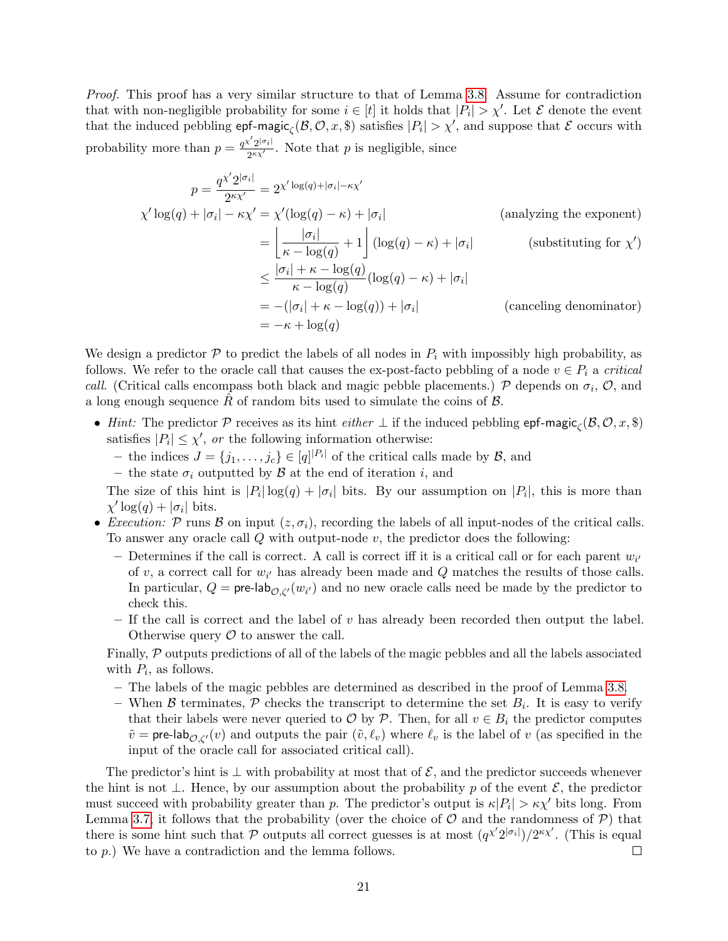Proof. This proof has a very similar structure to that of Lemma [3.8.](#page-18-2) Assume for contradiction that with non-negligible probability for some  $i \in [t]$  it holds that  $|P_i| > \chi'$ . Let  $\mathcal E$  denote the event that the induced pebbling  $epf$ -magic<sub> $\zeta$ </sub>( $\beta$ ,  $\mathcal{O}, x,$  \$) satisfies  $|P_i| > \chi'$ , and suppose that  $\mathcal E$  occurs with probability more than  $p = \frac{q^{\chi'} 2^{|\sigma_i|}}{2\kappa \chi'}$  $\frac{Q^{[2]}(2)}{2^{k\chi'}}$ . Note that p is negligible, since

$$
p = \frac{q^{\chi'} 2^{|\sigma_i|}}{2^{\kappa \chi'}} = 2^{\chi' \log(q) + |\sigma_i| - \kappa \chi'}
$$
  
\n
$$
\chi' \log(q) + |\sigma_i| - \kappa \chi' = \chi' (\log(q) - \kappa) + |\sigma_i|
$$
 (analyzing the exponent)  
\n
$$
= \left[ \frac{|\sigma_i|}{\kappa - \log(q)} + 1 \right] (\log(q) - \kappa) + |\sigma_i|
$$
 (substituting for  $\chi'$ )  
\n
$$
\leq \frac{|\sigma_i| + \kappa - \log(q)}{\kappa - \log(q)} (\log(q) - \kappa) + |\sigma_i|
$$
  
\n
$$
= -(|\sigma_i| + \kappa - \log(q)) + |\sigma_i|
$$
 (canceling denominator)  
\n
$$
= -\kappa + \log(q)
$$

We design a predictor  $P$  to predict the labels of all nodes in  $P_i$  with impossibly high probability, as follows. We refer to the oracle call that causes the ex-post-facto pebbling of a node  $v \in P_i$  a critical call. (Critical calls encompass both black and magic pebble placements.)  $P$  depends on  $\sigma_i$ ,  $\mathcal{O}$ , and a long enough sequence R of random bits used to simulate the coins of  $\mathcal{B}$ .

- *Hint:* The predictor  $P$  receives as its hint *either*  $\perp$  if the induced pebbling epf-magic<sub> $\zeta$ </sub>( $\mathcal{B}, \mathcal{O}, x, \mathcal{S}$ ) satisfies  $|P_i| \leq \chi'$ , or the following information otherwise:
	- the indices  $J = \{j_1, \ldots, j_c\} \in [q]^{|P_i|}$  of the critical calls made by  $\mathcal{B}$ , and
	- the state  $\sigma_i$  outputted by  $\beta$  at the end of iteration i, and

The size of this hint is  $|P_i| \log(q) + |\sigma_i|$  bits. By our assumption on  $|P_i|$ , this is more than  $\chi' \log(q) + |\sigma_i|$  bits.

- Execution: P runs B on input  $(z, \sigma_i)$ , recording the labels of all input-nodes of the critical calls. To answer any oracle call  $Q$  with output-node  $v$ , the predictor does the following:
	- Determines if the call is correct. A call is correct iff it is a critical call or for each parent  $w_{i'}$ of v, a correct call for  $w_{i'}$  has already been made and  $Q$  matches the results of those calls. In particular,  $Q = \text{pre-lab}_{\mathcal{O},\zeta'}(w_{i'})$  and no new oracle calls need be made by the predictor to check this.
	- If the call is correct and the label of  $v$  has already been recorded then output the label. Otherwise query  $\mathcal O$  to answer the call.

Finally, P outputs predictions of all of the labels of the magic pebbles and all the labels associated with  $P_i$ , as follows.

- The labels of the magic pebbles are determined as described in the proof of Lemma [3.8.](#page-18-2)
- When  $\beta$  terminates,  $\beta$  checks the transcript to determine the set  $B_i$ . It is easy to verify that their labels were never queried to  $\mathcal O$  by  $\mathcal P$ . Then, for all  $v \in B_i$  the predictor computes  $\tilde{v}$  = pre-lab<sub> $\mathcal{O}_{\mathcal{N}}(v)$ </sub> and outputs the pair  $(\tilde{v}, \ell_v)$  where  $\ell_v$  is the label of v (as specified in the input of the oracle call for associated critical call).

The predictor's hint is  $\perp$  with probability at most that of  $\mathcal{E}$ , and the predictor succeeds whenever the hint is not  $\perp$ . Hence, by our assumption about the probability p of the event  $\mathcal{E}$ , the predictor must succeed with probability greater than p. The predictor's output is  $\kappa |P_i| > \kappa \chi'$  bits long. From Lemma [3.7,](#page-18-1) it follows that the probability (over the choice of  $O$  and the randomness of  $P$ ) that there is some hint such that P outputs all correct guesses is at most  $(q^{\chi'} 2^{|\sigma_i|})/2^{\kappa \chi'}$ . (This is equal to p.) We have a contradiction and the lemma follows.  $\Box$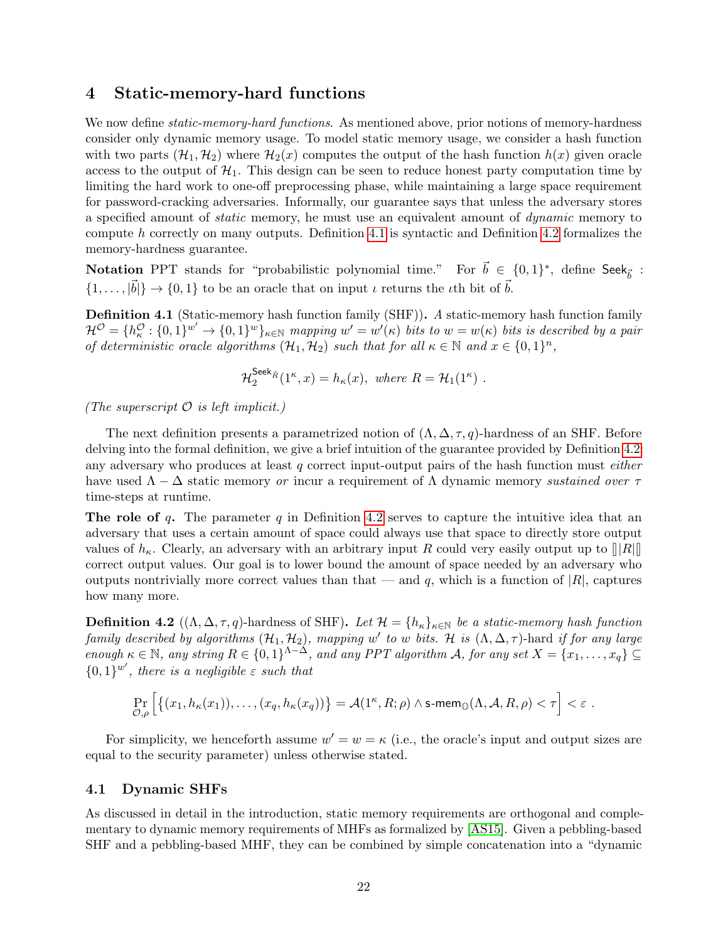## <span id="page-21-0"></span>4 Static-memory-hard functions

We now define *static-memory-hard functions*. As mentioned above, prior notions of memory-hardness consider only dynamic memory usage. To model static memory usage, we consider a hash function with two parts  $(\mathcal{H}_1, \mathcal{H}_2)$  where  $\mathcal{H}_2(x)$  computes the output of the hash function  $h(x)$  given oracle access to the output of  $\mathcal{H}_1$ . This design can be seen to reduce honest party computation time by limiting the hard work to one-off preprocessing phase, while maintaining a large space requirement for password-cracking adversaries. Informally, our guarantee says that unless the adversary stores a specified amount of static memory, he must use an equivalent amount of dynamic memory to compute h correctly on many outputs. Definition [4.1](#page-21-3) is syntactic and Definition [4.2](#page-21-2) formalizes the memory-hardness guarantee.

Notation PPT stands for "probabilistic polynomial time." For  $\vec{b} \in \{0,1\}^*$ , define Seek $_{\vec{b}}$ :  $\{1,\ldots,|\vec{b}|\}\rightarrow\{0,1\}$  to be an oracle that on input  $\iota$  returns the  $\iota$ th bit of  $\vec{b}$ .

<span id="page-21-3"></span>Definition 4.1 (Static-memory hash function family (SHF)). A static-memory hash function family  $\mathcal{H}^{\mathcal{O}} = \{h_{\kappa}^{\mathcal{O}} : \{0,1\}^{w'} \to \{0,1\}^{w}\}_{\kappa \in \mathbb{N}}$  mapping  $w' = w'(\kappa)$  bits to  $w = w(\kappa)$  bits is described by a pair of deterministic oracle algorithms  $(\mathcal{H}_1, \mathcal{H}_2)$  such that for all  $\kappa \in \mathbb{N}$  and  $x \in \{0,1\}^n$ ,

$$
\mathcal{H}_2^{\mathsf{Seek}_{\hat{R}}}(1^{\kappa},x) = h_{\kappa}(x), \text{ where } R = \mathcal{H}_1(1^{\kappa}) .
$$

(The superscript  $\mathcal O$  is left implicit.)

The next definition presents a parametrized notion of  $(\Lambda, \Delta, \tau, q)$ -hardness of an SHF. Before delving into the formal definition, we give a brief intuition of the guarantee provided by Definition [4.2:](#page-21-2) any adversary who produces at least  $q$  correct input-output pairs of the hash function must *either* have used  $\Lambda - \Delta$  static memory or incur a requirement of  $\Lambda$  dynamic memory sustained over  $\tau$ time-steps at runtime.

The role of q. The parameter q in Definition [4.2](#page-21-2) serves to capture the intuitive idea that an adversary that uses a certain amount of space could always use that space to directly store output values of  $h_{\kappa}$ . Clearly, an adversary with an arbitrary input R could very easily output up to  $||R||$ correct output values. Our goal is to lower bound the amount of space needed by an adversary who outputs nontrivially more correct values than that — and q, which is a function of  $|R|$ , captures how many more.

<span id="page-21-2"></span>**Definition 4.2** ( $(\Lambda, \Delta, \tau, q)$ -hardness of SHF). Let  $\mathcal{H} = \{h_{\kappa}\}_{{\kappa} \in \mathbb{N}}$  be a static-memory hash function family described by algorithms  $(\mathcal{H}_1, \mathcal{H}_2)$ , mapping w' to w bits. H is  $(\Lambda, \Delta, \tau)$ -hard if for any large enough  $\kappa \in \mathbb{N}$ , any string  $R \in \{0,1\}^{\Lambda-\Delta}$ , and any PPT algorithm A, for any set  $X = \{x_1, \ldots, x_q\} \subseteq$  ${0,1}^{w'}$ , there is a negligible  $\varepsilon$  such that

$$
\Pr_{\mathcal{O},\rho}\left[\big\{(x_1,h_\kappa(x_1)),\ldots,(x_q,h_\kappa(x_q))\big\}=\mathcal{A}(1^\kappa,R;\rho)\wedge\operatorname{s-mem}_{\mathbb{O}}(\Lambda,\mathcal{A},R,\rho)<\tau\right]<\varepsilon.
$$

For simplicity, we henceforth assume  $w' = w = \kappa$  (i.e., the oracle's input and output sizes are equal to the security parameter) unless otherwise stated.

#### <span id="page-21-1"></span>4.1 Dynamic SHFs

As discussed in detail in the introduction, static memory requirements are orthogonal and complementary to dynamic memory requirements of MHFs as formalized by [\[AS15\]](#page-46-5). Given a pebbling-based SHF and a pebbling-based MHF, they can be combined by simple concatenation into a "dynamic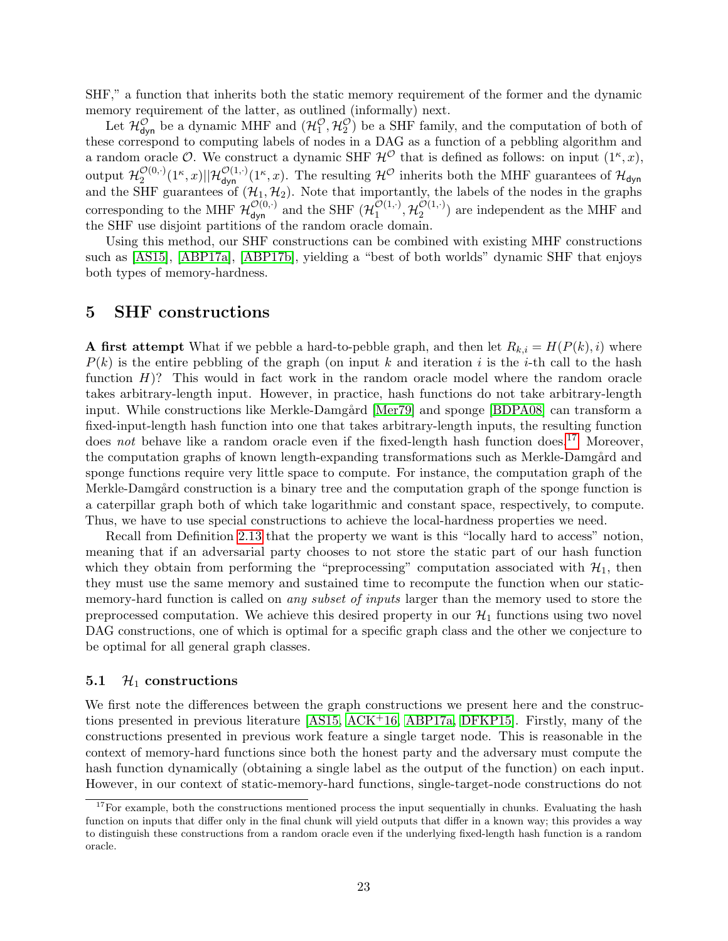SHF," a function that inherits both the static memory requirement of the former and the dynamic memory requirement of the latter, as outlined (informally) next.

Let  $\mathcal{H}_{dyn}^{\mathcal{O}}$  be a dynamic MHF and  $(\mathcal{H}_{1}^{\mathcal{O}}, \mathcal{H}_{2}^{\mathcal{O}})$  be a SHF family, and the computation of both of these correspond to computing labels of nodes in a DAG as a function of a pebbling algorithm and a random oracle  $\mathcal{O}$ . We construct a dynamic SHF  $\mathcal{H}^{\mathcal{O}}$  that is defined as follows: on input  $(1^{\kappa}, x)$ , output  $\mathcal{H}^{\mathcal{O}(0,\cdot)}_2$  $2^{\mathcal{O}(0,\cdot)}(1^{\kappa},x)||\mathcal{H}_{\mathsf{dyn}}^{\mathcal{O}(1,\cdot)}(1^{\kappa},x)$ . The resulting  $\mathcal{H}^{\mathcal{O}}$  inherits both the MHF guarantees of  $\mathcal{H}_{\mathsf{dyn}}$ and the SHF guarantees of  $(\mathcal{H}_1, \mathcal{H}_2)$ . Note that importantly, the labels of the nodes in the graphs corresponding to the MHF  $\mathcal{H}_{\text{dyn}}^{\mathcal{O}(0,\cdot)}$  and the SHF  $(\mathcal{H}_1^{\mathcal{O}(1,\cdot)}$  $\mathcal{O}(1,\cdot)\atop 1,\mathcal{H}_2^{\mathcal{O}(1,\cdot)}$  $2^{O(1,\cdot)}$  are independent as the MHF and the SHF use disjoint partitions of the random oracle domain.

Using this method, our SHF constructions can be combined with existing MHF constructions such as [\[AS15\]](#page-46-5), [\[ABP17a\]](#page-46-3), [\[ABP17b\]](#page-46-4), yielding a "best of both worlds" dynamic SHF that enjoys both types of memory-hardness.

## <span id="page-22-0"></span>5 SHF constructions

A first attempt What if we pebble a hard-to-pebble graph, and then let  $R_{k,i} = H(P(k), i)$  where  $P(k)$  is the entire pebbling of the graph (on input k and iteration i is the i-th call to the hash function  $H$ ? This would in fact work in the random oracle model where the random oracle takes arbitrary-length input. However, in practice, hash functions do not take arbitrary-length input. While constructions like Merkle-Damgård [\[Mer79\]](#page-49-11) and sponge [\[BDPA08\]](#page-47-9) can transform a fixed-input-length hash function into one that takes arbitrary-length inputs, the resulting function does not behave like a random oracle even if the fixed-length hash function does.<sup>[17](#page-22-2)</sup> Moreover, the computation graphs of known length-expanding transformations such as Merkle-Damgård and sponge functions require very little space to compute. For instance, the computation graph of the Merkle-Damgård construction is a binary tree and the computation graph of the sponge function is a caterpillar graph both of which take logarithmic and constant space, respectively, to compute. Thus, we have to use special constructions to achieve the local-hardness properties we need.

Recall from Definition [2.13](#page-14-2) that the property we want is this "locally hard to access" notion, meaning that if an adversarial party chooses to not store the static part of our hash function which they obtain from performing the "preprocessing" computation associated with  $\mathcal{H}_1$ , then they must use the same memory and sustained time to recompute the function when our staticmemory-hard function is called on any subset of inputs larger than the memory used to store the preprocessed computation. We achieve this desired property in our  $\mathcal{H}_1$  functions using two novel DAG constructions, one of which is optimal for a specific graph class and the other we conjecture to be optimal for all general graph classes.

#### <span id="page-22-1"></span>5.1  $\mathcal{H}_1$  constructions

We first note the differences between the graph constructions we present here and the constructions presented in previous literature [\[AS15,](#page-46-5) [ACK](#page-46-10)+16, [ABP17a,](#page-46-3) [DFKP15\]](#page-48-5). Firstly, many of the constructions presented in previous work feature a single target node. This is reasonable in the context of memory-hard functions since both the honest party and the adversary must compute the hash function dynamically (obtaining a single label as the output of the function) on each input. However, in our context of static-memory-hard functions, single-target-node constructions do not

<span id="page-22-2"></span> $17$  For example, both the constructions mentioned process the input sequentially in chunks. Evaluating the hash function on inputs that differ only in the final chunk will yield outputs that differ in a known way; this provides a way to distinguish these constructions from a random oracle even if the underlying fixed-length hash function is a random oracle.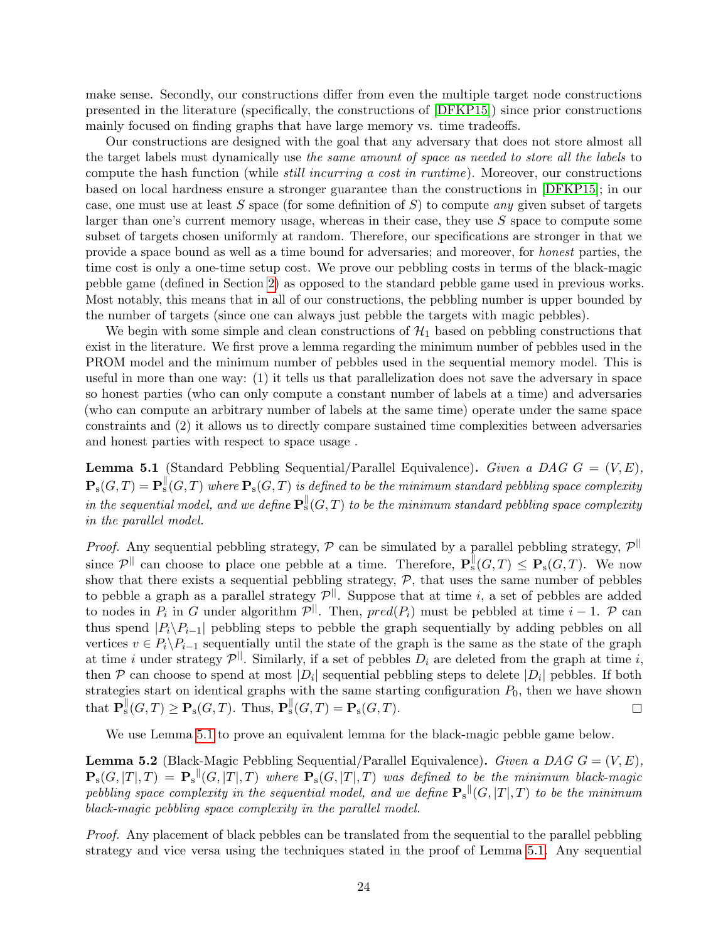make sense. Secondly, our constructions differ from even the multiple target node constructions presented in the literature (specifically, the constructions of [\[DFKP15\]](#page-48-5)) since prior constructions mainly focused on finding graphs that have large memory vs. time tradeoffs.

Our constructions are designed with the goal that any adversary that does not store almost all the target labels must dynamically use the same amount of space as needed to store all the labels to compute the hash function (while still incurring a cost in runtime). Moreover, our constructions based on local hardness ensure a stronger guarantee than the constructions in [\[DFKP15\]](#page-48-5); in our case, one must use at least S space (for some definition of S) to compute any given subset of targets larger than one's current memory usage, whereas in their case, they use  $S$  space to compute some subset of targets chosen uniformly at random. Therefore, our specifications are stronger in that we provide a space bound as well as a time bound for adversaries; and moreover, for honest parties, the time cost is only a one-time setup cost. We prove our pebbling costs in terms of the black-magic pebble game (defined in Section [2\)](#page-10-1) as opposed to the standard pebble game used in previous works. Most notably, this means that in all of our constructions, the pebbling number is upper bounded by the number of targets (since one can always just pebble the targets with magic pebbles).

We begin with some simple and clean constructions of  $\mathcal{H}_1$  based on pebbling constructions that exist in the literature. We first prove a lemma regarding the minimum number of pebbles used in the PROM model and the minimum number of pebbles used in the sequential memory model. This is useful in more than one way: (1) it tells us that parallelization does not save the adversary in space so honest parties (who can only compute a constant number of labels at a time) and adversaries (who can compute an arbitrary number of labels at the same time) operate under the same space constraints and (2) it allows us to directly compare sustained time complexities between adversaries and honest parties with respect to space usage .

<span id="page-23-0"></span>**Lemma 5.1** (Standard Pebbling Sequential/Parallel Equivalence). Given a DAG  $G = (V, E)$ ,  ${\bf P_{\rm s}}(G,T)={\bf P_{\rm s}}^\parallel(G,T)$  where  ${\bf P_{\rm s}}(G,T)$  is defined to be the minimum standard pebbling space complexity in the sequential model, and we define  ${\bf P}_{\rm s}^\parallel(G,T)$  to be the minimum standard pebbling space complexity in the parallel model.

*Proof.* Any sequential pebbling strategy,  $P$  can be simulated by a parallel pebbling strategy,  $P^{\parallel}$ since  $\mathcal{P}^{\parallel}$  can choose to place one pebble at a time. Therefore,  $\mathbf{P}_{s}^{\parallel}(G,T) \leq \mathbf{P}_{s}(G,T)$ . We now show that there exists a sequential pebbling strategy,  $P$ , that uses the same number of pebbles to pebble a graph as a parallel strategy  $\mathcal{P}^{||}$ . Suppose that at time *i*, a set of pebbles are added to nodes in  $P_i$  in G under algorithm  $\mathcal{P}^{\parallel}$ . Then,  $pred(P_i)$  must be pebbled at time  $i-1$ .  $\mathcal{P}$  can thus spend  $|P_i \backslash P_{i-1}|$  pebbling steps to pebble the graph sequentially by adding pebbles on all vertices  $v \in P_i\backslash P_{i-1}$  sequentially until the state of the graph is the same as the state of the graph at time i under strategy  $\mathcal{P}^{\parallel}$ . Similarly, if a set of pebbles  $D_i$  are deleted from the graph at time i, then  $P$  can choose to spend at most  $|D_i|$  sequential pebbling steps to delete  $|D_i|$  pebbles. If both strategies start on identical graphs with the same starting configuration  $P_0$ , then we have shown that  $\mathbf{P}_{s}^{\parallel}(G,T) \geq \mathbf{P}_{s}(G,T)$ . Thus,  $\mathbf{P}_{s}^{\parallel}(G,T) = \mathbf{P}_{s}(G,T)$ .  $\Box$ 

We use Lemma [5.1](#page-23-0) to prove an equivalent lemma for the black-magic pebble game below.

**Lemma 5.2** (Black-Magic Pebbling Sequential/Parallel Equivalence). Given a DAG  $G = (V, E)$ ,  ${\bf P}_{\rm s}(G,|T|,T) \,=\, {\bf P}_{\rm s}^{\,\|}(G,|T|,T)$  where  ${\bf P}_{\rm s}(G,|T|,T)$  was defined to be the minimum black-magic pebbling space complexity in the sequential model, and we define  $\mathbf{P_s}^\parallel$  $(G, |T|, T)$  to be the minimum black-magic pebbling space complexity in the parallel model.

Proof. Any placement of black pebbles can be translated from the sequential to the parallel pebbling strategy and vice versa using the techniques stated in the proof of Lemma [5.1.](#page-23-0) Any sequential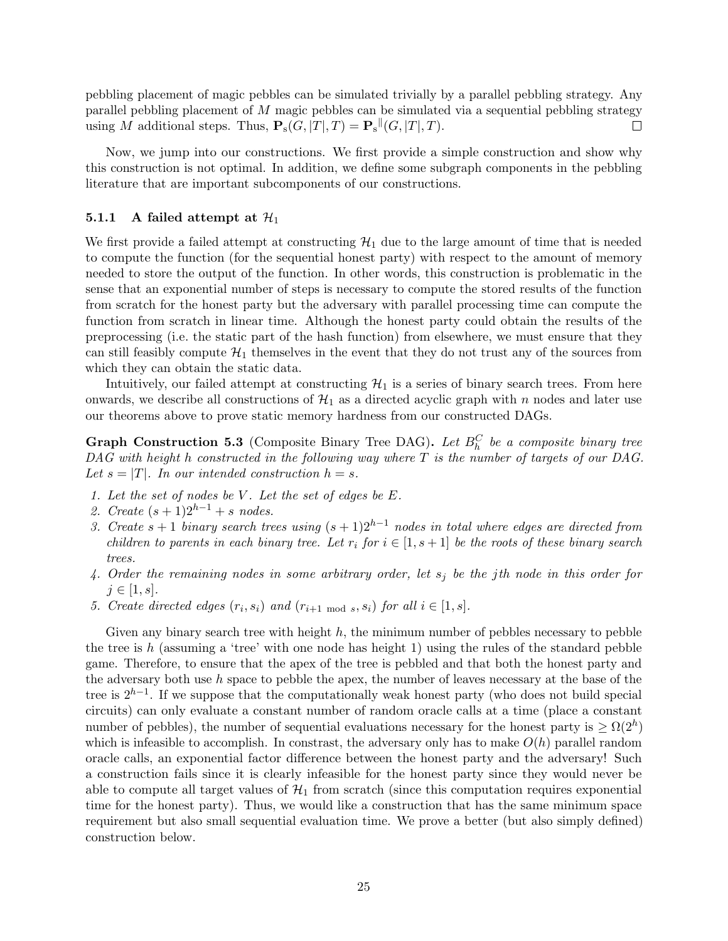pebbling placement of magic pebbles can be simulated trivially by a parallel pebbling strategy. Any parallel pebbling placement of  $M$  magic pebbles can be simulated via a sequential pebbling strategy using M additional steps. Thus,  $\mathbf{P}_s(G, |T|, T) = \mathbf{P}_s^{\parallel\parallel}(G, |T|, T)$ .  $\Box$ 

Now, we jump into our constructions. We first provide a simple construction and show why this construction is not optimal. In addition, we define some subgraph components in the pebbling literature that are important subcomponents of our constructions.

#### <span id="page-24-0"></span>5.1.1 A failed attempt at  $\mathcal{H}_1$

We first provide a failed attempt at constructing  $\mathcal{H}_1$  due to the large amount of time that is needed to compute the function (for the sequential honest party) with respect to the amount of memory needed to store the output of the function. In other words, this construction is problematic in the sense that an exponential number of steps is necessary to compute the stored results of the function from scratch for the honest party but the adversary with parallel processing time can compute the function from scratch in linear time. Although the honest party could obtain the results of the preprocessing (i.e. the static part of the hash function) from elsewhere, we must ensure that they can still feasibly compute  $\mathcal{H}_1$  themselves in the event that they do not trust any of the sources from which they can obtain the static data.

Intuitively, our failed attempt at constructing  $\mathcal{H}_1$  is a series of binary search trees. From here onwards, we describe all constructions of  $\mathcal{H}_1$  as a directed acyclic graph with n nodes and later use our theorems above to prove static memory hardness from our constructed DAGs.

**Graph Construction 5.3** (Composite Binary Tree DAG). Let  $B_h^C$  be a composite binary tree  $DAG$  with height h constructed in the following way where  $T$  is the number of targets of our DAG. Let  $s = |T|$ . In our intended construction  $h = s$ .

- 1. Let the set of nodes be  $V$ . Let the set of edges be  $E$ .
- 2. Create  $(s + 1)2^{h-1} + s$  nodes.
- 3. Create s + 1 binary search trees using  $(s + 1)2^{h-1}$  nodes in total where edges are directed from children to parents in each binary tree. Let  $r_i$  for  $i \in [1, s + 1]$  be the roots of these binary search trees.
- 4. Order the remaining nodes in some arbitrary order, let  $s_j$  be the jth node in this order for  $j \in [1, s]$ .
- 5. Create directed edges  $(r_i, s_i)$  and  $(r_{i+1 \mod s}, s_i)$  for all  $i \in [1, s]$ .

Given any binary search tree with height  $h$ , the minimum number of pebbles necessary to pebble the tree is h (assuming a 'tree' with one node has height 1) using the rules of the standard pebble game. Therefore, to ensure that the apex of the tree is pebbled and that both the honest party and the adversary both use  $h$  space to pebble the apex, the number of leaves necessary at the base of the tree is  $2^{h-1}$ . If we suppose that the computationally weak honest party (who does not build special circuits) can only evaluate a constant number of random oracle calls at a time (place a constant number of pebbles), the number of sequential evaluations necessary for the honest party is  $\geq \Omega(2^h)$ which is infeasible to accomplish. In constrast, the adversary only has to make  $O(h)$  parallel random oracle calls, an exponential factor difference between the honest party and the adversary! Such a construction fails since it is clearly infeasible for the honest party since they would never be able to compute all target values of  $H_1$  from scratch (since this computation requires exponential time for the honest party). Thus, we would like a construction that has the same minimum space requirement but also small sequential evaluation time. We prove a better (but also simply defined) construction below.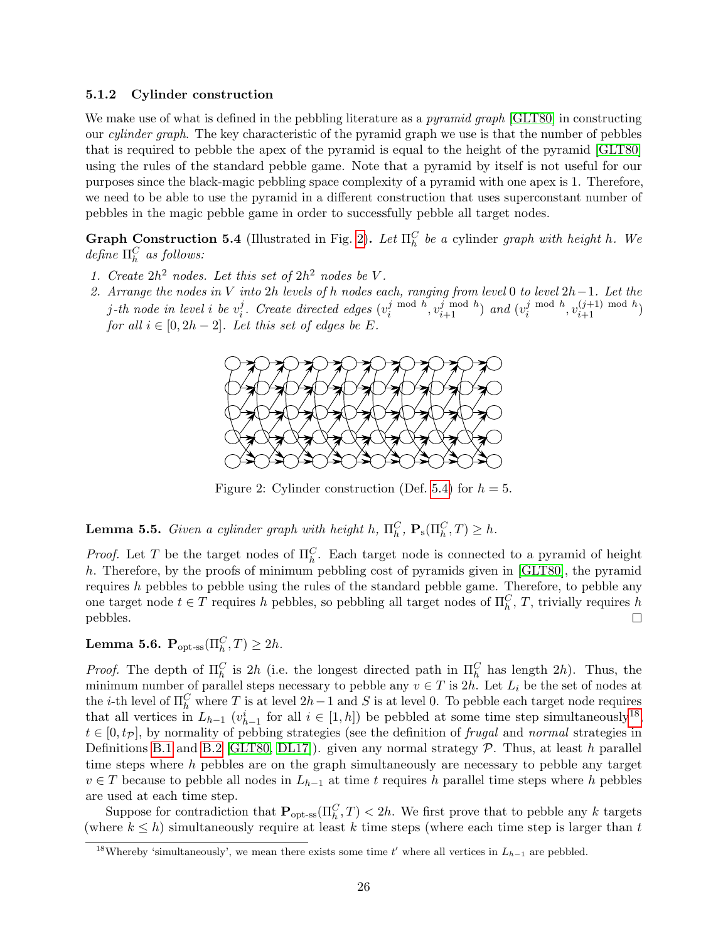#### <span id="page-25-0"></span>5.1.2 Cylinder construction

We make use of what is defined in the pebbling literature as a *pyramid graph* [\[GLT80\]](#page-48-11) in constructing our *cylinder graph*. The key characteristic of the pyramid graph we use is that the number of pebbles that is required to pebble the apex of the pyramid is equal to the height of the pyramid [\[GLT80\]](#page-48-11) using the rules of the standard pebble game. Note that a pyramid by itself is not useful for our purposes since the black-magic pebbling space complexity of a pyramid with one apex is 1. Therefore, we need to be able to use the pyramid in a different construction that uses superconstant number of pebbles in the magic pebble game in order to successfully pebble all target nodes.

<span id="page-25-1"></span>Graph Construction 5.4 (Illustrated in Fig. [2\)](#page-25-2). Let  $\Pi_{h}^{C}$  be a cylinder graph with height h. We define  $\Pi_h^C$  as follows:

- 1. Create  $2h^2$  nodes. Let this set of  $2h^2$  nodes be V.
- <span id="page-25-2"></span>2. Arrange the nodes in V into 2h levels of h nodes each, ranging from level 0 to level 2h−1. Let the j-th node in level i be  $v_i^j$  $i$ . Create directed edges  $(v_i^{j \mod h})$  $\left( \begin{smallmatrix} j \ i \end{smallmatrix} \right.^j$  mod  $\left. \begin{smallmatrix} h \end{smallmatrix} \right.^j$ ,  $v_{i+1}^j$  and  $\left( v_i^j \right.^j$  mod  $\left. \begin{smallmatrix} h \end{smallmatrix} \right.^j$  $\binom{j \mod h}{i}, \binom{j+1 \mod h}{i+1}$ for all  $i \in [0, 2h-2]$ . Let this set of edges be E.



Figure 2: Cylinder construction (Def. [5.4\)](#page-25-1) for  $h = 5$ .

## **Lemma 5.5.** Given a cylinder graph with height h,  $\Pi_h^C$ ,  $\mathbf{P}_s(\Pi_h^C, T) \ge h$ .

*Proof.* Let T be the target nodes of  $\Pi_h^C$ . Each target node is connected to a pyramid of height h. Therefore, by the proofs of minimum pebbling cost of pyramids given in [\[GLT80\]](#page-48-11), the pyramid requires  $h$  pebbles to pebble using the rules of the standard pebble game. Therefore, to pebble any one target node  $t \in T$  requires h pebbles, so pebbling all target nodes of  $\Pi_b^C$ , T, trivially requires h pebbles.  $\Box$ 

## <span id="page-25-4"></span>Lemma 5.6.  $\mathbf{P}_{\rm opt\text{-}ss}(\Pi_h^C, T) \geq 2h$ .

*Proof.* The depth of  $\Pi_h^C$  is 2h (i.e. the longest directed path in  $\Pi_h^C$  has length 2h). Thus, the minimum number of parallel steps necessary to pebble any  $v \in T$  is  $2h$ . Let  $L_i$  be the set of nodes at the *i*-th level of  $\Pi_h^C$  where T is at level 2h - 1 and S is at level 0. To pebble each target node requires that all vertices in  $L_{h-1}$   $(v_{h-1}^i$  for all  $i \in [1, h])$  be pebbled at some time step simultaneously<sup>[18](#page-25-3)</sup>,  $t \in [0, t_{\mathcal{P}}]$ , by normality of pebbing strategies (see the definition of *frugal* and *normal* strategies in Definitions [B.1](#page-50-3) and [B.2](#page-51-0) [\[GLT80,](#page-48-11) [DL17\]](#page-48-12)). given any normal strategy  $P$ . Thus, at least h parallel time steps where h pebbles are on the graph simultaneously are necessary to pebble any target  $v \in T$  because to pebble all nodes in  $L_{h-1}$  at time t requires h parallel time steps where h pebbles are used at each time step.

Suppose for contradiction that  $P_{opt\text{-ss}}(\Pi_h^C, T) < 2h$ . We first prove that to pebble any k targets (where  $k \leq h$ ) simultaneously require at least k time steps (where each time step is larger than t

<span id="page-25-3"></span><sup>&</sup>lt;sup>18</sup>Whereby 'simultaneously', we mean there exists some time t' where all vertices in  $L_{h-1}$  are pebbled.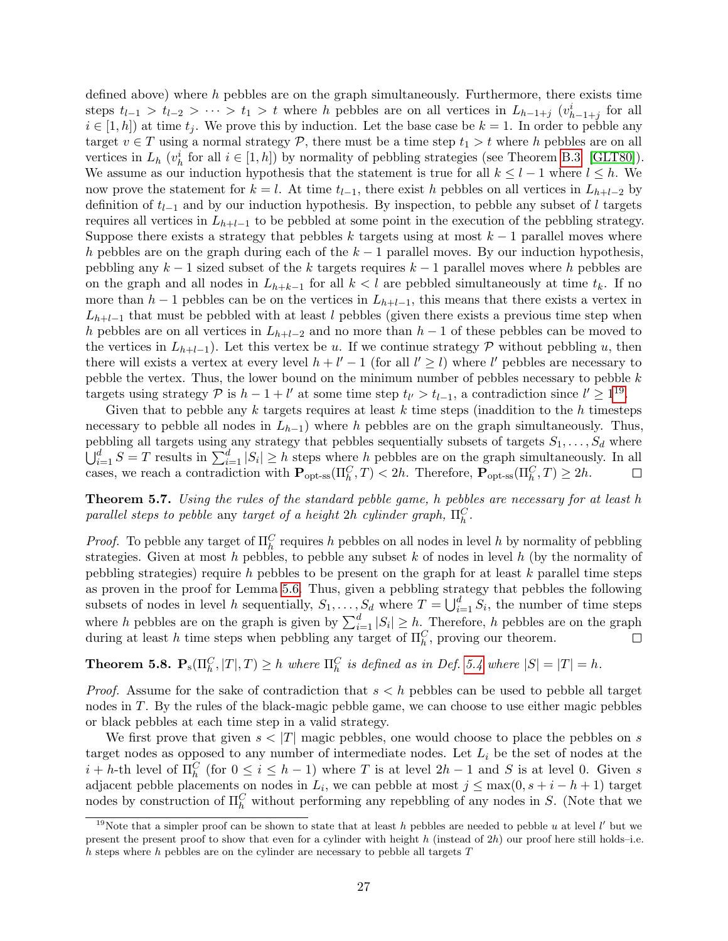defined above) where  $h$  pebbles are on the graph simultaneously. Furthermore, there exists time steps  $t_{l-1} > t_{l-2} > \cdots > t_1 > t$  where h pebbles are on all vertices in  $L_{h-1+j}$   $(v_{h-1+j}^i$  for all  $i \in [1, h]$  at time  $t_i$ . We prove this by induction. Let the base case be  $k = 1$ . In order to pebble any target  $v \in T$  using a normal strategy  $\mathcal{P}$ , there must be a time step  $t_1 > t$  where h pebbles are on all vertices in  $L_h$  ( $v_h^i$  for all  $i \in [1, h]$ ) by normality of pebbling strategies (see Theorem [B.3](#page-51-1) [\[GLT80\]](#page-48-11)). We assume as our induction hypothesis that the statement is true for all  $k \leq l-1$  where  $l \leq h$ . We now prove the statement for  $k = l$ . At time  $t_{l-1}$ , there exist h pebbles on all vertices in  $L_{h+l-2}$  by definition of  $t_{l-1}$  and by our induction hypothesis. By inspection, to pebble any subset of l targets requires all vertices in  $L_{h+l-1}$  to be pebbled at some point in the execution of the pebbling strategy. Suppose there exists a strategy that pebbles k targets using at most  $k-1$  parallel moves where h pebbles are on the graph during each of the  $k-1$  parallel moves. By our induction hypothesis, pebbling any  $k-1$  sized subset of the k targets requires  $k-1$  parallel moves where h pebbles are on the graph and all nodes in  $L_{h+k-1}$  for all  $k < l$  are pebbled simultaneously at time  $t_k$ . If no more than  $h-1$  pebbles can be on the vertices in  $L_{h+l-1}$ , this means that there exists a vertex in  $L_{h+l-1}$  that must be pebbled with at least l pebbles (given there exists a previous time step when h pebbles are on all vertices in  $L_{h+l-2}$  and no more than  $h-1$  of these pebbles can be moved to the vertices in  $L_{h+l-1}$ ). Let this vertex be u. If we continue strategy P without pebbling u, then there will exists a vertex at every level  $h + l' - 1$  (for all  $l' \geq l$ ) where l' pebbles are necessary to pebble the vertex. Thus, the lower bound on the minimum number of pebbles necessary to pebble  $k$ targets using strategy  $P$  is  $h-1+l'$  at some time step  $t_{l'} > t_{l-1}$ , a contradiction since  $l' \geq 1^{19}$  $l' \geq 1^{19}$  $l' \geq 1^{19}$ .

Given that to pebble any  $k$  targets requires at least  $k$  time steps (inaddition to the  $h$  timesteps necessary to pebble all nodes in  $L_{h-1}$ ) where h pebbles are on the graph simultaneously. Thus, pebbling all targets using any strategy that pebbles sequentially subsets of targets  $S_1, \ldots, S_d$  where  $\bigcup_{i=1}^d S = T$  results in  $\sum_{i=1}^d |S_i| \geq h$  steps where h pebbles are on the graph simultaneously. In all cases, we reach a contradiction with  $P_{\text{opt-ss}}(\Pi_h^C, T) < 2h$ . Therefore,  $P_{\text{opt-ss}}(\Pi_h^C, T) \ge 2h$ .

<span id="page-26-2"></span>Theorem 5.7. Using the rules of the standard pebble game, h pebbles are necessary for at least h parallel steps to pebble any target of a height  $2h$  cylinder graph,  $\Pi_h^C$ .

*Proof.* To pebble any target of  $\Pi_h^C$  requires h pebbles on all nodes in level h by normality of pebbling strategies. Given at most  $h$  pebbles, to pebble any subset  $k$  of nodes in level  $h$  (by the normality of pebbling strategies) require h pebbles to be present on the graph for at least  $k$  parallel time steps as proven in the proof for Lemma [5.6.](#page-25-4) Thus, given a pebbling strategy that pebbles the following subsets of nodes in level h sequentially,  $S_1, \ldots, S_d$  where  $T = \bigcup_{i=1}^d S_i$ , the number of time steps where h pebbles are on the graph is given by  $\sum_{i=1}^{d} |S_i| \geq h$ . Therefore, h pebbles are on the graph during at least h time steps when pebbling any target of  $\Pi_b^C$ , proving our theorem.  $\Box$ 

<span id="page-26-1"></span>**Theorem 5.8.**  $P_s(\Pi_h^C, |T|, T) \geq h$  where  $\Pi_h^C$  is defined as in Def. [5.4](#page-25-1) where  $|S| = |T| = h$ .

*Proof.* Assume for the sake of contradiction that  $s < h$  pebbles can be used to pebble all target nodes in T. By the rules of the black-magic pebble game, we can choose to use either magic pebbles or black pebbles at each time step in a valid strategy.

We first prove that given  $s < |T|$  magic pebbles, one would choose to place the pebbles on s target nodes as opposed to any number of intermediate nodes. Let  $L_i$  be the set of nodes at the  $i + h$ -th level of  $\Pi_h^C$  (for  $0 \le i \le h - 1$ ) where T is at level  $2h - 1$  and S is at level 0. Given s adjacent pebble placements on nodes in  $L_i$ , we can pebble at most  $j \leq \max(0, s + i - h + 1)$  target nodes by construction of  $\Pi_h^C$  without performing any repebbling of any nodes in S. (Note that we

<span id="page-26-0"></span><sup>&</sup>lt;sup>19</sup>Note that a simpler proof can be shown to state that at least h pebbles are needed to pebble u at level l' but we present the present proof to show that even for a cylinder with height h (instead of  $2h$ ) our proof here still holds–i.e. h steps where h pebbles are on the cylinder are necessary to pebble all targets T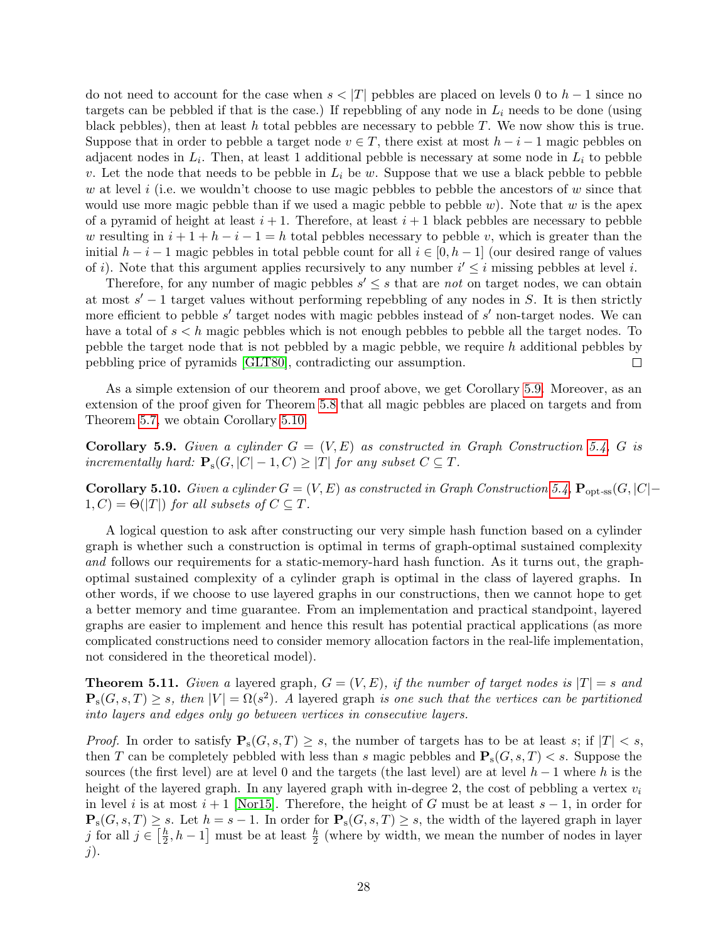do not need to account for the case when  $s < |T|$  pebbles are placed on levels 0 to  $h - 1$  since no targets can be pebbled if that is the case.) If repebbling of any node in  $L<sub>i</sub>$  needs to be done (using black pebbles), then at least h total pebbles are necessary to pebble  $T$ . We now show this is true. Suppose that in order to pebble a target node  $v \in T$ , there exist at most  $h - i - 1$  magic pebbles on adjacent nodes in  $L_i$ . Then, at least 1 additional pebble is necessary at some node in  $L_i$  to pebble v. Let the node that needs to be pebble in  $L_i$  be w. Suppose that we use a black pebble to pebble w at level i (i.e. we wouldn't choose to use magic pebbles to pebble the ancestors of  $w$  since that would use more magic pebble than if we used a magic pebble to pebble w). Note that w is the apex of a pyramid of height at least  $i + 1$ . Therefore, at least  $i + 1$  black pebbles are necessary to pebble w resulting in  $i + 1 + h - i - 1 = h$  total pebbles necessary to pebble v, which is greater than the initial  $h - i - 1$  magic pebbles in total pebble count for all  $i \in [0, h - 1]$  (our desired range of values of i). Note that this argument applies recursively to any number  $i' \leq i$  missing pebbles at level i.

Therefore, for any number of magic pebbles  $s' \leq s$  that are not on target nodes, we can obtain at most  $s'-1$  target values without performing repebbling of any nodes in S. It is then strictly more efficient to pebble  $s'$  target nodes with magic pebbles instead of  $s'$  non-target nodes. We can have a total of  $s < h$  magic pebbles which is not enough pebbles to pebble all the target nodes. To pebble the target node that is not pebbled by a magic pebble, we require h additional pebbles by pebbling price of pyramids [\[GLT80\]](#page-48-11), contradicting our assumption.  $\Box$ 

As a simple extension of our theorem and proof above, we get Corollary [5.9.](#page-27-0) Moreover, as an extension of the proof given for Theorem [5.8](#page-26-1) that all magic pebbles are placed on targets and from Theorem [5.7,](#page-26-2) we obtain Corollary [5.10.](#page-27-1)

<span id="page-27-0"></span>Corollary 5.9. Given a cylinder  $G = (V, E)$  as constructed in Graph Construction [5.4,](#page-25-1) G is incrementally hard:  $\mathbf{P}_s(G, |C| - 1, C) \geq |T|$  for any subset  $C \subseteq T$ .

<span id="page-27-1"></span>Corollary 5.10. Given a cylinder  $G = (V, E)$  as constructed in Graph Construction [5.4,](#page-25-1)  $\mathbf{P}_{\text{out-ss}}(G, |C| 1, C$ ) =  $\Theta(|T|)$  for all subsets of  $C \subseteq T$ .

A logical question to ask after constructing our very simple hash function based on a cylinder graph is whether such a construction is optimal in terms of graph-optimal sustained complexity and follows our requirements for a static-memory-hard hash function. As it turns out, the graphoptimal sustained complexity of a cylinder graph is optimal in the class of layered graphs. In other words, if we choose to use layered graphs in our constructions, then we cannot hope to get a better memory and time guarantee. From an implementation and practical standpoint, layered graphs are easier to implement and hence this result has potential practical applications (as more complicated constructions need to consider memory allocation factors in the real-life implementation, not considered in the theoretical model).

<span id="page-27-2"></span>**Theorem 5.11.** Given a layered graph,  $G = (V, E)$ , if the number of target nodes is  $|T| = s$  and  $\mathbf{P}_s(G, s, T) \geq s$ , then  $|V| = \Omega(s^2)$ . A layered graph is one such that the vertices can be partitioned into layers and edges only go between vertices in consecutive layers.

*Proof.* In order to satisfy  $\mathbf{P}_s(G, s, T) \geq s$ , the number of targets has to be at least s; if  $|T| < s$ , then T can be completely pebbled with less than s magic pebbles and  $P_s(G, s, T) < s$ . Suppose the sources (the first level) are at level 0 and the targets (the last level) are at level  $h-1$  where h is the height of the layered graph. In any layered graph with in-degree 2, the cost of pebbling a vertex  $v_i$ in level i is at most  $i + 1$  [\[Nor15\]](#page-49-8). Therefore, the height of G must be at least  $s - 1$ , in order for  $\mathbf{P}_s(G, s, T) \geq s$ . Let  $h = s - 1$ . In order for  $\mathbf{P}_s(G, s, T) \geq s$ , the width of the layered graph in layer j for all  $j \in \left[\frac{h}{2}\right]$  $\frac{h}{2}$ ,  $h-1$  must be at least  $\frac{h}{2}$  (where by width, we mean the number of nodes in layer  $j$ ).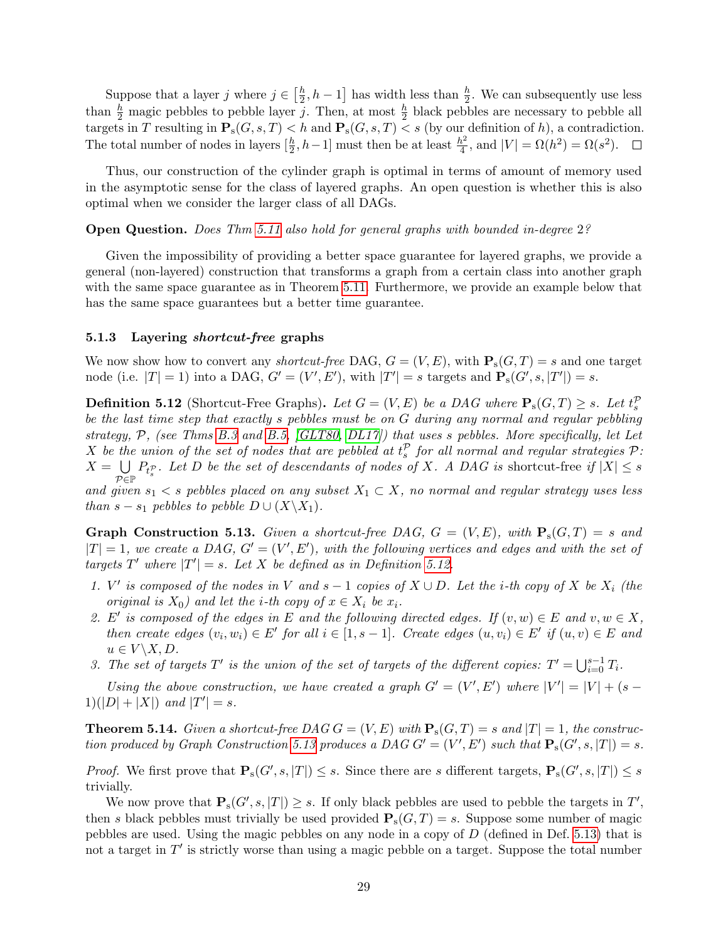Suppose that a layer j where  $j \in \left[\frac{h}{2}, h-1\right]$  has width less than  $\frac{h}{2}$ . We can subsequently use less buppose that a layer j where  $j \in \left[\frac{1}{2}, h-1\right]$  has which less than  $\frac{1}{2}$ . We can subsequently use less<br>than  $\frac{h}{2}$  magic pebbles to pebble layer j. Then, at most  $\frac{h}{2}$  black pebbles are necessary to pebble a targets in T resulting in  $\mathbf{P}_s(G, s, T) < h$  and  $\mathbf{P}_s(G, s, T) < s$  (by our definition of h), a contradiction. The total number of nodes in layers  $[\frac{h}{2}, h-1]$  must then be at least  $\frac{h^2}{4}$  $\frac{h^2}{4}$ , and  $|V| = \Omega(h^2) = \Omega(s^2)$ .

Thus, our construction of the cylinder graph is optimal in terms of amount of memory used in the asymptotic sense for the class of layered graphs. An open question is whether this is also optimal when we consider the larger class of all DAGs.

Open Question. Does Thm [5.11](#page-27-2) also hold for general graphs with bounded in-degree 2?

Given the impossibility of providing a better space guarantee for layered graphs, we provide a general (non-layered) construction that transforms a graph from a certain class into another graph with the same space guarantee as in Theorem [5.11.](#page-27-2) Furthermore, we provide an example below that has the same space guarantees but a better time guarantee.

#### <span id="page-28-0"></span>5.1.3 Layering shortcut-free graphs

We now show how to convert any *shortcut-free* DAG,  $G = (V, E)$ , with  $P_s(G, T) = s$  and one target node (i.e.  $|T| = 1$ ) into a DAG,  $G' = (V', E')$ , with  $|T'| = s$  targets and  $\mathbf{P}_s(G', s, |T'|) = s$ .

<span id="page-28-1"></span>**Definition 5.12** (Shortcut-Free Graphs). Let  $G = (V, E)$  be a DAG where  $\mathbf{P}_s(G, T) \geq s$ . Let  $t_s^{\mathcal{P}}$ be the last time step that exactly s pebbles must be on G during any normal and regular pebbling strategy,  $P$ , (see Thms [B.3](#page-51-1) and [B.5,](#page-51-2) [\[GLT80,](#page-48-11) [DL17\]](#page-48-12)) that uses s pebbles. More specifically, let Let X be the union of the set of nodes that are pebbled at  $t_s^{\mathcal{P}}$  for all normal and regular strategies  $\mathcal{P}$ :  $X = \bigcup$  $\bigcup_{\mathcal{P} \in \mathbb{P}} P_{t_s^{\mathcal{P}}}$ . Let D be the set of descendants of nodes of X. A DAG is shortcut-free if  $|X| \leq s$ and given  $s_1 < s$  pebbles placed on any subset  $X_1 \subset X$ , no normal and regular strategy uses less

than  $s - s_1$  pebbles to pebble  $D \cup (X \backslash X_1)$ .

<span id="page-28-2"></span>**Graph Construction 5.13.** Given a shortcut-free DAG,  $G = (V, E)$ , with  $P_s(G, T) = s$  and  $|T| = 1$ , we create a DAG,  $G' = (V', E')$ , with the following vertices and edges and with the set of targets T' where  $|T'| = s$ . Let X be defined as in Definition [5.12.](#page-28-1)

- 1. V' is composed of the nodes in V and  $s-1$  copies of  $X \cup D$ . Let the i-th copy of X be  $X_i$  (the original is  $X_0$ ) and let the *i*-th copy of  $x \in X_i$  be  $x_i$ .
- 2. E' is composed of the edges in E and the following directed edges. If  $(v, w) \in E$  and  $v, w \in X$ , then create edges  $(v_i, w_i) \in E'$  for all  $i \in [1, s - 1]$ . Create edges  $(u, v_i) \in E'$  if  $(u, v) \in E$  and  $u \in V \backslash X, D.$
- 3. The set of targets T' is the union of the set of targets of the different copies:  $T' = \bigcup_{i=0}^{s-1} T_i$ .

Using the above construction, we have created a graph  $G' = (V', E')$  where  $|V'| = |V| + (s 1)(|D| + |X|)$  and  $|T'| = s$ .

<span id="page-28-3"></span>**Theorem 5.14.** Given a shortcut-free DAG  $G = (V, E)$  with  $P_s(G, T) = s$  and  $|T| = 1$ , the construc-tion produced by Graph Construction [5.13](#page-28-2) produces a DAG  $G' = (V', E')$  such that  $\mathbf{P}_s(G', s, |T|) = s$ .

*Proof.* We first prove that  $P_s(G', s, |T|) \leq s$ . Since there are s different targets,  $P_s(G', s, |T|) \leq s$ trivially.

We now prove that  $\mathbf{P}_s(G', s, |T|) \geq s$ . If only black pebbles are used to pebble the targets in  $T'$ , then s black pebbles must trivially be used provided  $P_s(G,T) = s$ . Suppose some number of magic pebbles are used. Using the magic pebbles on any node in a copy of D (defined in Def. [5.13\)](#page-28-2) that is not a target in  $T'$  is strictly worse than using a magic pebble on a target. Suppose the total number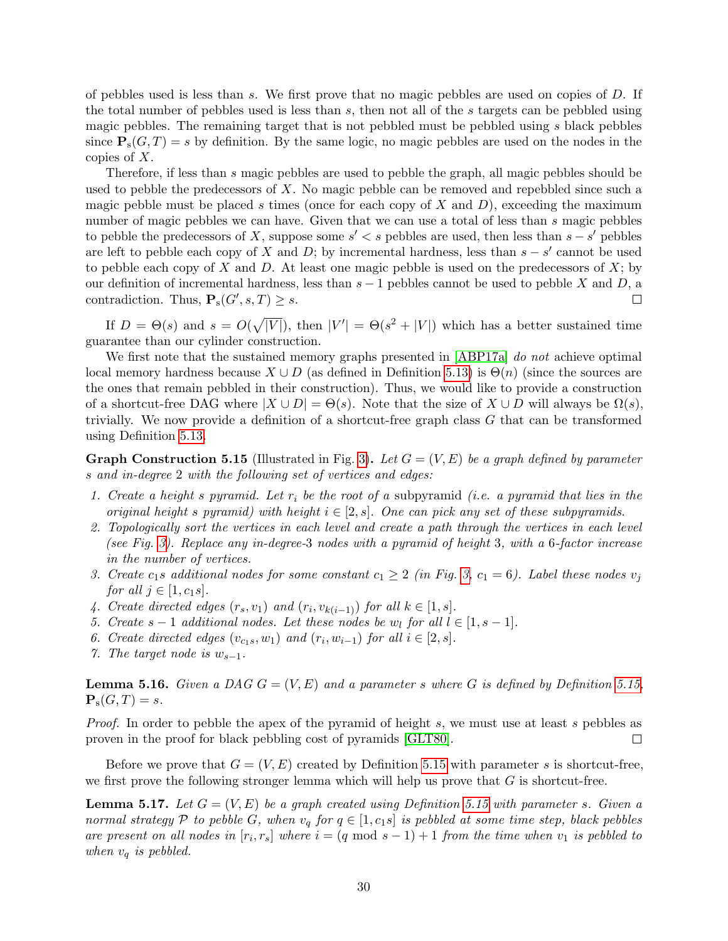of pebbles used is less than s. We first prove that no magic pebbles are used on copies of D. If the total number of pebbles used is less than  $s$ , then not all of the  $s$  targets can be pebbled using magic pebbles. The remaining target that is not pebbled must be pebbled using s black pebbles since  $P_s(G,T) = s$  by definition. By the same logic, no magic pebbles are used on the nodes in the copies of X.

Therefore, if less than s magic pebbles are used to pebble the graph, all magic pebbles should be used to pebble the predecessors of  $X$ . No magic pebble can be removed and repebbled since such a magic pebble must be placed s times (once for each copy of X and  $D$ ), exceeding the maximum number of magic pebbles we can have. Given that we can use a total of less than s magic pebbles to pebble the predecessors of X, suppose some  $s' < s$  pebbles are used, then less than  $s - s'$  pebbles are left to pebble each copy of X and D; by incremental hardness, less than  $s - s'$  cannot be used to pebble each copy of X and D. At least one magic pebble is used on the predecessors of  $X$ ; by our definition of incremental hardness, less than  $s - 1$  pebbles cannot be used to pebble X and D, a contradiction. Thus,  $\mathbf{P}_s(G', s, T) \geq s$ .  $\Box$ 

If  $D = \Theta(s)$  and  $s = O(\sqrt{|V|})$ , then  $|V'| = \Theta(s^2 + |V|)$  which has a better sustained time guarantee than our cylinder construction.

We first note that the sustained memory graphs presented in [\[ABP17a\]](#page-46-3) do not achieve optimal local memory hardness because  $X \cup D$  (as defined in Definition [5.13\)](#page-28-2) is  $\Theta(n)$  (since the sources are the ones that remain pebbled in their construction). Thus, we would like to provide a construction of a shortcut-free DAG where  $|X \cup D| = \Theta(s)$ . Note that the size of  $X \cup D$  will always be  $\Omega(s)$ , trivially. We now provide a definition of a shortcut-free graph class G that can be transformed using Definition [5.13.](#page-28-2)

<span id="page-29-0"></span>**Graph Construction 5.15** (Illustrated in Fig. [3\)](#page-30-0). Let  $G = (V, E)$  be a graph defined by parameter s and in-degree 2 with the following set of vertices and edges:

- 1. Create a height s pyramid. Let  $r_i$  be the root of a subpyramid (i.e. a pyramid that lies in the original height s pyramid) with height  $i \in [2, s]$ . One can pick any set of these subpyramids.
- 2. Topologically sort the vertices in each level and create a path through the vertices in each level (see Fig. [3\)](#page-30-0). Replace any in-degree-3 nodes with a pyramid of height 3, with a 6-factor increase in the number of vertices.
- 3. Create  $c_1$ s additional nodes for some constant  $c_1 \geq 2$  (in Fig. [3,](#page-30-0)  $c_1 = 6$ ). Label these nodes  $v_j$ for all  $j \in [1, c_1s]$ .
- 4. Create directed edges  $(r_s, v_1)$  and  $(r_i, v_{k(i-1)})$  for all  $k \in [1, s]$ .
- 5. Create  $s-1$  additional nodes. Let these nodes be  $w_l$  for all  $l \in [1, s-1]$ .
- 6. Create directed edges  $(v_{c_1}, w_1)$  and  $(r_i, w_{i-1})$  for all  $i \in [2, s]$ .
- 7. The target node is  $w_{s-1}$ .

<span id="page-29-2"></span>**Lemma 5.16.** Given a DAG  $G = (V, E)$  and a parameter s where G is defined by Definition [5.15,](#page-29-0)  ${\bf P}_{\rm s}(G,T)=s.$ 

Proof. In order to pebble the apex of the pyramid of height s, we must use at least s pebbles as proven in the proof for black pebbling cost of pyramids [\[GLT80\]](#page-48-11).  $\Box$ 

Before we prove that  $G = (V, E)$  created by Definition [5.15](#page-29-0) with parameter s is shortcut-free, we first prove the following stronger lemma which will help us prove that  $G$  is shortcut-free.

<span id="page-29-1"></span>**Lemma 5.17.** Let  $G = (V, E)$  be a graph created using Definition [5.15](#page-29-0) with parameter s. Given a normal strategy P to pebble G, when  $v_q$  for  $q \in [1, c_1s]$  is pebbled at some time step, black pebbles are present on all nodes in  $[r_i, r_s]$  where  $i = (q \mod s - 1) + 1$  from the time when  $v_1$  is pebbled to when  $v_q$  is pebbled.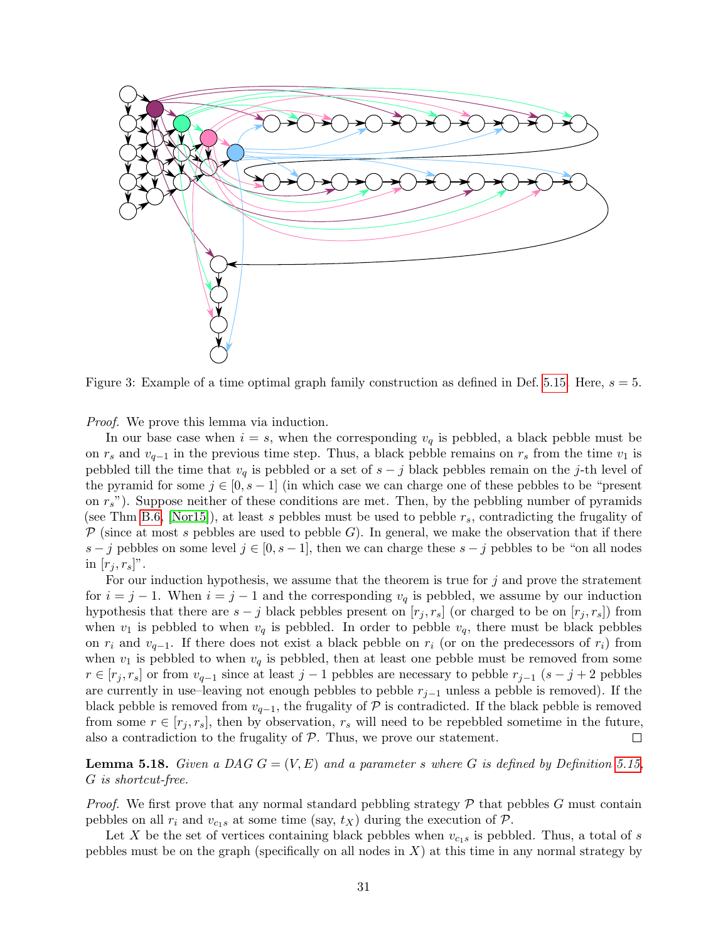<span id="page-30-0"></span>

Figure 3: Example of a time optimal graph family construction as defined in Def. [5.15.](#page-29-0) Here,  $s = 5$ .

Proof. We prove this lemma via induction.

In our base case when  $i = s$ , when the corresponding  $v_q$  is pebbled, a black pebble must be on  $r_s$  and  $v_{q-1}$  in the previous time step. Thus, a black pebble remains on  $r_s$  from the time  $v_1$  is pebbled till the time that  $v_q$  is pebbled or a set of  $s - j$  black pebbles remain on the j-th level of the pyramid for some  $j \in [0, s-1]$  (in which case we can charge one of these pebbles to be "present" on  $r_s$ "). Suppose neither of these conditions are met. Then, by the pebbling number of pyramids (see Thm [B.6,](#page-51-3) [\[Nor15\]](#page-49-8)), at least s pebbles must be used to pebble  $r_s$ , contradicting the frugality of  $P$  (since at most s pebbles are used to pebble G). In general, we make the observation that if there s – j pebbles on some level  $j \in [0, s-1]$ , then we can charge these  $s - j$  pebbles to be "on all nodes" in  $[r_i, r_s]$ ".

For our induction hypothesis, we assume that the theorem is true for  $j$  and prove the stratement for  $i = j - 1$ . When  $i = j - 1$  and the corresponding  $v_q$  is pebbled, we assume by our induction hypothesis that there are  $s - j$  black pebbles present on  $[r_j, r_s]$  (or charged to be on  $[r_j, r_s]$ ) from when  $v_1$  is pebbled to when  $v_q$  is pebbled. In order to pebble  $v_q$ , there must be black pebbles on  $r_i$  and  $v_{q-1}$ . If there does not exist a black pebble on  $r_i$  (or on the predecessors of  $r_i$ ) from when  $v_1$  is pebbled to when  $v_q$  is pebbled, then at least one pebble must be removed from some  $r \in [r_j, r_s]$  or from  $v_{q-1}$  since at least j – 1 pebbles are necessary to pebble  $r_{j-1}$  (s – j + 2 pebbles are currently in use–leaving not enough pebbles to pebble  $r_{j-1}$  unless a pebble is removed). If the black pebble is removed from  $v_{q-1}$ , the frugality of P is contradicted. If the black pebble is removed from some  $r \in [r_j, r_s]$ , then by observation,  $r_s$  will need to be repebbled sometime in the future, also a contradiction to the frugality of  $P$ . Thus, we prove our statement.  $\Box$ 

<span id="page-30-1"></span>**Lemma 5.18.** Given a DAG  $G = (V, E)$  and a parameter s where G is defined by Definition [5.15,](#page-29-0) G is shortcut-free.

*Proof.* We first prove that any normal standard pebbling strategy  $P$  that pebbles G must contain pebbles on all  $r_i$  and  $v_{c1s}$  at some time (say,  $t_X$ ) during the execution of  $\mathcal{P}$ .

Let X be the set of vertices containing black pebbles when  $v_{c_1s}$  is pebbled. Thus, a total of s pebbles must be on the graph (specifically on all nodes in  $X$ ) at this time in any normal strategy by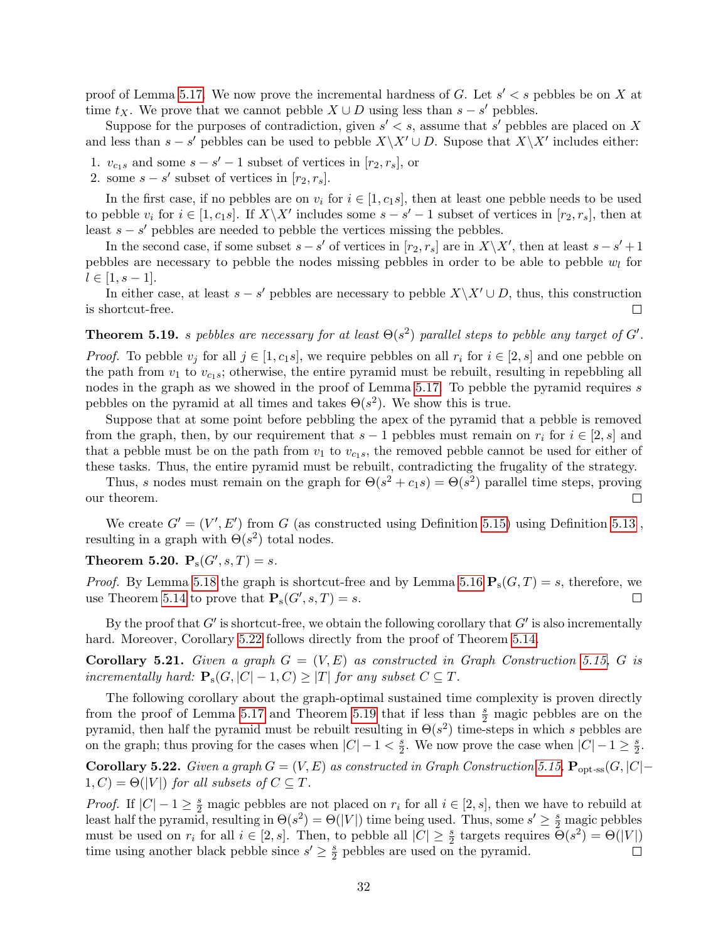proof of Lemma [5.17.](#page-29-1) We now prove the incremental hardness of G. Let  $s' < s$  pebbles be on X at time  $t_X$ . We prove that we cannot pebble  $X \cup D$  using less than  $s - s'$  pebbles.

Suppose for the purposes of contradiction, given  $s' < s$ , assume that s' pebbles are placed on X and less than  $s - s'$  pebbles can be used to pebble  $X\ X' \cup D$ . Supose that  $X\ X'$  includes either:

- 1.  $v_{c_1s}$  and some  $s s' 1$  subset of vertices in  $[r_2, r_s]$ , or
- 2. some  $s s'$  subset of vertices in  $[r_2, r_s]$ .

In the first case, if no pebbles are on  $v_i$  for  $i \in [1, c_1s]$ , then at least one pebble needs to be used to pebble  $v_i$  for  $i \in [1, c_1 s]$ . If  $X \backslash X'$  includes some  $s - s' - 1$  subset of vertices in  $[r_2, r_s]$ , then at least  $s - s'$  pebbles are needed to pebble the vertices missing the pebbles.

In the second case, if some subset  $s - s'$  of vertices in  $[r_2, r_s]$  are in  $X\setminus X'$ , then at least  $s - s' + 1$ pebbles are necessary to pebble the nodes missing pebbles in order to be able to pebble  $w_l$  for  $l \in [1, s - 1].$ 

In either case, at least  $s - s'$  pebbles are necessary to pebble  $X\setminus X' \cup D$ , thus, this construction is shortcut-free.  $\Box$ 

<span id="page-31-1"></span>**Theorem 5.19.** s pebbles are necessary for at least  $\Theta(s^2)$  parallel steps to pebble any target of G'.

*Proof.* To pebble  $v_j$  for all  $j \in [1, c_1s]$ , we require pebbles on all  $r_i$  for  $i \in [2, s]$  and one pebble on the path from  $v_1$  to  $v_{c_1,s}$ ; otherwise, the entire pyramid must be rebuilt, resulting in repebbling all nodes in the graph as we showed in the proof of Lemma [5.17.](#page-29-1) To pebble the pyramid requires  $s$ pebbles on the pyramid at all times and takes  $\Theta(s^2)$ . We show this is true.

Suppose that at some point before pebbling the apex of the pyramid that a pebble is removed from the graph, then, by our requirement that  $s-1$  pebbles must remain on  $r_i$  for  $i \in [2, s]$  and that a pebble must be on the path from  $v_1$  to  $v_{c_1,s}$ , the removed pebble cannot be used for either of these tasks. Thus, the entire pyramid must be rebuilt, contradicting the frugality of the strategy.

Thus, s nodes must remain on the graph for  $\Theta(s^2 + c_1 s) = \Theta(s^2)$  parallel time steps, proving our theorem.  $\Box$ 

We create  $G' = (V', E')$  from G (as constructed using Definition [5.15\)](#page-29-0) using Definition [5.13](#page-28-2), resulting in a graph with  $\Theta(s^2)$  total nodes.

## **Theorem 5.20.**  $P_s(G', s, T) = s$ .

*Proof.* By Lemma [5.18](#page-30-1) the graph is shortcut-free and by Lemma [5.16](#page-29-2)  $\mathbf{P}_s(G,T) = s$ , therefore, we use Theorem [5.14](#page-28-3) to prove that  $P_s(G', s, T) = s$ .  $\Box$ 

By the proof that  $G'$  is shortcut-free, we obtain the following corollary that  $G'$  is also incrementally hard. Moreover, Corollary [5.22](#page-31-0) follows directly from the proof of Theorem [5.14.](#page-28-3)

<span id="page-31-2"></span>Corollary 5.21. Given a graph  $G = (V, E)$  as constructed in Graph Construction [5.15,](#page-29-0) G is incrementally hard:  $P_s(G, |C| - 1, C) \geq |T|$  for any subset  $C \subseteq T$ .

The following corollary about the graph-optimal sustained time complexity is proven directly from the proof of Lemma [5.17](#page-29-1) and Theorem [5.19](#page-31-1) that if less than  $\frac{s}{2}$  magic pebbles are on the pyramid, then half the pyramid must be rebuilt resulting in  $\Theta(s^2)$  time-steps in which s pebbles are on the graph; thus proving for the cases when  $|C| - 1 < \frac{s}{2}$  $\frac{s}{2}$ . We now prove the case when  $|C|-1 \geq \frac{s}{2}$  $\frac{s}{2}$ .

<span id="page-31-0"></span>**Corollary 5.22.** Given a graph  $G = (V, E)$  as constructed in Graph Construction [5.15,](#page-29-0)  $\mathbf{P}_{\text{out-ss}}(G, |C| 1, C$ ) =  $\Theta(|V|)$  for all subsets of  $C \subseteq T$ .

*Proof.* If  $|C|-1 \geq \frac{s}{2}$  magic pebbles are not placed on  $r_i$  for all  $i \in [2, s]$ , then we have to rebuild at least half the pyramid, resulting in  $\Theta(s^2) = \Theta(|V|)$  time being used. Thus, some  $s' \geq \frac{s}{2}$  magic pebbles must be used on  $r_i$  for all  $i \in [2, s]$ . Then, to pebble all  $|C| \geq \frac{s}{2}$  targets requires  $\tilde{\Theta}(s^2) = \Theta(|V|)$ time using another black pebble since  $s' \geq \frac{s}{2}$  $\frac{s}{2}$  pebbles are used on the pyramid.  $\Box$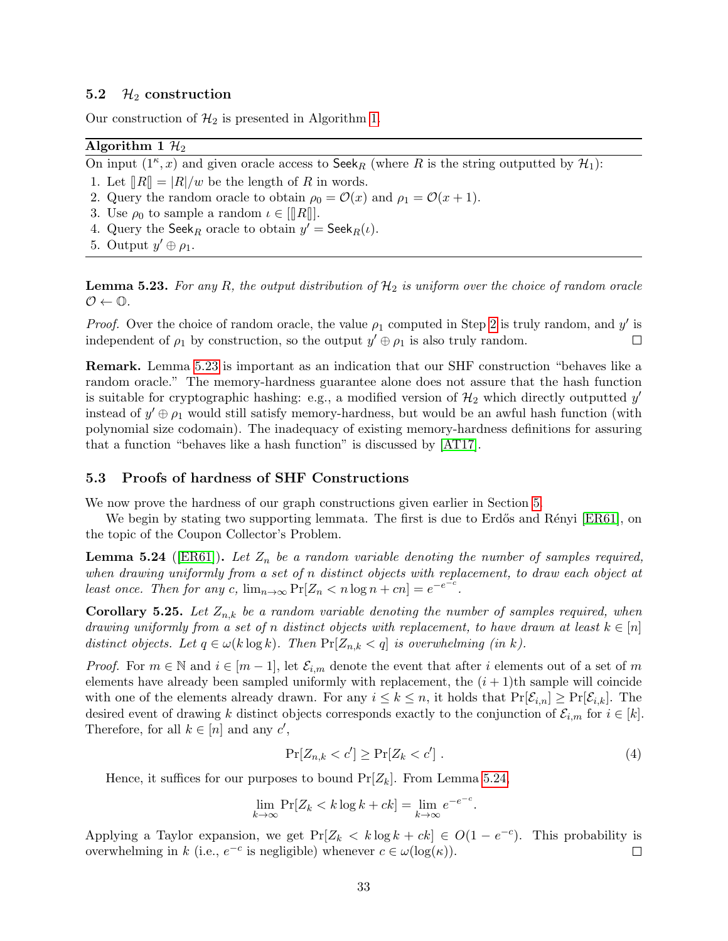#### <span id="page-32-0"></span>5.2  $\mathcal{H}_2$  construction

Our construction of  $\mathcal{H}_2$  is presented in Algorithm [1.](#page-32-2)

#### <span id="page-32-2"></span>Algorithm 1  $\mathcal{H}_2$

On input  $(1^{\kappa}, x)$  and given oracle access to Seek<sub>R</sub> (where R is the string outputted by  $\mathcal{H}_1$ ):

- 1. Let  $\|R\| = |R|/w$  be the length of R in words.
- <span id="page-32-3"></span>2. Query the random oracle to obtain  $\rho_0 = \mathcal{O}(x)$  and  $\rho_1 = \mathcal{O}(x+1)$ .
- <span id="page-32-7"></span>3. Use  $\rho_0$  to sample a random  $\iota \in [\Vert R \Vert].$
- <span id="page-32-6"></span>4. Query the Seek<sub>R</sub> oracle to obtain  $y' = \mathsf{Seek}_R(i)$ .
- 5. Output  $y' \oplus \rho_1$ .

<span id="page-32-4"></span>**Lemma 5.23.** For any R, the output distribution of  $\mathcal{H}_2$  is uniform over the choice of random oracle  $\mathcal{O} \leftarrow \mathbb{O}.$ 

*Proof.* Over the choice of random oracle, the value  $\rho_1$  computed in Step [2](#page-32-3) is truly random, and y' is independent of  $\rho_1$  by construction, so the output  $y' \oplus \rho_1$  is also truly random.  $\Box$ 

Remark. Lemma [5.23](#page-32-4) is important as an indication that our SHF construction "behaves like a random oracle." The memory-hardness guarantee alone does not assure that the hash function is suitable for cryptographic hashing: e.g., a modified version of  $\mathcal{H}_2$  which directly outputted  $y'$ instead of  $y' \oplus \rho_1$  would still satisfy memory-hardness, but would be an awful hash function (with polynomial size codomain). The inadequacy of existing memory-hardness definitions for assuring that a function "behaves like a hash function" is discussed by [\[AT17\]](#page-46-6).

#### <span id="page-32-1"></span>5.3 Proofs of hardness of SHF Constructions

We now prove the hardness of our graph constructions given earlier in Section [5.](#page-22-0)

We begin by stating two supporting lemmata. The first is due to Erdős and Rényi [\[ER61\]](#page-48-13), on the topic of the Coupon Collector's Problem.

<span id="page-32-5"></span>**Lemma 5.24** ([\[ER61\]](#page-48-13)). Let  $Z_n$  be a random variable denoting the number of samples required, when drawing uniformly from a set of n distinct objects with replacement, to draw each object at least once. Then for any c,  $\lim_{n\to\infty} \Pr[Z_n < n \log n + cn] = e^{-e^{-c}}$ .

<span id="page-32-8"></span>**Corollary 5.25.** Let  $Z_{n,k}$  be a random variable denoting the number of samples required, when drawing uniformly from a set of n distinct objects with replacement, to have drawn at least  $k \in [n]$ distinct objects. Let  $q \in \omega(k \log k)$ . Then  $\Pr[Z_{n,k} < q]$  is overwhelming (in k).

*Proof.* For  $m \in \mathbb{N}$  and  $i \in [m-1]$ , let  $\mathcal{E}_{i,m}$  denote the event that after i elements out of a set of m elements have already been sampled uniformly with replacement, the  $(i + 1)$ th sample will coincide with one of the elements already drawn. For any  $i \leq k \leq n$ , it holds that  $Pr[\mathcal{E}_{i,n}] \geq Pr[\mathcal{E}_{i,k}]$ . The desired event of drawing k distinct objects corresponds exactly to the conjunction of  $\mathcal{E}_{i,m}$  for  $i \in [k]$ . Therefore, for all  $k \in [n]$  and any  $c'$ ,

$$
\Pr[Z_{n,k} < c'] \ge \Pr[Z_k < c'] \tag{4}
$$

.

Hence, it suffices for our purposes to bound  $Pr[Z_k]$ . From Lemma [5.24,](#page-32-5)

$$
\lim_{k \to \infty} \Pr[Z_k < k \log k + ck] = \lim_{k \to \infty} e^{-e^{-c}}
$$

Applying a Taylor expansion, we get  $Pr[Z_k < k \log k + ck] \in O(1 - e^{-c})$ . This probability is overwhelming in k (i.e.,  $e^{-c}$  is negligible) whenever  $c \in \omega(\log(\kappa))$ .  $\Box$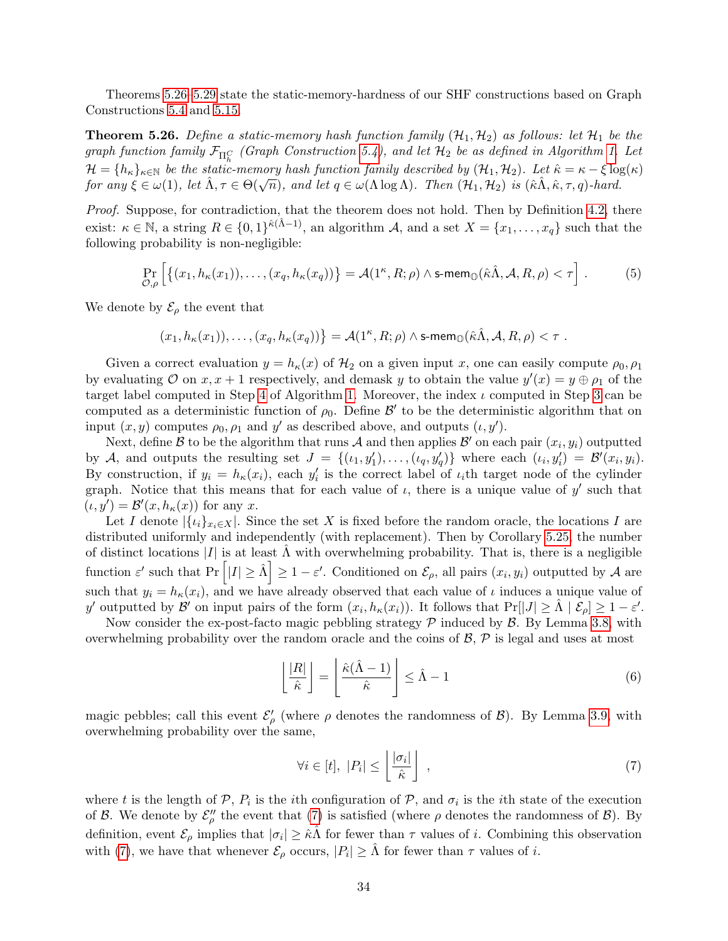Theorems [5.26–](#page-33-0)[5.29](#page-34-2) state the static-memory-hardness of our SHF constructions based on Graph Constructions [5.4](#page-25-1) and [5.15.](#page-29-0)

<span id="page-33-0"></span>**Theorem 5.26.** Define a static-memory hash function family  $(\mathcal{H}_1, \mathcal{H}_2)$  as follows: let  $\mathcal{H}_1$  be the graph function family  $\mathcal{F}_{\Pi_{\mu}}^C$  (Graph Construction [5.4\)](#page-25-1), and let  $\mathcal{H}_2$  be as defined in Algorithm [1.](#page-32-2) Let  $\mathcal{H} = \{h_{\kappa}\}_{{\kappa} \in \mathbb{N}}$  be the static-memory hash function family described by  $(\mathcal{H}_1, \mathcal{H}_2)$ . Let  $\hat{\kappa} = \kappa - \xi \log(\kappa)$  $\mathcal{F}_t = \{n_{\kappa}\}_{\kappa \in \mathbb{N}}$  be the static-memory hash function family described by  $(\mathcal{F}_1, \mathcal{F}_2)$ . Let  $\kappa = \kappa - \zeta$  by for any  $\xi \in \omega(1)$ , let  $\hat{\Lambda}, \tau \in \Theta(\sqrt{n})$ , and let  $q \in \omega(\Lambda \log \Lambda)$ . Then  $(\mathcal{H}_1, \mathcal{H}_2)$  is

Proof. Suppose, for contradiction, that the theorem does not hold. Then by Definition [4.2,](#page-21-2) there exist:  $\kappa \in \mathbb{N}$ , a string  $R \in \{0,1\}^{\hat{\kappa}(\hat{\Lambda}-1)}$ , an algorithm A, and a set  $X = \{x_1, \ldots, x_q\}$  such that the following probability is non-negligible:

$$
\Pr_{\mathcal{O},\rho} \left[ \left\{ (x_1, h_{\kappa}(x_1)), \dots, (x_q, h_{\kappa}(x_q)) \right\} = \mathcal{A}(1^{\kappa}, R; \rho) \wedge \text{s-mem}_{\mathbb{O}}(\hat{\kappa}\hat{\Lambda}, \mathcal{A}, R, \rho) < \tau \right] \,. \tag{5}
$$

We denote by  $\mathcal{E}_{\rho}$  the event that

$$
(x_1,h_\kappa(x_1)),\ldots,(x_q,h_\kappa(x_q))\big\}=\mathcal{A}(1^\kappa,R;\rho)\wedge\operatorname{{\sf s-mem}}_{\mathbb{O}}(\hat\kappa\hat\Lambda,\mathcal{A},R,\rho)<\tau\ .
$$

Given a correct evaluation  $y = h_{\kappa}(x)$  of  $\mathcal{H}_2$  on a given input x, one can easily compute  $\rho_0, \rho_1$ by evaluating  $\mathcal O$  on  $x, x+1$  respectively, and demask y to obtain the value  $y'(x) = y \oplus \rho_1$  of the target label computed in Step [4](#page-32-6) of Algorithm [1.](#page-32-2) Moreover, the index  $\iota$  computed in Step [3](#page-32-7) can be computed as a deterministic function of  $\rho_0$ . Define  $\mathcal{B}'$  to be the deterministic algorithm that on input  $(x, y)$  computes  $\rho_0, \rho_1$  and  $y'$  as described above, and outputs  $(\iota, y')$ .

Next, define  $\mathcal B$  to be the algorithm that runs  $\mathcal A$  and then applies  $\mathcal B'$  on each pair  $(x_i, y_i)$  outputted by A, and outputs the resulting set  $J = \{(i_1, y'_1), \ldots, (i_q, y'_q)\}\$  where each  $(i_i, y'_i) = \mathcal{B}'(x_i, y_i)$ . By construction, if  $y_i = h_{\kappa}(x_i)$ , each  $y'_i$  is the correct label of  $\iota_i$ th target node of the cylinder graph. Notice that this means that for each value of  $\iota$ , there is a unique value of  $y'$  such that  $(\iota, y') = \mathcal{B}'(x, h_{\kappa}(x))$  for any x.

Let I denote  $|\{i_i\}_{i\in X}|$ . Since the set X is fixed before the random oracle, the locations I are distributed uniformly and independently (with replacement). Then by Corollary [5.25,](#page-32-8) the number of distinct locations |I| is at least  $\hat{\Lambda}$  with overwhelming probability. That is, there is a negligible function  $\varepsilon'$  such that  $Pr\left[|I|\geq \hat{\Lambda}\right] \geq 1-\varepsilon'$ . Conditioned on  $\mathcal{E}_{\rho}$ , all pairs  $(x_i, y_i)$  outputted by A are such that  $y_i = h_{\kappa}(x_i)$ , and we have already observed that each value of  $\iota$  induces a unique value of y' outputted by  $\mathcal{B}'$  on input pairs of the form  $(x_i, h_k(x_i))$ . It follows that  $\Pr[|J| \geq \hat{\Lambda} | \mathcal{E}_\rho] \geq 1 - \varepsilon'.$ 

Now consider the ex-post-facto magic pebbling strategy  $\mathcal P$  induced by  $\mathcal B$ . By Lemma [3.8,](#page-18-2) with overwhelming probability over the random oracle and the coins of  $\mathcal{B}, \mathcal{P}$  is legal and uses at most

$$
\left\lfloor \frac{|R|}{\hat{\kappa}} \right\rfloor = \left\lfloor \frac{\hat{\kappa}(\hat{\Lambda} - 1)}{\hat{\kappa}} \right\rfloor \le \hat{\Lambda} - 1 \tag{6}
$$

magic pebbles; call this event  $\mathcal{E}'_\rho$  (where  $\rho$  denotes the randomness of  $\mathcal{B}$ ). By Lemma [3.9,](#page-19-1) with overwhelming probability over the same,

<span id="page-33-1"></span>
$$
\forall i \in [t], \ |P_i| \le \left\lfloor \frac{|\sigma_i|}{\hat{\kappa}} \right\rfloor \ , \tag{7}
$$

where t is the length of P,  $P_i$  is the ith configuration of P, and  $\sigma_i$  is the ith state of the execution of B. We denote by  $\mathcal{E}_{\rho}''$  the event that [\(7\)](#page-33-1) is satisfied (where  $\rho$  denotes the randomness of B). By definition, event  $\mathcal{E}_{\rho}$  implies that  $|\sigma_i| \geq \hat{\kappa}\hat{\Lambda}$  for fewer than  $\tau$  values of i. Combining this observation with [\(7\)](#page-33-1), we have that whenever  $\mathcal{E}_{\rho}$  occurs,  $|P_i| \geq \hat{\Lambda}$  for fewer than  $\tau$  values of i.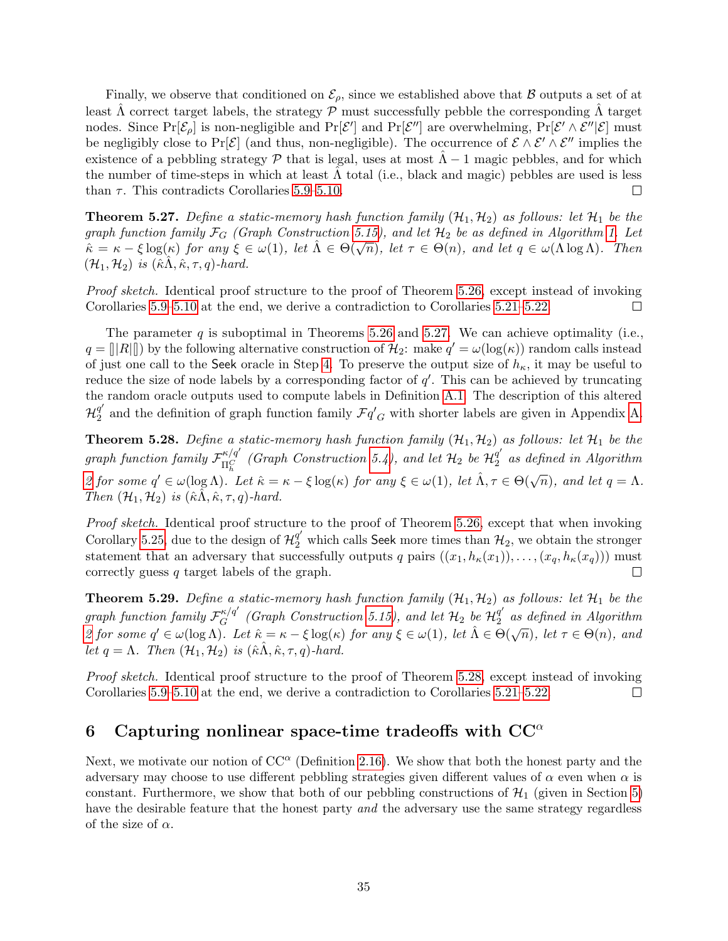Finally, we observe that conditioned on  $\mathcal{E}_{\rho}$ , since we established above that  $\mathcal B$  outputs a set of at least  $\hat{\Lambda}$  correct target labels, the strategy  $\mathcal P$  must successfully pebble the corresponding  $\hat{\Lambda}$  target nodes. Since  $Pr[\mathcal{E}_{\rho}]$  is non-negligible and  $Pr[\mathcal{E}']$  and  $Pr[\mathcal{E}'']$  are overwhelming,  $Pr[\mathcal{E}' \wedge \mathcal{E}'' | \mathcal{E}]$  must be negligibly close to Pr[ $\mathcal{E}$ ] (and thus, non-negligible). The occurrence of  $\mathcal{E} \wedge \mathcal{E}' \wedge \mathcal{E}''$  implies the existence of a pebbling strategy P that is legal, uses at most  $\hat{\Lambda} - 1$  magic pebbles, and for which the number of time-steps in which at least  $\Lambda$  total (i.e., black and magic) pebbles are used is less than  $\tau$ . This contradicts Corollaries [5.9](#page-27-0)[–5.10.](#page-27-1)  $\Box$ 

<span id="page-34-3"></span>**Theorem 5.27.** Define a static-memory hash function family  $(\mathcal{H}_1, \mathcal{H}_2)$  as follows: let  $\mathcal{H}_1$  be the graph function family  $\mathcal{F}_G$  (Graph Construction [5.15\)](#page-29-0), and let  $\mathcal{H}_2$  be as defined in Algorithm [1.](#page-32-2) Let graph function funtig  $\mathcal{F}_G$  (Graph Construction 5.15), and let  $\mathcal{F}_2$  be as defined in Algorithm 1. Let  $\hat{\kappa} = \kappa - \xi \log(\kappa)$  for any  $\xi \in \omega(1)$ , let  $\hat{\Lambda} \in \Theta(\sqrt{n})$ , let  $\tau \in \Theta(n)$ , and let  $q \in \omega(\Lambda \log \Lambda)$ . Then  $(\mathcal{H}_1, \mathcal{H}_2)$  is  $(\hat{\kappa}\Lambda, \hat{\kappa}, \tau, q)$ -hard.

Proof sketch. Identical proof structure to the proof of Theorem [5.26,](#page-33-0) except instead of invoking Corollaries [5.9–](#page-27-0)[5.10](#page-27-1) at the end, we derive a contradiction to Corollaries [5.21–](#page-31-2)[5.22.](#page-31-0)  $\Box$ 

The parameter  $q$  is suboptimal in Theorems [5.26](#page-33-0) and [5.27.](#page-34-3) We can achieve optimality (i.e.,  $q = ||R||$ ) by the following alternative construction of  $\mathcal{H}_2$ : make  $q' = \omega(\log(\kappa))$  random calls instead of just one call to the Seek oracle in Step [4.](#page-32-6) To preserve the output size of  $h_{\kappa}$ , it may be useful to reduce the size of node labels by a corresponding factor of  $q'$ . This can be achieved by truncating the random oracle outputs used to compute labels in Definition [A.1.](#page-50-2) The description of this altered  $\mathcal{H}^{q'}_2$  $q'$  and the definition of graph function family  $\mathcal{F}q'_{\mathcal{G}}$  with shorter labels are given in Appendix [A.](#page-50-0)

<span id="page-34-1"></span>**Theorem 5.28.** Define a static-memory hash function family  $(\mathcal{H}_1, \mathcal{H}_2)$  as follows: let  $\mathcal{H}_1$  be the graph function family  $\mathcal{F}_{\Pi C}^{\kappa/q'}$  $\frac{\kappa/q'}{\Pi_h^C}$  (Graph Construction [5.4\)](#page-25-1), and let  $\mathcal{H}_2$  be  $\mathcal{H}_2^{q'}$  $\frac{q}{2}$  as defined in Algorithm [2](#page-50-4) for some  $q' \in \omega(\log \Lambda)$ . Let  $\hat{\kappa} = \kappa - \xi \log(\kappa)$  for any  $\xi \in \omega(1)$ , let  $\hat{\Lambda}, \tau \in \Theta(\sqrt{n})$ , and let  $q = \Lambda$ . Then  $(\mathcal{H}_1, \mathcal{H}_2)$  is  $(\hat{\kappa}\Lambda, \hat{\kappa}, \tau, q)$ -hard.

Proof sketch. Identical proof structure to the proof of Theorem [5.26,](#page-33-0) except that when invoking Corollary [5.25,](#page-32-8) due to the design of  $\mathcal{H}_2^{q'}$  which calls Seek more times than  $\mathcal{H}_2$ , we obtain the stronger statement that an adversary that successfully outputs q pairs  $((x_1, h_\kappa(x_1)), \ldots, (x_q, h_\kappa(x_q)))$  must correctly guess q target labels of the graph.  $\Box$ 

<span id="page-34-2"></span>**Theorem 5.29.** Define a static-memory hash function family  $(\mathcal{H}_1, \mathcal{H}_2)$  as follows: let  $\mathcal{H}_1$  be the graph function family  $\mathcal{F}_G^{\kappa/q'}$  $G^{k/q'}$  (Graph Construction [5.15\)](#page-29-0), and let  $\mathcal{H}_2$  be  $\mathcal{H}_2^{q'}$  $\frac{q}{2}$  as defined in Algorithm graph fanction family 5  $G$  (criaph constraction 6.16), and ict  $\kappa_2$  $\kappa_2$  act  $\kappa_2$  as defined in Higoritanii<br>2 for some  $q' \in \omega(\log \Lambda)$ . Let  $\hat{\kappa} = \kappa - \xi \log(\kappa)$  for any  $\xi \in \omega(1)$ , let  $\hat{\Lambda} \in \Theta(\sqrt{n})$ , let  $\tau \in \Theta(n)$ , let  $q = \Lambda$ . Then  $(\mathcal{H}_1, \mathcal{H}_2)$  is  $(\hat{\kappa}\Lambda, \hat{\kappa}, \tau, q)$ -hard.

Proof sketch. Identical proof structure to the proof of Theorem [5.28,](#page-34-1) except instead of invoking Corollaries [5.9–](#page-27-0)[5.10](#page-27-1) at the end, we derive a contradiction to Corollaries [5.21–](#page-31-2)[5.22.](#page-31-0)  $\Box$ 

## <span id="page-34-0"></span>6 Capturing nonlinear space-time tradeoffs with  $CC^{\alpha}$

Next, we motivate our notion of  $CC^{\alpha}$  (Definition [2.16\)](#page-15-2). We show that both the honest party and the adversary may choose to use different pebbling strategies given different values of  $\alpha$  even when  $\alpha$  is constant. Furthermore, we show that both of our pebbling constructions of  $\mathcal{H}_1$  (given in Section [5\)](#page-22-0) have the desirable feature that the honest party and the adversary use the same strategy regardless of the size of  $\alpha$ .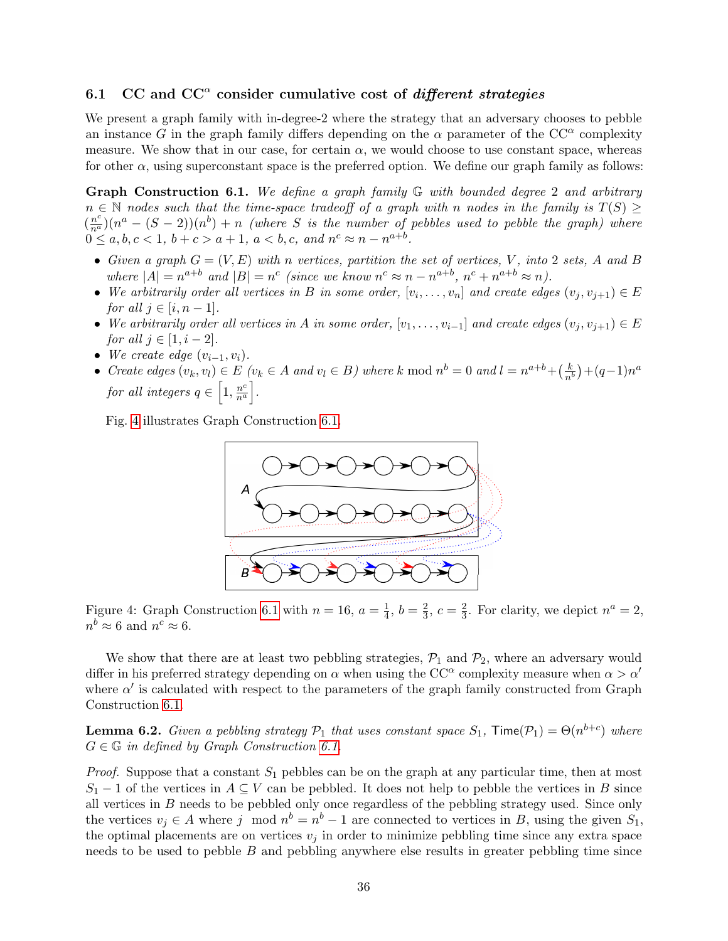## <span id="page-35-0"></span>6.1 CC and  $CC^{\alpha}$  consider cumulative cost of *different strategies*

We present a graph family with in-degree-2 where the strategy that an adversary chooses to pebble an instance G in the graph family differs depending on the  $\alpha$  parameter of the CC<sup> $\alpha$ </sup> complexity measure. We show that in our case, for certain  $\alpha$ , we would choose to use constant space, whereas for other  $\alpha$ , using superconstant space is the preferred option. We define our graph family as follows:

<span id="page-35-2"></span>**Graph Construction 6.1.** We define a graph family  $G$  with bounded degree 2 and arbitrary  $n \in \mathbb{N}$  nodes such that the time-space tradeoff of a graph with n nodes in the family is  $T(S) \geq$  $(\frac{n^c}{n^a})(n^a-(S-2))(n^b)+n$  (where S is the number of pebbles used to pebble the graph) where  $0 \le a, b, c < 1, b + c > a + 1, a < b, c, and n^c \approx n - n^{a+b}$ .

- Given a graph  $G = (V, E)$  with n vertices, partition the set of vertices, V, into 2 sets, A and B where  $|A| = n^{a+b}$  and  $|B| = n^c$  (since we know  $n^c \approx n - n^{a+b}$ ,  $n^c + n^{a+b} \approx n$ ).
- We arbitrarily order all vertices in B in some order,  $[v_i, \ldots, v_n]$  and create edges  $(v_j, v_{j+1}) \in E$ for all  $j \in [i, n-1]$ .
- We arbitrarily order all vertices in A in some order,  $[v_1, \ldots, v_{i-1}]$  and create edges  $(v_j, v_{j+1}) \in E$ for all  $j \in [1, i-2]$ .
- We create edge  $(v_{i-1}, v_i)$ .
- Create edges  $(v_k, v_l) \in E$   $(v_k \in A$  and  $v_l \in B)$  where k mod  $n^b = 0$  and  $l = n^{a+b} + \left(\frac{k}{n^b}\right) + (q-1)n^a$ for all integers  $q \in \left[1, \frac{n^c}{n^a}\right]$  $\frac{n^c}{n^a}\bigg].$

<span id="page-35-1"></span>Fig. [4](#page-35-1) illustrates Graph Construction [6.1.](#page-35-2)



Figure 4: Graph Construction [6.1](#page-35-2) with  $n = 16$ ,  $a = \frac{1}{4}$  $\frac{1}{4}$ ,  $b = \frac{2}{3}$  $\frac{2}{3}, c = \frac{2}{3}$  $\frac{2}{3}$ . For clarity, we depict  $n^a = 2$ ,  $n^b \approx 6$  and  $n^c \approx 6$ .

We show that there are at least two pebbling strategies,  $P_1$  and  $P_2$ , where an adversary would differ in his preferred strategy depending on  $\alpha$  when using the CC<sup> $\alpha$ </sup> complexity measure when  $\alpha > \alpha'$ where  $\alpha'$  is calculated with respect to the parameters of the graph family constructed from Graph Construction [6.1.](#page-35-2)

<span id="page-35-3"></span>**Lemma 6.2.** Given a pebbling strategy  $\mathcal{P}_1$  that uses constant space  $S_1$ ,  $\mathsf{Time}(\mathcal{P}_1) = \Theta(n^{b+c})$  where  $G \in \mathbb{G}$  in defined by Graph Construction [6.1.](#page-35-2)

*Proof.* Suppose that a constant  $S_1$  pebbles can be on the graph at any particular time, then at most  $S_1 - 1$  of the vertices in  $A \subseteq V$  can be pebbled. It does not help to pebble the vertices in B since all vertices in  $B$  needs to be pebbled only once regardless of the pebbling strategy used. Since only the vertices  $v_j \in A$  where j mod  $n^b = n^b - 1$  are connected to vertices in B, using the given  $S_1$ , the optimal placements are on vertices  $v_i$  in order to minimize pebbling time since any extra space needs to be used to pebble B and pebbling anywhere else results in greater pebbling time since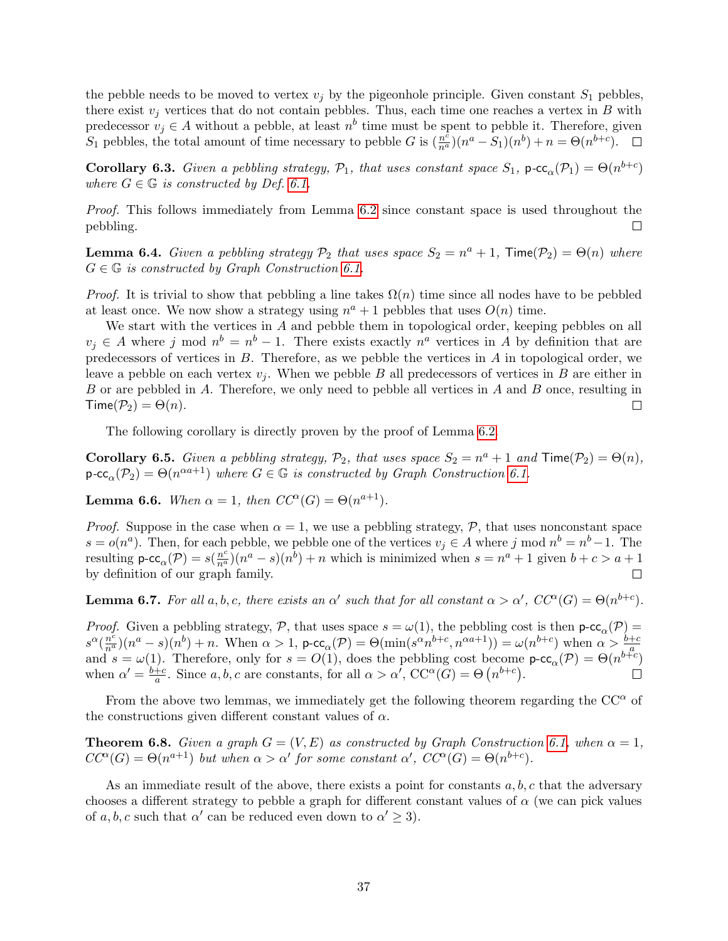the pebble needs to be moved to vertex  $v_j$  by the pigeonhole principle. Given constant  $S_1$  pebbles, there exist  $v_i$  vertices that do not contain pebbles. Thus, each time one reaches a vertex in B with predecessor  $v_j \in A$  without a pebble, at least  $n^b$  time must be spent to pebble it. Therefore, given  $S_1$  pebbles, the total amount of time necessary to pebble G is  $(\frac{n^{\tilde{c}}}{n^{\alpha}})(n^a - S_1)(n^b) + n = \Theta(n^{b+c})$ .

**Corollary 6.3.** Given a pebbling strategy,  $\mathcal{P}_1$ , that uses constant space  $S_1$ ,  $p-\text{cc}_{\alpha}(\mathcal{P}_1) = \Theta(n^{b+c})$ where  $G \in \mathbb{G}$  is constructed by Def. [6.1.](#page-35-2)

Proof. This follows immediately from Lemma [6.2](#page-35-3) since constant space is used throughout the pebbling.  $\Box$ 

**Lemma 6.4.** Given a pebbling strategy  $\mathcal{P}_2$  that uses space  $S_2 = n^a + 1$ ,  $\text{Time}(\mathcal{P}_2) = \Theta(n)$  where  $G \in \mathbb{G}$  is constructed by Graph Construction [6.1.](#page-35-2)

*Proof.* It is trivial to show that pebbling a line takes  $\Omega(n)$  time since all nodes have to be pebbled at least once. We now show a strategy using  $n^a + 1$  pebbles that uses  $O(n)$  time.

We start with the vertices in A and pebble them in topological order, keeping pebbles on all  $v_j \in A$  where j mod  $n^b = n^b - 1$ . There exists exactly  $n^a$  vertices in A by definition that are predecessors of vertices in  $B$ . Therefore, as we pebble the vertices in  $A$  in topological order, we leave a pebble on each vertex  $v_i$ . When we pebble B all predecessors of vertices in B are either in B or are pebbled in A. Therefore, we only need to pebble all vertices in A and B once, resulting in  $Time(\mathcal{P}_2) = \Theta(n).$  $\Box$ 

The following corollary is directly proven by the proof of Lemma [6.2.](#page-35-3)

**Corollary 6.5.** Given a pebbling strategy,  $\mathcal{P}_2$ , that uses space  $S_2 = n^a + 1$  and  $\text{Time}(\mathcal{P}_2) = \Theta(n)$ ,  $p\text{-cc}_{\alpha}(\mathcal{P}_2) = \Theta(n^{\alpha a+1})$  where  $G \in \mathbb{G}$  is constructed by Graph Construction [6.1.](#page-35-2)

**Lemma 6.6.** When  $\alpha = 1$ , then  $CC^{\alpha}(G) = \Theta(n^{a+1})$ .

*Proof.* Suppose in the case when  $\alpha = 1$ , we use a pebbling strategy, P, that uses nonconstant space  $s = o(n^a)$ . Then, for each pebble, we pebble one of the vertices  $v_j \in A$  where j mod  $n^b = n^b - 1$ . The resulting  $p-\text{cc}_{\alpha}(p) = s(\frac{n^c}{n^a})(n^a-s)(n^b) + n$  which is minimized when  $s = n^a + 1$  given  $b+c > a+1$ by definition of our graph family.  $\Box$ 

**Lemma 6.7.** For all a, b, c, there exists an  $\alpha'$  such that for all constant  $\alpha > \alpha'$ ,  $CC^{\alpha}(G) = \Theta(n^{b+c})$ .

*Proof.* Given a pebbling strategy, P, that uses space  $s = \omega(1)$ , the pebbling cost is then  $p\text{-cc}_{\alpha}(p)$  $s^{\alpha}(\frac{n^{c}}{n^{a}})(n^{a}-s)(n^{b})+n$ . When  $\alpha>1$ ,  $p\text{-cc}_{\alpha}(\mathcal{P})=\Theta(\min(s^{\alpha}n^{b+c},n^{\alpha a+1}))=\omega(n^{b+c})$  when  $\alpha>\frac{b+c}{a}$ and  $s = \omega(1)$ . Therefore, only for  $s = O(1)$ , does the pebbling cost become  $p\text{-}cc_{\alpha}(p) = \Theta(n^{b+c})$ when  $\alpha' = \frac{b+c}{a}$  $\frac{+c}{a}$ . Since a, b, c are constants, for all  $\alpha > \alpha'$ , CC<sup> $\alpha$ </sup>(G) =  $\Theta$  (n<sup>b+c</sup>).

From the above two lemmas, we immediately get the following theorem regarding the  $CC^{\alpha}$  of the constructions given different constant values of  $\alpha$ .

<span id="page-36-0"></span>**Theorem 6.8.** Given a graph  $G = (V, E)$  as constructed by Graph Construction [6.1,](#page-35-2) when  $\alpha = 1$ ,  $CC^{\alpha}(G) = \Theta(n^{a+1})$  but when  $\alpha > \alpha'$  for some constant  $\alpha'$ ,  $CC^{\alpha}(G) = \Theta(n^{b+c})$ .

As an immediate result of the above, there exists a point for constants  $a, b, c$  that the adversary chooses a different strategy to pebble a graph for different constant values of  $\alpha$  (we can pick values of a, b, c such that  $\alpha'$  can be reduced even down to  $\alpha' \geq 3$ ).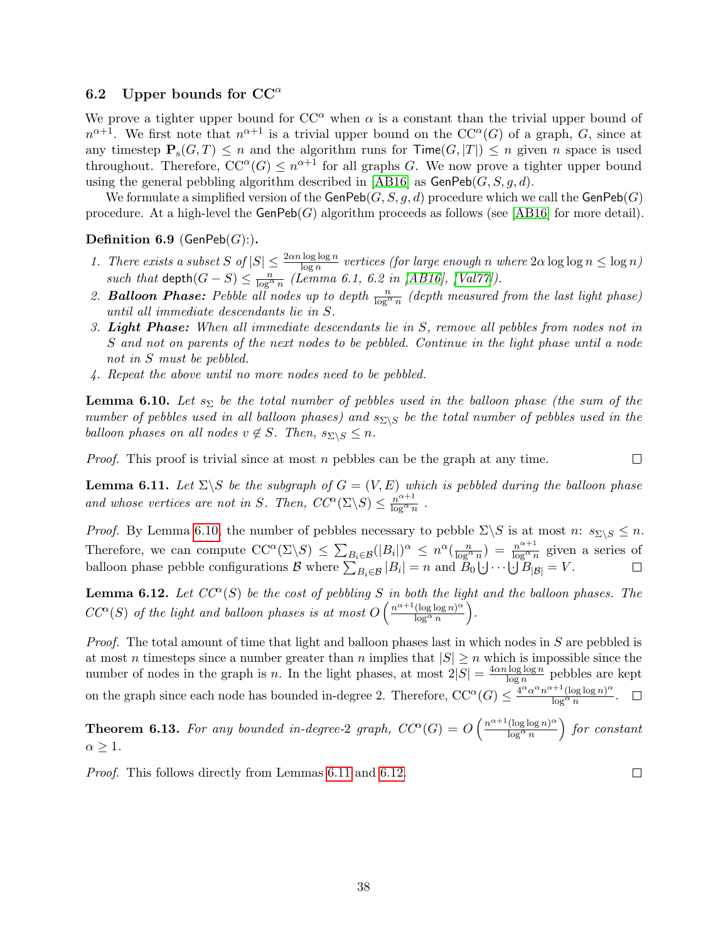### <span id="page-37-0"></span>6.2 Upper bounds for  $CC^{\alpha}$

We prove a tighter upper bound for  $CC^{\alpha}$  when  $\alpha$  is a constant than the trivial upper bound of  $n^{\alpha+1}$ . We first note that  $n^{\alpha+1}$  is a trivial upper bound on the  $CC^{\alpha}(G)$  of a graph, G, since at any timestep  $P_s(G,T) \leq n$  and the algorithm runs for  $\text{Time}(G, |T|) \leq n$  given n space is used throughout. Therefore,  $CC^{\alpha}(G) \leq n^{\alpha+1}$  for all graphs G. We now prove a tighter upper bound using the general pebbling algorithm described in [\[AB16\]](#page-46-1) as  $GenPeb(G, S, q, d)$ .

We formulate a simplified version of the  $GenPeb(G, S, g, d)$  procedure which we call the  $GenPeb(G)$ procedure. At a high-level the  $GenPeb(G)$  algorithm proceeds as follows (see [\[AB16\]](#page-46-1) for more detail).

#### **Definition 6.9** ( $GenPeb(G):$ ).

- 1. There exists a subset  $S$  of  $|S| \leq \frac{2\alpha n \log \log n}{\log n}$  vertices (for large enough n where  $2\alpha \log \log n \leq \log n$ ) such that depth $(G - S) \leq \frac{n}{\log^{\alpha} n}$  (Lemma 6.1, 6.2 in [\[AB16\]](#page-46-1), [\[Val77\]](#page-49-12)).
- 2. **Balloon Phase:** Pebble all nodes up to depth  $\frac{n}{\log^{\alpha} n}$  (depth measured from the last light phase) until all immediate descendants lie in S.
- 3. Light Phase: When all immediate descendants lie in S, remove all pebbles from nodes not in S and not on parents of the next nodes to be pebbled. Continue in the light phase until a node not in S must be pebbled.
- 4. Repeat the above until no more nodes need to be pebbled.

<span id="page-37-2"></span>**Lemma 6.10.** Let  $s_{\Sigma}$  be the total number of pebbles used in the balloon phase (the sum of the number of pebbles used in all balloon phases) and  $s_{\sum S}$  be the total number of pebbles used in the balloon phases on all nodes  $v \notin S$ . Then,  $s_{\Sigma \setminus S} \leq n$ .

*Proof.* This proof is trivial since at most n pebbles can be the graph at any time.

<span id="page-37-3"></span>**Lemma 6.11.** Let  $\Sigma \setminus S$  be the subgraph of  $G = (V, E)$  which is pebbled during the balloon phase and whose vertices are not in S. Then,  $CC^{\alpha}(\Sigma \backslash S) \leq \frac{n^{\alpha+1}}{\log^{\alpha} n}$ .

 $\Box$ 

 $\Box$ 

*Proof.* By Lemma [6.10,](#page-37-2) the number of pebbles necessary to pebble  $\Sigma \backslash S$  is at most n:  $s_{\Sigma \backslash S} \leq n$ . Therefore, we can compute  $CC^{\alpha}(\Sigma \backslash S) \leq \sum_{B_i \in \mathcal{B}}(|B_i|)^{\alpha} \leq n^{\alpha}(\frac{n}{\log^{\alpha} n}) = \frac{n^{\alpha+1}}{\log^{\alpha} n}$  given a series of balloon phase pebble configurations  $\mathcal{B}$  where  $\sum_{B_i \in \mathcal{B}} |B_i| = n$  and  $B_0 \cup \cdots \cup B_{|\mathcal{B}|} = V$ .

<span id="page-37-4"></span>**Lemma 6.12.** Let  $CC^{\alpha}(S)$  be the cost of pebbling S in both the light and the balloon phases. The  $CC^{\alpha}(S)$  of the light and balloon phases is at most  $O\left(\frac{n^{\alpha+1}(\log\log n)^{\alpha}}{\log^{\alpha}n}\right)$  $\frac{(\log \log n)^{\alpha}}{\log^{\alpha} n}$ .

Proof. The total amount of time that light and balloon phases last in which nodes in S are pebbled is at most n timesteps since a number greater than n implies that  $|S| \geq n$  which is impossible since the number of nodes in the graph is n. In the light phases, at most  $2|S| = \frac{4\alpha n \log \log n}{\log n}$  $\frac{\log \log n}{\log n}$  pebbles are kept on the graph since each node has bounded in-degree 2. Therefore,  $CC^{\alpha}(G) \leq \frac{4^{\alpha} \alpha^{\alpha} n^{\alpha+1} (\log \log n)^{\alpha}}{\log^{\alpha} n}$  $\frac{\log \log n}{\log^{\alpha} n}$ .

<span id="page-37-1"></span>**Theorem 6.13.** For any bounded in-degree-2 graph,  $CC^{\alpha}(G) = O\left(\frac{n^{\alpha+1}(\log \log n)^{\alpha}}{\log^{\alpha} n}\right)$  $\frac{(\log \log n)^{\alpha}}{\log^{\alpha} n}$  for constant  $\alpha \geq 1$ .

Proof. This follows directly from Lemmas [6.11](#page-37-3) and [6.12.](#page-37-4)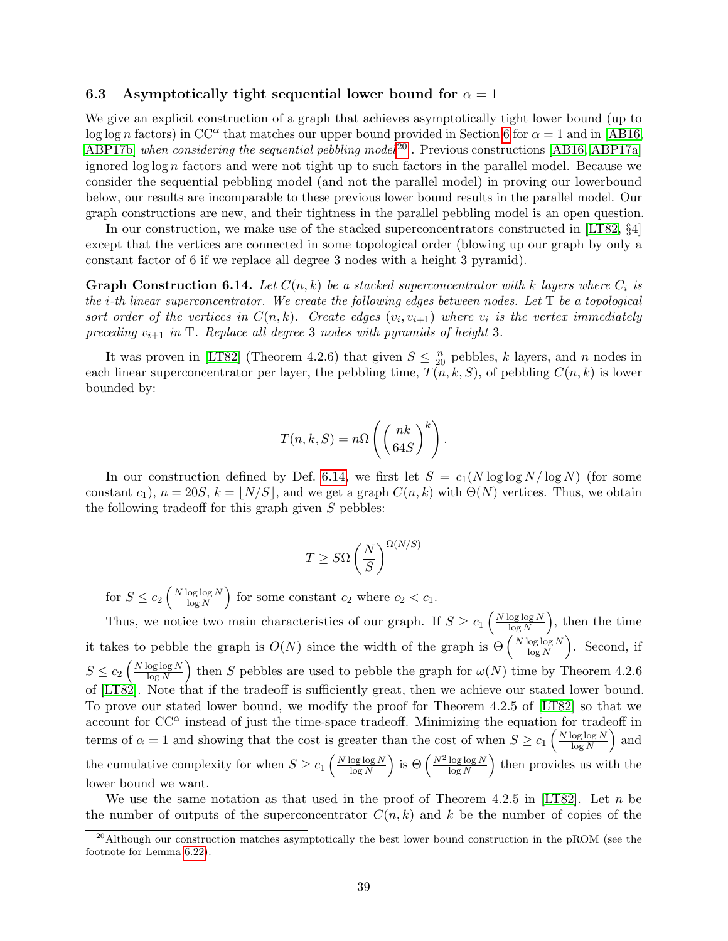#### <span id="page-38-0"></span>6.3 Asymptotically tight sequential lower bound for  $\alpha = 1$

We give an explicit construction of a graph that achieves asymptotically tight lower bound (up to log log n factors) in CC<sup> $\alpha$ </sup> that matches our upper bound provided in Section [6](#page-34-0) for  $\alpha = 1$  and in [\[AB16,](#page-46-1) [ABP17b\]](#page-46-4) when considering the sequential pebbling model<sup>[20](#page-38-1)</sup>. Previous constructions [\[AB16,](#page-46-1) [ABP17a\]](#page-46-3) ignored  $\log \log n$  factors and were not tight up to such factors in the parallel model. Because we consider the sequential pebbling model (and not the parallel model) in proving our lowerbound below, our results are incomparable to these previous lower bound results in the parallel model. Our graph constructions are new, and their tightness in the parallel pebbling model is an open question.

In our construction, we make use of the stacked superconcentrators constructed in [\[LT82,](#page-48-8) §4] except that the vertices are connected in some topological order (blowing up our graph by only a constant factor of 6 if we replace all degree 3 nodes with a height 3 pyramid).

<span id="page-38-2"></span>**Graph Construction 6.14.** Let  $C(n, k)$  be a stacked superconcentrator with k layers where  $C_i$  is the *i*-th linear superconcentrator. We create the following edges between nodes. Let  $T$  be a topological sort order of the vertices in  $C(n,k)$ . Create edges  $(v_i, v_{i+1})$  where  $v_i$  is the vertex immediately preceding  $v_{i+1}$  in T. Replace all degree 3 nodes with pyramids of height 3.

It was proven in [\[LT82\]](#page-48-8) (Theorem 4.2.6) that given  $S \leq \frac{n}{20}$  pebbles, k layers, and n nodes in each linear superconcentrator per layer, the pebbling time,  $T(n, k, S)$ , of pebbling  $C(n, k)$  is lower bounded by:

$$
T(n,k,S) = n\Omega\left(\left(\frac{nk}{64S}\right)^k\right).
$$

In our construction defined by Def. [6.14,](#page-38-2) we first let  $S = c_1(N \log \log N / \log N)$  (for some constant  $c_1$ ),  $n = 20S$ ,  $k = |N/S|$ , and we get a graph  $C(n, k)$  with  $\Theta(N)$  vertices. Thus, we obtain the following tradeoff for this graph given  $S$  pebbles:

$$
T \geq S\Omega \left(\frac{N}{S}\right)^{\Omega(N/S)}
$$

for  $S \leq c_2 \left( \frac{N \log \log N}{\log N} \right)$  $\frac{\log \log N}{\log N}$  for some constant  $c_2$  where  $c_2 < c_1$ .

Thus, we notice two main characteristics of our graph. If  $S \geq c_1 \left( \frac{N \log \log N}{\log N} \right)$  $\frac{\log \log N}{\log N}$ , then the time it takes to pebble the graph is  $O(N)$  since the width of the graph is  $\Theta\left(\frac{N\log\log N}{\log N}\right)$  $\frac{\log \log N}{\log N}$ . Second, if  $S \leq c_2 \left( \frac{N \log \log N}{\log N} \right)$  $\frac{\log \log N}{\log N}$  then S pebbles are used to pebble the graph for  $\omega(N)$  time by Theorem 4.2.6 of [\[LT82\]](#page-48-8). Note that if the tradeoff is sufficiently great, then we achieve our stated lower bound. To prove our stated lower bound, we modify the proof for Theorem 4.2.5 of [\[LT82\]](#page-48-8) so that we account for  $CC^{\alpha}$  instead of just the time-space tradeoff. Minimizing the equation for tradeoff in terms of  $\alpha = 1$  and showing that the cost is greater than the cost of when  $S \geq c_1 \left( \frac{N \log \log N}{\log N} \right)$  $\frac{\log \log N}{\log N}$  and the cumulative complexity for when  $S \geq c_1 \left( \frac{N \log \log N}{\log N} \right)$  $\frac{\log \log N}{\log N}$  is  $\Theta\left(\frac{N^2 \log \log N}{\log N}\right)$  $\frac{\log \log N}{\log N}$  then provides us with the lower bound we want.

We use the same notation as that used in the proof of Theorem 4.2.5 in [\[LT82\]](#page-48-8). Let n be the number of outputs of the superconcentrator  $C(n, k)$  and k be the number of copies of the

<span id="page-38-1"></span><sup>&</sup>lt;sup>20</sup>Although our construction matches asymptotically the best lower bound construction in the pROM (see the footnote for Lemma [6.22\)](#page-41-0).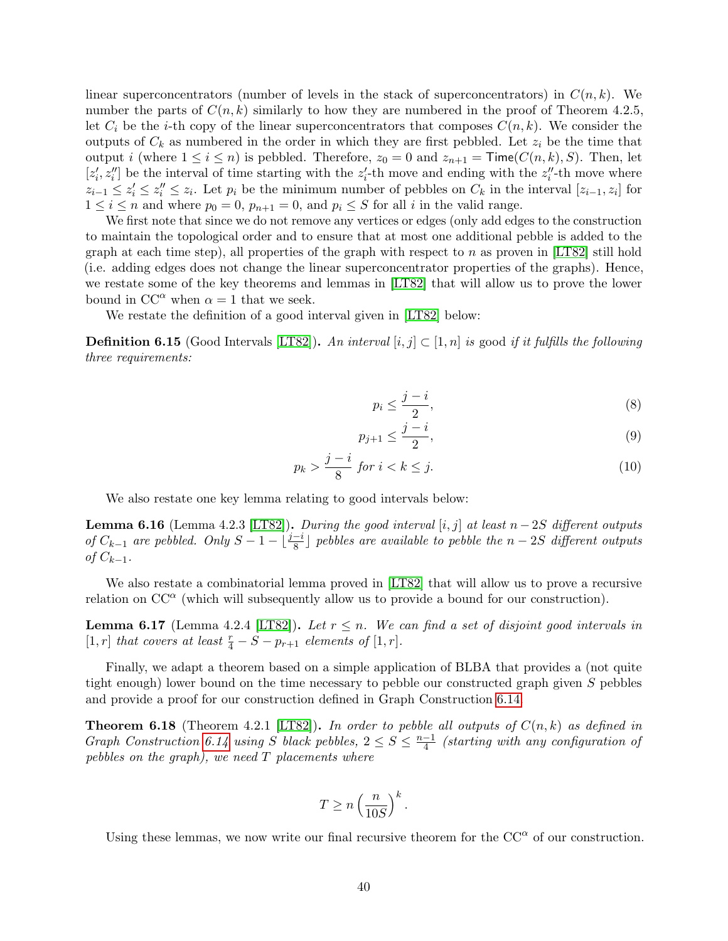linear superconcentrators (number of levels in the stack of superconcentrators) in  $C(n, k)$ . We number the parts of  $C(n, k)$  similarly to how they are numbered in the proof of Theorem 4.2.5, let  $C_i$  be the *i*-th copy of the linear superconcentrators that composes  $C(n, k)$ . We consider the outputs of  $C_k$  as numbered in the order in which they are first pebbled. Let  $z_i$  be the time that output i (where  $1 \le i \le n$ ) is pebbled. Therefore,  $z_0 = 0$  and  $z_{n+1} = \text{Time}(C(n, k), S)$ . Then, let  $[z'_i, z''_i]$  be the interval of time starting with the  $z'_i$ -th move and ending with the  $z''_i$ -th move where  $z_{i-1} \leq z_i' \leq z_i'' \leq z_i$ . Let  $p_i$  be the minimum number of pebbles on  $C_k$  in the interval  $[z_{i-1}, z_i]$  for  $1 \leq i \leq n$  and where  $p_0 = 0$ ,  $p_{n+1} = 0$ , and  $p_i \leq S$  for all i in the valid range.

We first note that since we do not remove any vertices or edges (only add edges to the construction to maintain the topological order and to ensure that at most one additional pebble is added to the graph at each time step), all properties of the graph with respect to n as proven in  $[LT82]$  still hold (i.e. adding edges does not change the linear superconcentrator properties of the graphs). Hence, we restate some of the key theorems and lemmas in [\[LT82\]](#page-48-8) that will allow us to prove the lower bound in  $CC^{\alpha}$  when  $\alpha = 1$  that we seek.

We restate the definition of a good interval given in [\[LT82\]](#page-48-8) below:

**Definition 6.15** (Good Intervals [\[LT82\]](#page-48-8)). An interval  $[i, j] \subset [1, n]$  is good if it fulfills the following three requirements:

$$
p_i \le \frac{j-i}{2},\tag{8}
$$

$$
p_{j+1} \le \frac{j-i}{2},\tag{9}
$$

$$
p_k > \frac{j-i}{8} \text{ for } i < k \le j. \tag{10}
$$

We also restate one key lemma relating to good intervals below:

**Lemma 6.16** (Lemma 4.2.3 [\[LT82\]](#page-48-8)). During the good interval [i, j] at least  $n-2S$  different outputs of  $C_{k-1}$  are pebbled. Only  $S-1-\left[\frac{j-i}{8}\right]$  pebbles are available to pebble the n − 2S different outputs of  $C_{k-1}$ .

We also restate a combinatorial lemma proved in [\[LT82\]](#page-48-8) that will allow us to prove a recursive relation on  $CC^{\alpha}$  (which will subsequently allow us to provide a bound for our construction).

<span id="page-39-0"></span>**Lemma 6.17** (Lemma 4.2.4 [\[LT82\]](#page-48-8)). Let  $r \leq n$ . We can find a set of disjoint good intervals in [1, r] that covers at least  $\frac{r}{4} - S - p_{r+1}$  elements of [1, r].

Finally, we adapt a theorem based on a simple application of BLBA that provides a (not quite tight enough) lower bound on the time necessary to pebble our constructed graph given S pebbles and provide a proof for our construction defined in Graph Construction [6.14.](#page-38-2)

**Theorem 6.18** (Theorem 4.2.1 [\[LT82\]](#page-48-8)). In order to pebble all outputs of  $C(n, k)$  as defined in Graph Construction [6.14](#page-38-2) using S black pebbles,  $2 \leq S \leq \frac{n-1}{4}$  $\frac{-1}{4}$  (starting with any configuration of pebbles on the graph), we need  $T$  placements where

$$
T \ge n \left(\frac{n}{10S}\right)^k.
$$

Using these lemmas, we now write our final recursive theorem for the  $CC^{\alpha}$  of our construction.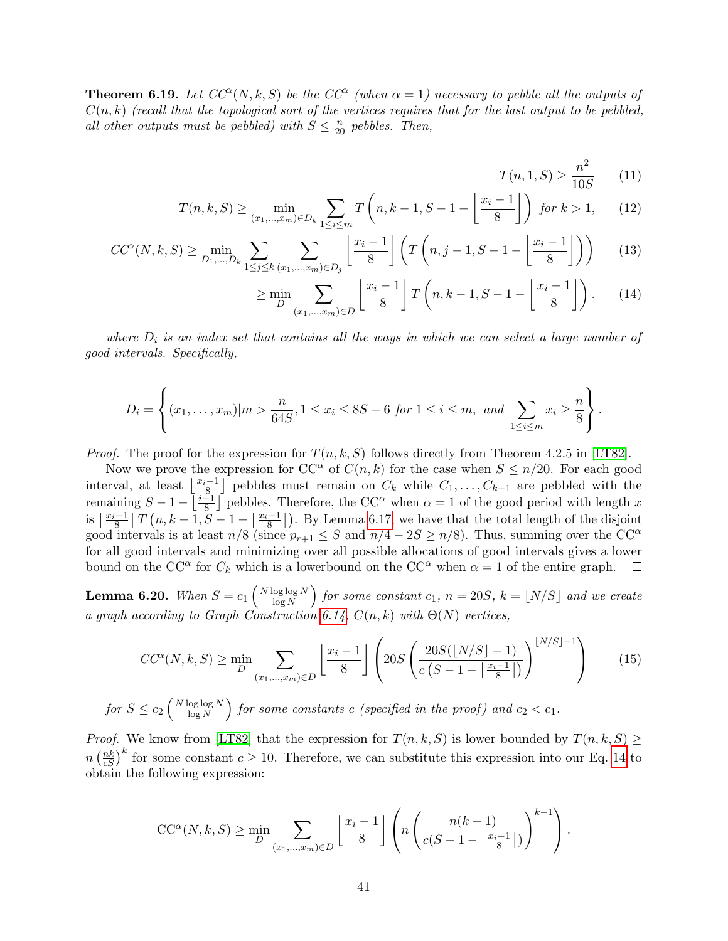**Theorem 6.19.** Let  $CC^{\alpha}(N, k, S)$  be the  $CC^{\alpha}$  (when  $\alpha = 1$ ) necessary to pebble all the outputs of  $C(n, k)$  (recall that the topological sort of the vertices requires that for the last output to be pebbled, all other outputs must be pebbled) with  $S \leq \frac{n}{20}$  pebbles. Then,

<span id="page-40-0"></span>
$$
T(n, 1, S) \ge \frac{n^2}{10S} \qquad (11)
$$

$$
T(n,k,S) \ge \min_{(x_1,\dots,x_m)\in D_k} \sum_{1\le i\le m} T\left(n,k-1,S-1-\left\lfloor\frac{x_i-1}{8}\right\rfloor\right) \text{ for } k>1,\qquad(12)
$$

$$
CC^{\alpha}(N,k,S) \ge \min_{D_1,\dots,D_k} \sum_{1 \le j \le k} \sum_{(x_1,\dots,x_m) \in D_j} \left\lfloor \frac{x_i-1}{8} \right\rfloor \left( T\left(n,j-1,S-1-\left\lfloor \frac{x_i-1}{8} \right\rfloor\right) \right) \tag{13}
$$

$$
\geq \min_{D} \sum_{(x_1,\dots,x_m)\in D} \left\lfloor \frac{x_i-1}{8} \right\rfloor T\left(n,k-1,S-1-\left\lfloor \frac{x_i-1}{8} \right\rfloor\right). \tag{14}
$$

where  $D_i$  is an index set that contains all the ways in which we can select a large number of good intervals. Specifically,

$$
D_i = \left\{ (x_1, \ldots, x_m) | m > \frac{n}{64S}, 1 \le x_i \le 8S - 6 \text{ for } 1 \le i \le m, \text{ and } \sum_{1 \le i \le m} x_i \ge \frac{n}{8} \right\}.
$$

*Proof.* The proof for the expression for  $T(n, k, S)$  follows directly from Theorem 4.2.5 in [\[LT82\]](#page-48-8).

Now we prove the expression for  $CC^{\alpha}$  of  $C(n,k)$  for the case when  $S \leq n/20$ . For each good interval, at least  $\lfloor \frac{x_i-1}{8} \rfloor$  pebbles must remain on  $C_k$  while  $C_1, \ldots, C_{k-1}$  are pebbled with the remaining  $S-1-\lceil \frac{i-1}{8} \rceil$  $\frac{1}{8}$  pebbles. Therefore, the CC<sup> $\alpha$ </sup> when  $\alpha = 1$  of the good period with length x is  $\lfloor \frac{x_i-1}{8} \rfloor T(n, k-1, S-1-\lfloor \frac{x_i-1}{8} \rfloor)$ . By Lemma [6.17,](#page-39-0) we have that the total length of the disjoint good intervals is at least  $n/8$  (since  $p_{r+1} \leq S$  and  $n/4 - 2S \geq n/8$ ). Thus, summing over the CC<sup> $\alpha$ </sup> for all good intervals and minimizing over all possible allocations of good intervals gives a lower bound on the CC<sup> $\alpha$ </sup> for  $C_k$  which is a lowerbound on the CC<sup> $\alpha$ </sup> when  $\alpha = 1$  of the entire graph.

**Lemma 6.20.** When  $S = c_1 \left( \frac{N \log \log N}{\log N} \right)$  $\frac{\log \log N}{\log N}$  for some constant  $c_1$ ,  $n = 20S$ ,  $k = \lfloor N/S \rfloor$  and we create a graph according to Graph Construction [6.14,](#page-38-2)  $C(n, k)$  with  $\Theta(N)$  vertices,

$$
CC^{\alpha}(N,k,S) \ge \min_{D} \sum_{(x_1,\dots,x_m)\in D} \left\lfloor \frac{x_i-1}{8} \right\rfloor \left( 20S\left(\frac{20S(\lfloor N/S \rfloor - 1)}{c\left(S-1-\lfloor \frac{x_i-1}{8} \rfloor\right)}\right)^{\lfloor N/S \rfloor - 1} \right) \tag{15}
$$

for  $S \leq c_2 \left( \frac{N \log \log N}{\log N} \right)$  $\frac{\log \log N}{\log N}$  for some constants c (specified in the proof) and  $c_2 < c_1$ .

*Proof.* We know from [\[LT82\]](#page-48-8) that the expression for  $T(n, k, S)$  is lower bounded by  $T(n, k, S) \geq$  $n\left(\frac{nk}{cS}\right)^k$  for some constant  $c \geq 10$ . Therefore, we can substitute this expression into our Eq. [14](#page-40-0) to obtain the following expression:

$$
CC^{\alpha}(N,k,S) \ge \min_{D} \sum_{(x_1,\ldots,x_m)\in D} \left\lfloor \frac{x_i-1}{8} \right\rfloor \left( n \left( \frac{n(k-1)}{c(S-1-\lfloor \frac{x_i-1}{8} \rfloor)} \right)^{k-1} \right).
$$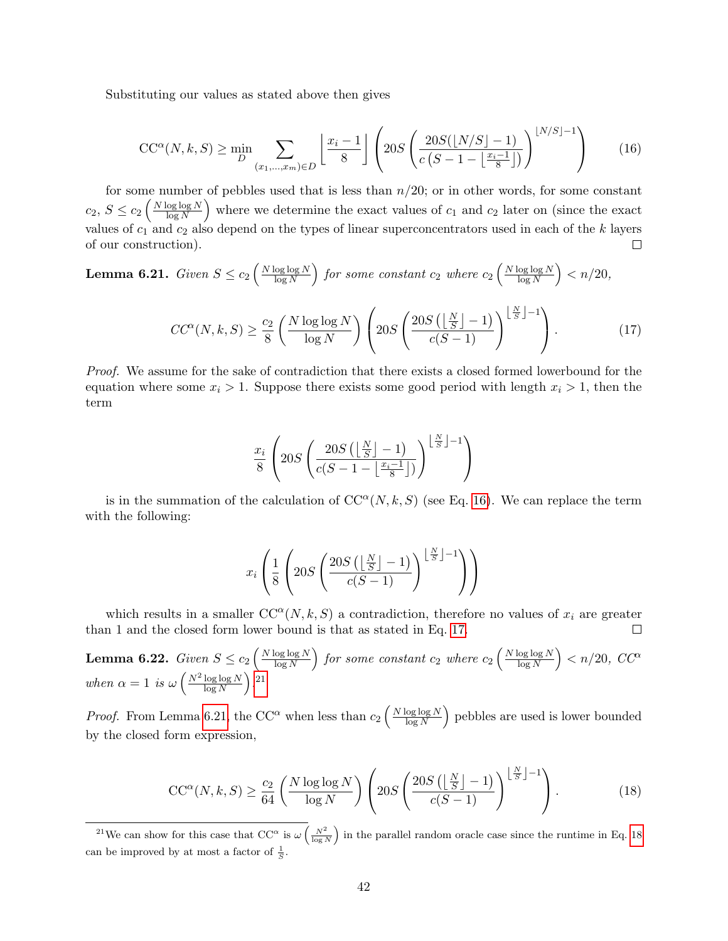Substituting our values as stated above then gives

$$
\text{CC}^{\alpha}(N,k,S) \ge \min_{D} \sum_{(x_1,\dots,x_m)\in D} \left\lfloor \frac{x_i-1}{8} \right\rfloor \left( 20S \left( \frac{20S(\lfloor N/S \rfloor - 1)}{c\left(S - 1 - \lfloor \frac{x_i-1}{8} \rfloor\right)} \right)^{\lfloor N/S \rfloor - 1} \right) \tag{16}
$$

for some number of pebbles used that is less than  $n/20$ ; or in other words, for some constant  $c_2, S \leq c_2 \left( \frac{N \log \log N}{\log N} \right)$  $\frac{\log \log N}{\log N}$  where we determine the exact values of  $c_1$  and  $c_2$  later on (since the exact values of  $c_1$  and  $c_2$  also depend on the types of linear superconcentrators used in each of the k layers of our construction).  $\Box$ 

<span id="page-41-4"></span>**Lemma 6.21.** Given  $S \leq c_2 \left(\frac{N \log \log N}{\log N}\right)$  $\frac{\log \log N}{\log N}$  for some constant  $c_2$  where  $c_2 \left( \frac{N \log \log N}{\log N} \right)$  $\frac{\log \log N}{\log N}$  >  $n/20$ ,

$$
CC^{\alpha}(N,k,S) \ge \frac{c_2}{8} \left( \frac{N \log \log N}{\log N} \right) \left( 20S \left( \frac{20S \left( \left\lfloor \frac{N}{S} \right\rfloor - 1 \right)}{c(S - 1)} \right)^{\left\lfloor \frac{N}{S} \right\rfloor - 1} \right). \tag{17}
$$

<span id="page-41-2"></span><span id="page-41-1"></span>n sa n

Proof. We assume for the sake of contradiction that there exists a closed formed lowerbound for the equation where some  $x_i > 1$ . Suppose there exists some good period with length  $x_i > 1$ , then the term

$$
\frac{x_i}{8} \left( 20S \left( \frac{20S \left( \left\lfloor \frac{N}{S} \right\rfloor - 1 \right)}{c(S - 1 - \left\lfloor \frac{x_i - 1}{8} \right\rfloor)} \right)^{\left\lfloor \frac{N}{S} \right\rfloor - 1} \right)
$$

is in the summation of the calculation of  $CC^{\alpha}(N, k, S)$  (see Eq. [16\)](#page-41-1). We can replace the term with the following:

<span id="page-41-5"></span>
$$
x_i \left( \frac{1}{8} \left( 20S \left( \frac{20S \left( \left\lfloor \frac{N}{S} \right\rfloor - 1 \right)}{c(S - 1)} \right)^{\left\lfloor \frac{N}{S} \right\rfloor - 1} \right) \right)
$$

which results in a smaller  $CC^{\alpha}(N, k, S)$  a contradiction, therefore no values of  $x_i$  are greater than 1 and the closed form lower bound is that as stated in Eq. [17.](#page-41-2)  $\Box$ 

<span id="page-41-0"></span>Lemma 6.22. Given  $S \leq c_2 \left( \frac{N \log \log N}{\log N} \right)$  $\frac{\log \log N}{\log N}$  for some constant  $c_2$  where  $c_2 \left(\frac{N \log \log N}{\log N}\right)$  $\left(\frac{\log \log N}{\log N}\right) < n/20, \ CC^{\alpha}$ when  $\alpha = 1$  is  $\omega \left( \frac{N^2 \log \log N}{\log N} \right)$  $\frac{\log \log N}{\log N}$ . [21](#page-41-3)

*Proof.* From Lemma [6.21,](#page-41-4) the CC<sup> $\alpha$ </sup> when less than  $c_2 \left( \frac{N \log \log N}{\log N} \right)$  $\frac{\log \log N}{\log N}$  pebbles are used is lower bounded by the closed form expression,

$$
CC^{\alpha}(N,k,S) \ge \frac{c_2}{64} \left( \frac{N \log \log N}{\log N} \right) \left( 20S \left( \frac{20S \left( \left\lfloor \frac{N}{S} \right\rfloor - 1 \right)}{c(S - 1)} \right)^{\left\lfloor \frac{N}{S} \right\rfloor - 1} \right). \tag{18}
$$

<span id="page-41-3"></span><sup>21</sup>We can show for this case that  $CC^{\alpha}$  is  $\omega\left(\frac{N^2}{\log N}\right)$  in the parallel random oracle case since the runtime in Eq. [18](#page-41-5) can be improved by at most a factor of  $\frac{1}{S}$ .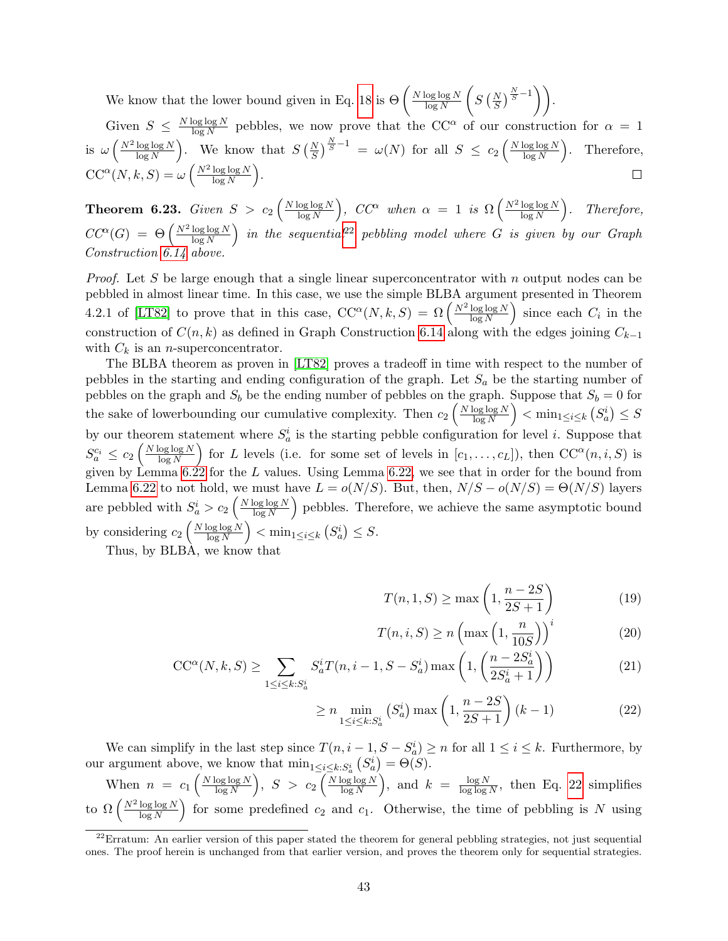We know that the lower bound given in Eq. [18](#page-41-5) is  $\Theta\left(\frac{N\log\log N}{\log N}\right)$  $\log N$  $\left(S\left(\frac{N}{S}\right)^{\frac{N}{S}-1}\right).$ 

Given  $S \leq \frac{N \log \log N}{\log N}$  $\frac{\log \log N}{\log N}$  pebbles, we now prove that the CC<sup> $\alpha$ </sup> of our construction for  $\alpha = 1$  $\frac{\log \log N}{\log N}$ . We know that  $S\left(\frac{N}{S}\right)^{\frac{N}{S}-1} = \omega(N)$  for all  $S \leq c_2 \left(\frac{N \log \log N}{\log N}\right)^{\frac{N}{S}}$ is  $\omega \left( \frac{N^2 \log \log N}{\log N} \right)$  $\frac{\log \log N}{\log N}$ . Therefore,  $CC^{\alpha}(N, k, S) = \omega \left( \frac{N^2 \log \log N}{\log N} \right)$  $\frac{\log \log N}{\log N}$ .  $\Box$ 

<span id="page-42-0"></span>**Theorem 6.23.** Given  $S > c_2 \left(\frac{N \log \log N}{\log N}\right)$  $\frac{\log \log N}{\log N}$ ,  $CC^{\alpha}$  when  $\alpha = 1$  is  $\Omega\left(\frac{N^2 \log \log N}{\log N}\right)$  $\frac{\log \log N}{\log N}$ . Therefore,  $CC^{\alpha}(G) = \Theta\left(\frac{N^2 \log \log N}{\log N}\right)$  $\frac{\log \log N}{\log N}$  in the sequential<sup>[22](#page-42-1)</sup> pebbling model where G is given by our Graph Construction [6.14](#page-38-2) above.

*Proof.* Let S be large enough that a single linear superconcentrator with n output nodes can be pebbled in almost linear time. In this case, we use the simple BLBA argument presented in Theorem 4.2.1 of [\[LT82\]](#page-48-8) to prove that in this case,  $CC^{\alpha}(N, k, S) = \Omega\left(\frac{N^2 \log \log N}{\log N}\right)$  $\frac{\log \log N}{\log N}$  since each  $C_i$  in the construction of  $C(n, k)$  as defined in Graph Construction [6.14](#page-38-2) along with the edges joining  $C_{k-1}$ with  $C_k$  is an *n*-superconcentrator.

The BLBA theorem as proven in [\[LT82\]](#page-48-8) proves a tradeoff in time with respect to the number of pebbles in the starting and ending configuration of the graph. Let  $S_a$  be the starting number of pebbles on the graph and  $S_b$  be the ending number of pebbles on the graph. Suppose that  $S_b = 0$  for the sake of lowerbounding our cumulative complexity. Then  $c_2 \left( \frac{N \log \log N}{\log N} \right)$  $\frac{\log \log N}{\log N}$  >  $\dim_{1 \leq i \leq k} (S_a^i) \leq S$ by our theorem statement where  $S_a^i$  is the starting pebble configuration for level *i*. Suppose that  $S_a^{c_i} \leq c_2 \left( \frac{N \log \log N}{\log N} \right)$  $\frac{\log \log N}{\log N}$  for L levels (i.e. for some set of levels in  $[c_1, \ldots, c_L]$ ), then  $CC^{\alpha}(n, i, S)$  is given by Lemma  $6.22$  for the L values. Using Lemma  $6.22$ , we see that in order for the bound from Lemma [6.22](#page-41-0) to not hold, we must have  $L = o(N/S)$ . But, then,  $N/S - o(N/S) = \Theta(N/S)$  layers are pebbled with  $S_a^i > c_2 \left( \frac{N \log \log N}{\log N} \right)$  $\left( \frac{\log \log N}{\log N} \right)$  pebbles. Therefore, we achieve the same asymptotic bound by considering  $c_2 \left( \frac{N \log \log N}{\log N} \right)$  $\frac{\log \log N}{\log N}$  > min<sub>1≤i≤k</sub>  $(S_a^i) \leq S$ .

Thus, by BLBA, we know that

$$
T(n, 1, S) \ge \max\left(1, \frac{n - 2S}{2S + 1}\right) \tag{19}
$$

<span id="page-42-2"></span>
$$
T(n, i, S) \ge n \left(\max\left(1, \frac{n}{10S}\right)\right)^i \tag{20}
$$

$$
CC^{\alpha}(N,k,S) \ge \sum_{1 \le i \le k: S_a^i} S_a^i T(n,i-1,S-S_a^i) \max\left(1, \left(\frac{n-2S_a^i}{2S_a^i+1}\right)\right) \tag{21}
$$

$$
\geq n \min_{1 \leq i \leq k: S_a^i} \left( S_a^i \right) \max \left( 1, \frac{n - 2S}{2S + 1} \right) (k - 1) \tag{22}
$$

We can simplify in the last step since  $T(n, i - 1, S - S_a^i) \geq n$  for all  $1 \leq i \leq k$ . Furthermore, by a our argument above, we know that  $\min_{1 \leq i \leq k: S_a^i} (S_a^i) = \Theta(S)$ .

When  $n = c_1 \left( \frac{N \log \log N}{\log N} \right)$  $\frac{\log \log N}{\log N}$ ),  $S > c_2 \left( \frac{N \log \log N}{\log N} \right)$  $\frac{\log \log N}{\log N}$ , and  $k = \frac{\log N}{\log \log N}$  $\frac{\log N}{\log \log N}$ , then Eq. [22](#page-42-2) simplifies to  $\Omega$   $\left(\frac{N^2 \log \log N}{\log N}\right)$  $\frac{\log \log N}{\log N}$  for some predefined  $c_2$  and  $c_1$ . Otherwise, the time of pebbling is N using

<span id="page-42-1"></span> $22$ Erratum: An earlier version of this paper stated the theorem for general pebbling strategies, not just sequential ones. The proof herein is unchanged from that earlier version, and proves the theorem only for sequential strategies.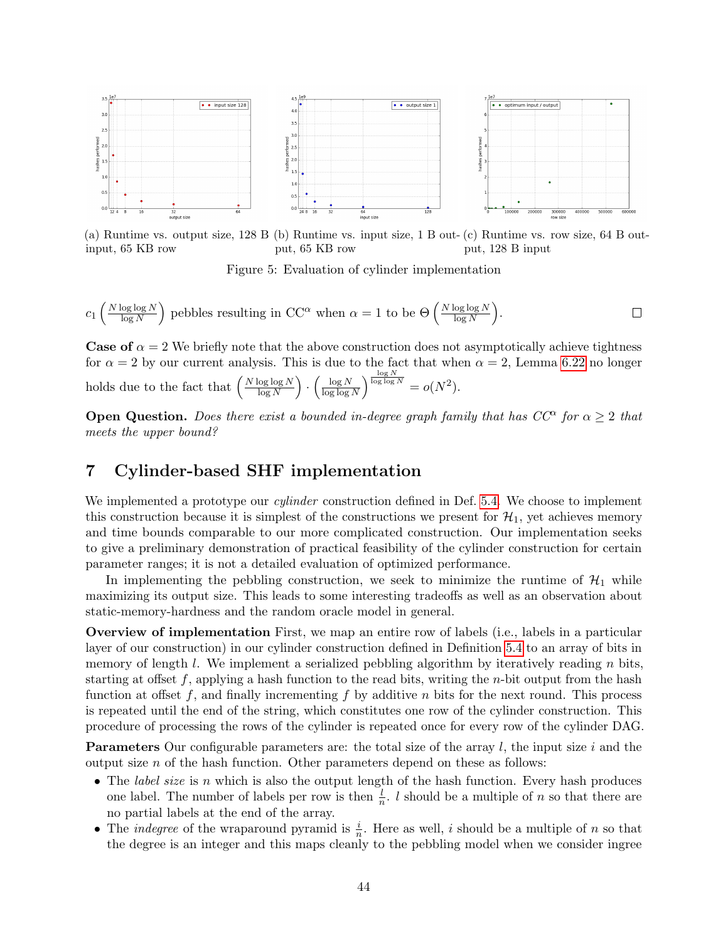

(a) Runtime vs. output size, 128 B (b) Runtime vs. input size, 1 B out-(c) Runtime vs. row size, 64 B outinput, 65 KB row put, 65 KB row put, 128 B input

Figure 5: Evaluation of cylinder implementation

$$
c_1 \left( \frac{N \log \log N}{\log N} \right)
$$
 pebbles resulting in CC <sup>$\alpha$</sup>  when  $\alpha = 1$  to be  $\Theta \left( \frac{N \log \log N}{\log N} \right)$ .

**Case of**  $\alpha = 2$  We briefly note that the above construction does not asymptotically achieve tightness for  $\alpha = 2$  by our current analysis. This is due to the fact that when  $\alpha = 2$ , Lemma [6.22](#page-41-0) no longer holds due to the fact that  $\left(\frac{N \log \log N}{\log N}\right)$  $\frac{\log \log N}{\log N}$   $\cdot$   $\left(\frac{\log N}{\log \log N}\right)$  $\frac{\log N}{\log \log N}$   $\frac{\log N}{\log \log N} = o(N^2).$ 

**Open Question.** Does there exist a bounded in-degree graph family that has  $CC^{\alpha}$  for  $\alpha \geq 2$  that meets the upper bound?

## <span id="page-43-0"></span>7 Cylinder-based SHF implementation

We implemented a prototype our *cylinder* construction defined in Def. [5.4.](#page-25-1) We choose to implement this construction because it is simplest of the constructions we present for  $\mathcal{H}_1$ , yet achieves memory and time bounds comparable to our more complicated construction. Our implementation seeks to give a preliminary demonstration of practical feasibility of the cylinder construction for certain parameter ranges; it is not a detailed evaluation of optimized performance.

In implementing the pebbling construction, we seek to minimize the runtime of  $\mathcal{H}_1$  while maximizing its output size. This leads to some interesting tradeoffs as well as an observation about static-memory-hardness and the random oracle model in general.

Overview of implementation First, we map an entire row of labels (i.e., labels in a particular layer of our construction) in our cylinder construction defined in Definition [5.4](#page-25-1) to an array of bits in memory of length l. We implement a serialized pebbling algorithm by iteratively reading n bits, starting at offset  $f$ , applying a hash function to the read bits, writing the *n*-bit output from the hash function at offset f, and finally incrementing f by additive n bits for the next round. This process is repeated until the end of the string, which constitutes one row of the cylinder construction. This procedure of processing the rows of the cylinder is repeated once for every row of the cylinder DAG.

**Parameters** Our configurable parameters are: the total size of the array l, the input size i and the output size  $n$  of the hash function. Other parameters depend on these as follows:

- The *label size* is n which is also the output length of the hash function. Every hash produces one label. The number of labels per row is then  $\frac{l}{n}$ . l should be a multiple of n so that there are no partial labels at the end of the array.
- The *indegree* of the wraparound pyramid is  $\frac{i}{n}$ . Here as well, *i* should be a multiple of *n* so that the degree is an integer and this maps cleanly to the pebbling model when we consider ingree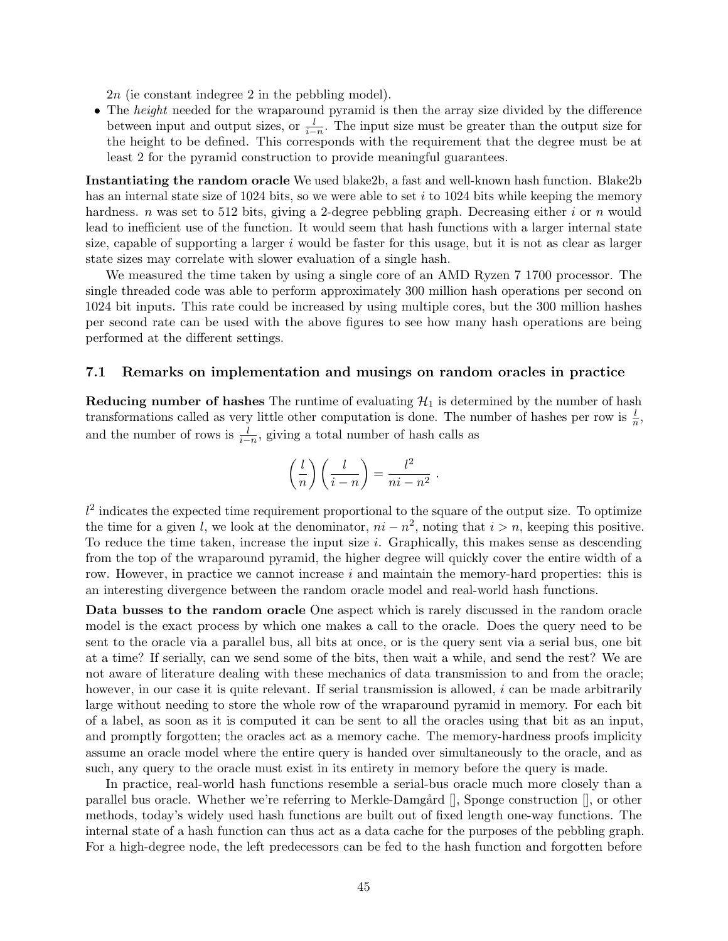2n (ie constant indegree 2 in the pebbling model).

• The *height* needed for the wraparound pyramid is then the array size divided by the difference between input and output sizes, or  $\frac{l}{i-n}$ . The input size must be greater than the output size for the height to be defined. This corresponds with the requirement that the degree must be at least 2 for the pyramid construction to provide meaningful guarantees.

Instantiating the random oracle We used blake2b, a fast and well-known hash function. Blake2b has an internal state size of 1024 bits, so we were able to set i to 1024 bits while keeping the memory hardness. *n* was set to 512 bits, giving a 2-degree pebbling graph. Decreasing either i or *n* would lead to inefficient use of the function. It would seem that hash functions with a larger internal state size, capable of supporting a larger  $i$  would be faster for this usage, but it is not as clear as larger state sizes may correlate with slower evaluation of a single hash.

We measured the time taken by using a single core of an AMD Ryzen 7 1700 processor. The single threaded code was able to perform approximately 300 million hash operations per second on 1024 bit inputs. This rate could be increased by using multiple cores, but the 300 million hashes per second rate can be used with the above figures to see how many hash operations are being performed at the different settings.

#### <span id="page-44-0"></span>7.1 Remarks on implementation and musings on random oracles in practice

**Reducing number of hashes** The runtime of evaluating  $\mathcal{H}_1$  is determined by the number of hash transformations called as very little other computation is done. The number of hashes per row is  $\frac{l}{n}$ , and the number of rows is  $\frac{l}{i-n}$ , giving a total number of hash calls as

$$
\left(\frac{l}{n}\right)\left(\frac{l}{i-n}\right) = \frac{l^2}{ni-n^2}
$$

.

 $l^2$  indicates the expected time requirement proportional to the square of the output size. To optimize the time for a given l, we look at the denominator,  $ni - n^2$ , noting that  $i > n$ , keeping this positive. To reduce the time taken, increase the input size  $i$ . Graphically, this makes sense as descending from the top of the wraparound pyramid, the higher degree will quickly cover the entire width of a row. However, in practice we cannot increase i and maintain the memory-hard properties: this is an interesting divergence between the random oracle model and real-world hash functions.

Data busses to the random oracle One aspect which is rarely discussed in the random oracle model is the exact process by which one makes a call to the oracle. Does the query need to be sent to the oracle via a parallel bus, all bits at once, or is the query sent via a serial bus, one bit at a time? If serially, can we send some of the bits, then wait a while, and send the rest? We are not aware of literature dealing with these mechanics of data transmission to and from the oracle; however, in our case it is quite relevant. If serial transmission is allowed, i can be made arbitrarily large without needing to store the whole row of the wraparound pyramid in memory. For each bit of a label, as soon as it is computed it can be sent to all the oracles using that bit as an input, and promptly forgotten; the oracles act as a memory cache. The memory-hardness proofs implicity assume an oracle model where the entire query is handed over simultaneously to the oracle, and as such, any query to the oracle must exist in its entirety in memory before the query is made.

In practice, real-world hash functions resemble a serial-bus oracle much more closely than a parallel bus oracle. Whether we're referring to Merkle-Damgård  $\parallel$ , Sponge construction  $\parallel$ , or other methods, today's widely used hash functions are built out of fixed length one-way functions. The internal state of a hash function can thus act as a data cache for the purposes of the pebbling graph. For a high-degree node, the left predecessors can be fed to the hash function and forgotten before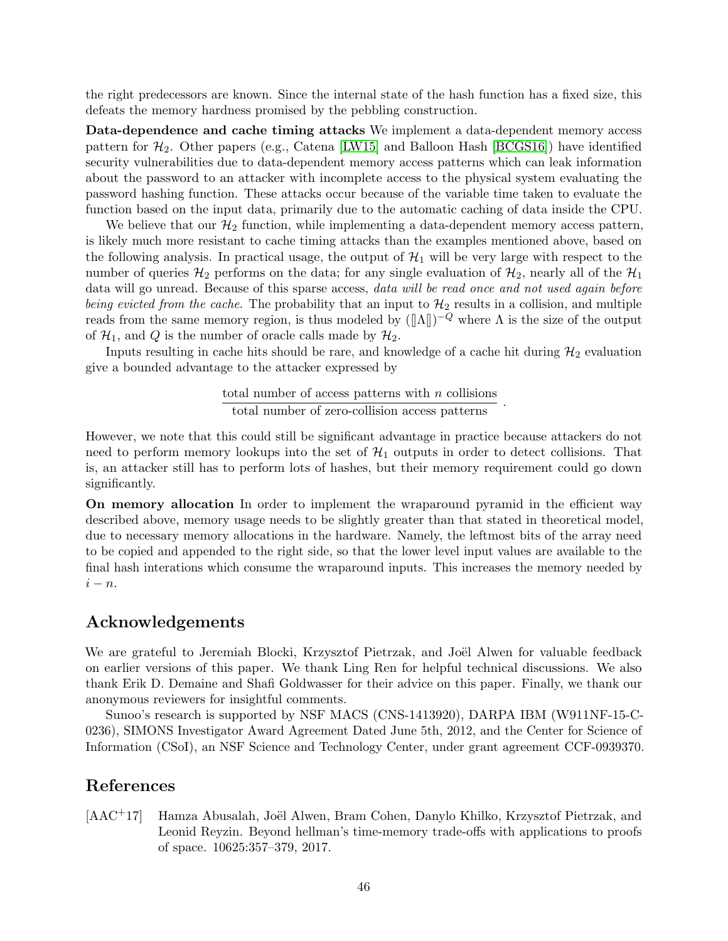the right predecessors are known. Since the internal state of the hash function has a fixed size, this defeats the memory hardness promised by the pebbling construction.

Data-dependence and cache timing attacks We implement a data-dependent memory access pattern for  $\mathcal{H}_2$ . Other papers (e.g., Catena [\[LW15\]](#page-49-13) and Balloon Hash [\[BCGS16\]](#page-47-10)) have identified security vulnerabilities due to data-dependent memory access patterns which can leak information about the password to an attacker with incomplete access to the physical system evaluating the password hashing function. These attacks occur because of the variable time taken to evaluate the function based on the input data, primarily due to the automatic caching of data inside the CPU.

We believe that our  $\mathcal{H}_2$  function, while implementing a data-dependent memory access pattern, is likely much more resistant to cache timing attacks than the examples mentioned above, based on the following analysis. In practical usage, the output of  $\mathcal{H}_1$  will be very large with respect to the number of queries  $\mathcal{H}_2$  performs on the data; for any single evaluation of  $\mathcal{H}_2$ , nearly all of the  $\mathcal{H}_1$ data will go unread. Because of this sparse access, data will be read once and not used again before being evicted from the cache. The probability that an input to  $\mathcal{H}_2$  results in a collision, and multiple reads from the same memory region, is thus modeled by  $(\lbrack \Lambda \rbrack)^{-Q}$  where  $\Lambda$  is the size of the output of  $\mathcal{H}_{\text{c}}$  and  $Q$  is the number of exactle salls made by  $\mathcal{H}_{\text{c}}$ of  $\mathcal{H}_1$ , and Q is the number of oracle calls made by  $\mathcal{H}_2$ .

Inputs resulting in cache hits should be rare, and knowledge of a cache hit during  $\mathcal{H}_2$  evaluation give a bounded advantage to the attacker expressed by

> total number of access patterns with  $n$  collisions total number of zero-collision access patterns .

However, we note that this could still be significant advantage in practice because attackers do not need to perform memory lookups into the set of  $\mathcal{H}_1$  outputs in order to detect collisions. That is, an attacker still has to perform lots of hashes, but their memory requirement could go down significantly.

On memory allocation In order to implement the wraparound pyramid in the efficient way described above, memory usage needs to be slightly greater than that stated in theoretical model, due to necessary memory allocations in the hardware. Namely, the leftmost bits of the array need to be copied and appended to the right side, so that the lower level input values are available to the final hash interations which consume the wraparound inputs. This increases the memory needed by  $i - n$ .

## Acknowledgements

We are grateful to Jeremiah Blocki, Krzysztof Pietrzak, and Joël Alwen for valuable feedback on earlier versions of this paper. We thank Ling Ren for helpful technical discussions. We also thank Erik D. Demaine and Shafi Goldwasser for their advice on this paper. Finally, we thank our anonymous reviewers for insightful comments.

Sunoo's research is supported by NSF MACS (CNS-1413920), DARPA IBM (W911NF-15-C-0236), SIMONS Investigator Award Agreement Dated June 5th, 2012, and the Center for Science of Information (CSoI), an NSF Science and Technology Center, under grant agreement CCF-0939370.

## References

<span id="page-45-0"></span>[AAC<sup>+</sup>17] Hamza Abusalah, Joël Alwen, Bram Cohen, Danylo Khilko, Krzysztof Pietrzak, and Leonid Reyzin. Beyond hellman's time-memory trade-offs with applications to proofs of space. 10625:357–379, 2017.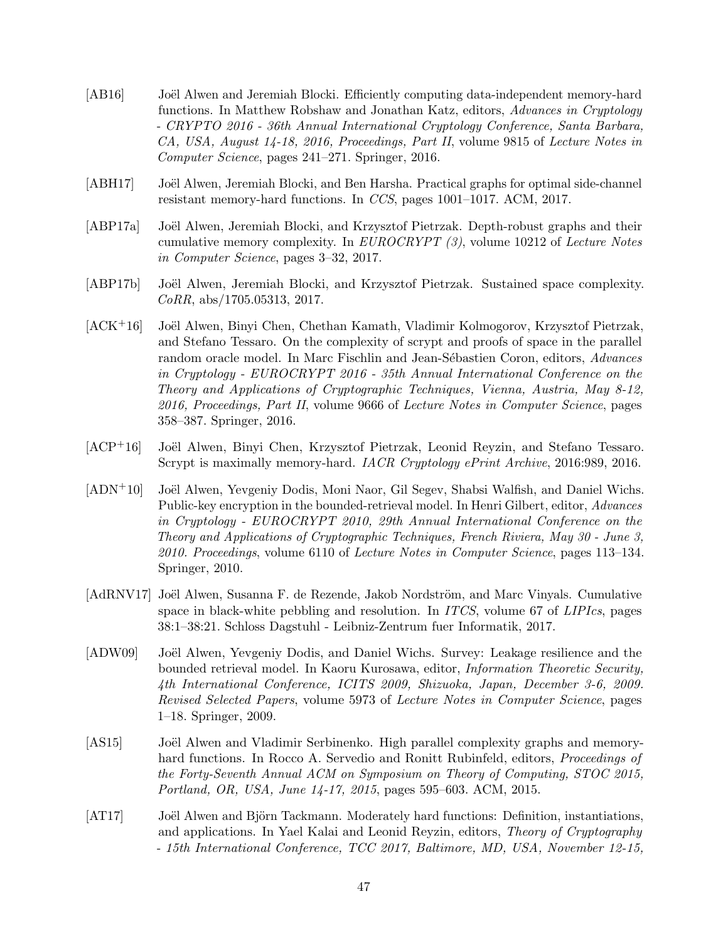- <span id="page-46-1"></span>[AB16] Joël Alwen and Jeremiah Blocki. Efficiently computing data-independent memory-hard functions. In Matthew Robshaw and Jonathan Katz, editors, Advances in Cryptology - CRYPTO 2016 - 36th Annual International Cryptology Conference, Santa Barbara, CA, USA, August 14-18, 2016, Proceedings, Part II, volume 9815 of Lecture Notes in Computer Science, pages 241–271. Springer, 2016.
- <span id="page-46-2"></span>[ABH17] Joël Alwen, Jeremiah Blocki, and Ben Harsha. Practical graphs for optimal side-channel resistant memory-hard functions. In CCS, pages 1001–1017. ACM, 2017.
- <span id="page-46-3"></span>[ABP17a] Joël Alwen, Jeremiah Blocki, and Krzysztof Pietrzak. Depth-robust graphs and their cumulative memory complexity. In  $EUROCRYPT(3)$ , volume 10212 of Lecture Notes in Computer Science, pages 3–32, 2017.
- <span id="page-46-4"></span>[ABP17b] Joël Alwen, Jeremiah Blocki, and Krzysztof Pietrzak. Sustained space complexity. CoRR, abs/1705.05313, 2017.
- <span id="page-46-10"></span> $[ACK<sup>+</sup>16]$  Joël Alwen, Binyi Chen, Chethan Kamath, Vladimir Kolmogorov, Krzysztof Pietrzak, and Stefano Tessaro. On the complexity of scrypt and proofs of space in the parallel random oracle model. In Marc Fischlin and Jean-Sébastien Coron, editors, Advances in Cryptology - EUROCRYPT 2016 - 35th Annual International Conference on the Theory and Applications of Cryptographic Techniques, Vienna, Austria, May 8-12, 2016, Proceedings, Part II, volume 9666 of Lecture Notes in Computer Science, pages 358–387. Springer, 2016.
- <span id="page-46-7"></span>[ACP<sup>+</sup>16] Joël Alwen, Binyi Chen, Krzysztof Pietrzak, Leonid Reyzin, and Stefano Tessaro. Scrypt is maximally memory-hard. IACR Cryptology ePrint Archive, 2016:989, 2016.
- <span id="page-46-9"></span>[ADN<sup>+</sup>10] Joël Alwen, Yevgeniy Dodis, Moni Naor, Gil Segev, Shabsi Walfish, and Daniel Wichs. Public-key encryption in the bounded-retrieval model. In Henri Gilbert, editor, Advances in Cryptology - EUROCRYPT 2010, 29th Annual International Conference on the Theory and Applications of Cryptographic Techniques, French Riviera, May 30 - June 3, 2010. Proceedings, volume 6110 of Lecture Notes in Computer Science, pages 113–134. Springer, 2010.
- <span id="page-46-0"></span>[AdRNV17] Joël Alwen, Susanna F. de Rezende, Jakob Nordström, and Marc Vinyals. Cumulative space in black-white pebbling and resolution. In *ITCS*, volume 67 of *LIPIcs*, pages 38:1–38:21. Schloss Dagstuhl - Leibniz-Zentrum fuer Informatik, 2017.
- <span id="page-46-8"></span>[ADW09] Joël Alwen, Yevgeniy Dodis, and Daniel Wichs. Survey: Leakage resilience and the bounded retrieval model. In Kaoru Kurosawa, editor, Information Theoretic Security, 4th International Conference, ICITS 2009, Shizuoka, Japan, December 3-6, 2009. Revised Selected Papers, volume 5973 of Lecture Notes in Computer Science, pages 1–18. Springer, 2009.
- <span id="page-46-5"></span>[AS15] Joël Alwen and Vladimir Serbinenko. High parallel complexity graphs and memoryhard functions. In Rocco A. Servedio and Ronitt Rubinfeld, editors, *Proceedings of* the Forty-Seventh Annual ACM on Symposium on Theory of Computing, STOC 2015, Portland, OR, USA, June 14-17, 2015, pages 595–603. ACM, 2015.
- <span id="page-46-6"></span>[AT17] Joël Alwen and Björn Tackmann. Moderately hard functions: Definition, instantiations, and applications. In Yael Kalai and Leonid Reyzin, editors, Theory of Cryptography - 15th International Conference, TCC 2017, Baltimore, MD, USA, November 12-15,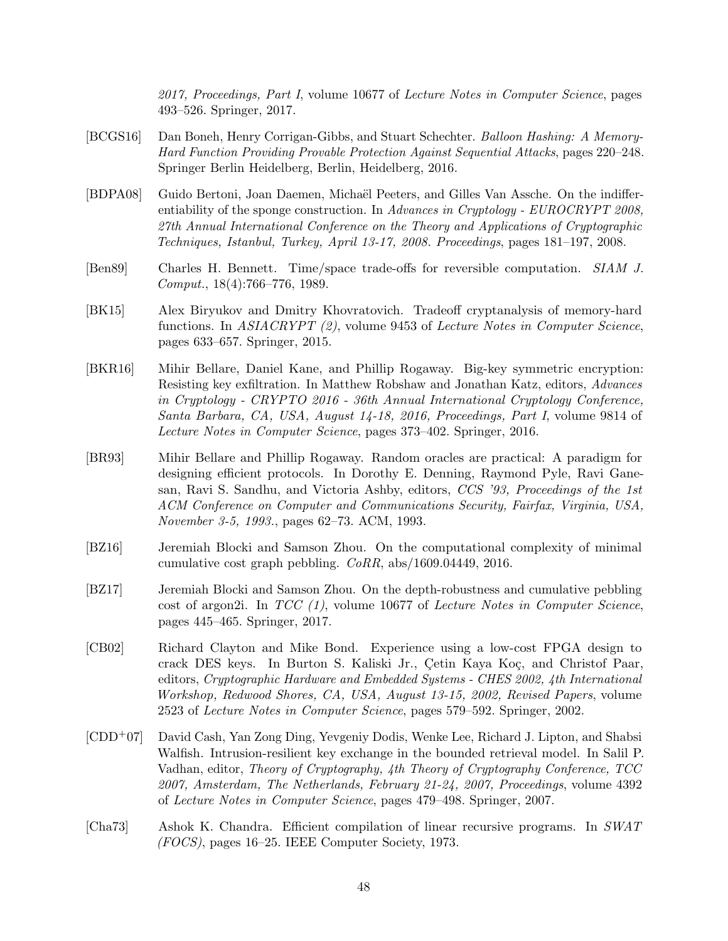2017, Proceedings, Part I, volume 10677 of Lecture Notes in Computer Science, pages 493–526. Springer, 2017.

- <span id="page-47-10"></span>[BCGS16] Dan Boneh, Henry Corrigan-Gibbs, and Stuart Schechter. Balloon Hashing: A Memory-Hard Function Providing Provable Protection Against Sequential Attacks, pages 220–248. Springer Berlin Heidelberg, Berlin, Heidelberg, 2016.
- <span id="page-47-9"></span>[BDPA08] Guido Bertoni, Joan Daemen, Michaël Peeters, and Gilles Van Assche. On the indifferentiability of the sponge construction. In Advances in Cryptology - EUROCRYPT 2008, 27th Annual International Conference on the Theory and Applications of Cryptographic Techniques, Istanbul, Turkey, April 13-17, 2008. Proceedings, pages 181–197, 2008.
- <span id="page-47-0"></span>[Ben89] Charles H. Bennett. Time/space trade-offs for reversible computation. SIAM J. Comput., 18(4):766–776, 1989.
- <span id="page-47-5"></span>[BK15] Alex Biryukov and Dmitry Khovratovich. Tradeoff cryptanalysis of memory-hard functions. In ASIACRYPT (2), volume 9453 of Lecture Notes in Computer Science, pages 633–657. Springer, 2015.
- <span id="page-47-7"></span>[BKR16] Mihir Bellare, Daniel Kane, and Phillip Rogaway. Big-key symmetric encryption: Resisting key exfiltration. In Matthew Robshaw and Jonathan Katz, editors, Advances in Cryptology - CRYPTO 2016 - 36th Annual International Cryptology Conference, Santa Barbara, CA, USA, August 14-18, 2016, Proceedings, Part I, volume 9814 of Lecture Notes in Computer Science, pages 373–402. Springer, 2016.
- <span id="page-47-8"></span>[BR93] Mihir Bellare and Phillip Rogaway. Random oracles are practical: A paradigm for designing efficient protocols. In Dorothy E. Denning, Raymond Pyle, Ravi Ganesan, Ravi S. Sandhu, and Victoria Ashby, editors, CCS '93, Proceedings of the 1st ACM Conference on Computer and Communications Security, Fairfax, Virginia, USA, November 3-5, 1993., pages 62–73. ACM, 1993.
- <span id="page-47-2"></span>[BZ16] Jeremiah Blocki and Samson Zhou. On the computational complexity of minimal cumulative cost graph pebbling. CoRR, abs/1609.04449, 2016.
- <span id="page-47-3"></span>[BZ17] Jeremiah Blocki and Samson Zhou. On the depth-robustness and cumulative pebbling cost of argon2i. In  $TCC(1)$ , volume 10677 of Lecture Notes in Computer Science, pages 445–465. Springer, 2017.
- <span id="page-47-4"></span>[CB02] Richard Clayton and Mike Bond. Experience using a low-cost FPGA design to crack DES keys. In Burton S. Kaliski Jr., Çetin Kaya Koç, and Christof Paar, editors, Cryptographic Hardware and Embedded Systems - CHES 2002, 4th International Workshop, Redwood Shores, CA, USA, August 13-15, 2002, Revised Papers, volume 2523 of Lecture Notes in Computer Science, pages 579–592. Springer, 2002.
- <span id="page-47-6"></span>[CDD+07] David Cash, Yan Zong Ding, Yevgeniy Dodis, Wenke Lee, Richard J. Lipton, and Shabsi Walfish. Intrusion-resilient key exchange in the bounded retrieval model. In Salil P. Vadhan, editor, Theory of Cryptography, 4th Theory of Cryptography Conference, TCC 2007, Amsterdam, The Netherlands, February 21-24, 2007, Proceedings, volume 4392 of Lecture Notes in Computer Science, pages 479–498. Springer, 2007.
- <span id="page-47-1"></span>[Cha73] Ashok K. Chandra. Efficient compilation of linear recursive programs. In SWAT (FOCS), pages 16–25. IEEE Computer Society, 1973.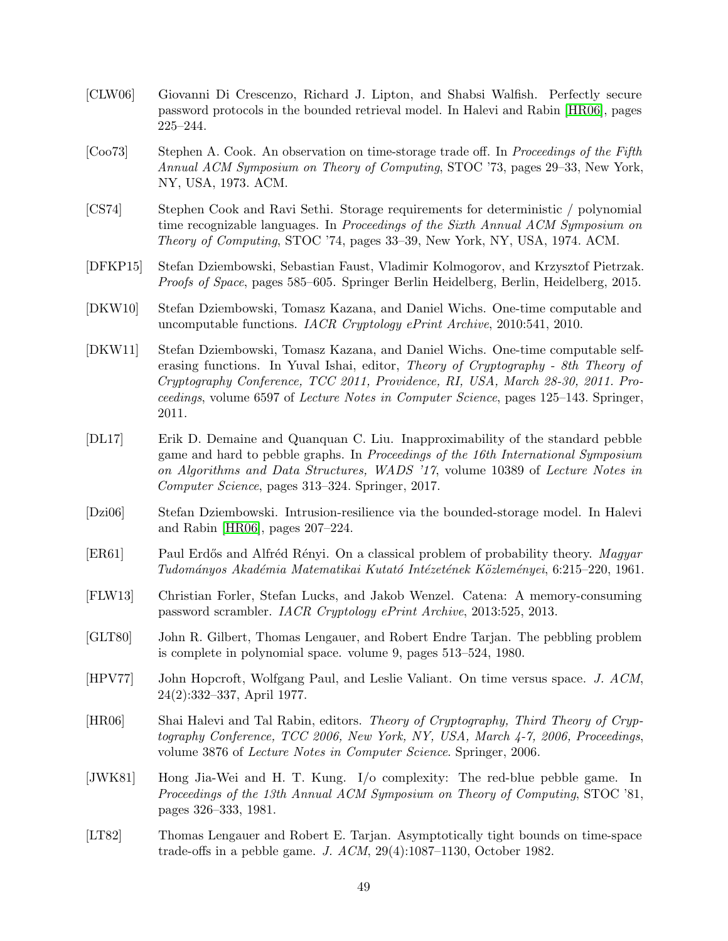- <span id="page-48-7"></span>[CLW06] Giovanni Di Crescenzo, Richard J. Lipton, and Shabsi Walfish. Perfectly secure password protocols in the bounded retrieval model. In Halevi and Rabin [\[HR06\]](#page-48-14), pages 225–244.
- <span id="page-48-0"></span>[Coo73] Stephen A. Cook. An observation on time-storage trade off. In Proceedings of the Fifth Annual ACM Symposium on Theory of Computing, STOC '73, pages 29–33, New York, NY, USA, 1973. ACM.
- <span id="page-48-3"></span>[CS74] Stephen Cook and Ravi Sethi. Storage requirements for deterministic / polynomial time recognizable languages. In Proceedings of the Sixth Annual ACM Symposium on Theory of Computing, STOC '74, pages 33–39, New York, NY, USA, 1974. ACM.
- <span id="page-48-5"></span>[DFKP15] Stefan Dziembowski, Sebastian Faust, Vladimir Kolmogorov, and Krzysztof Pietrzak. Proofs of Space, pages 585–605. Springer Berlin Heidelberg, Berlin, Heidelberg, 2015.
- <span id="page-48-10"></span>[DKW10] Stefan Dziembowski, Tomasz Kazana, and Daniel Wichs. One-time computable and uncomputable functions. IACR Cryptology ePrint Archive, 2010:541, 2010.
- <span id="page-48-4"></span>[DKW11] Stefan Dziembowski, Tomasz Kazana, and Daniel Wichs. One-time computable selferasing functions. In Yuval Ishai, editor, Theory of Cryptography - 8th Theory of Cryptography Conference, TCC 2011, Providence, RI, USA, March 28-30, 2011. Proceedings, volume 6597 of Lecture Notes in Computer Science, pages 125–143. Springer, 2011.
- <span id="page-48-12"></span>[DL17] Erik D. Demaine and Quanquan C. Liu. Inapproximability of the standard pebble game and hard to pebble graphs. In Proceedings of the 16th International Symposium on Algorithms and Data Structures, WADS '17, volume 10389 of Lecture Notes in Computer Science, pages 313–324. Springer, 2017.
- <span id="page-48-6"></span>[Dzi06] Stefan Dziembowski. Intrusion-resilience via the bounded-storage model. In Halevi and Rabin [\[HR06\]](#page-48-14), pages 207–224.
- <span id="page-48-13"></span>[ER61] Paul Erdős and Alfréd Rényi. On a classical problem of probability theory. Magyar Tudományos Akadémia Matematikai Kutató Intézetének Közleményei, 6:215–220, 1961.
- <span id="page-48-9"></span>[FLW13] Christian Forler, Stefan Lucks, and Jakob Wenzel. Catena: A memory-consuming password scrambler. IACR Cryptology ePrint Archive, 2013:525, 2013.
- <span id="page-48-11"></span>[GLT80] John R. Gilbert, Thomas Lengauer, and Robert Endre Tarjan. The pebbling problem is complete in polynomial space. volume 9, pages 513–524, 1980.
- <span id="page-48-1"></span>[HPV77] John Hopcroft, Wolfgang Paul, and Leslie Valiant. On time versus space. J. ACM, 24(2):332–337, April 1977.
- <span id="page-48-14"></span>[HR06] Shai Halevi and Tal Rabin, editors. Theory of Cryptography, Third Theory of Cryptography Conference, TCC 2006, New York, NY, USA, March 4-7, 2006, Proceedings, volume 3876 of Lecture Notes in Computer Science. Springer, 2006.
- <span id="page-48-2"></span>[JWK81] Hong Jia-Wei and H. T. Kung. I/o complexity: The red-blue pebble game. In Proceedings of the 13th Annual ACM Symposium on Theory of Computing, STOC '81, pages 326–333, 1981.
- <span id="page-48-8"></span>[LT82] Thomas Lengauer and Robert E. Tarjan. Asymptotically tight bounds on time-space trade-offs in a pebble game. J. ACM, 29(4):1087–1130, October 1982.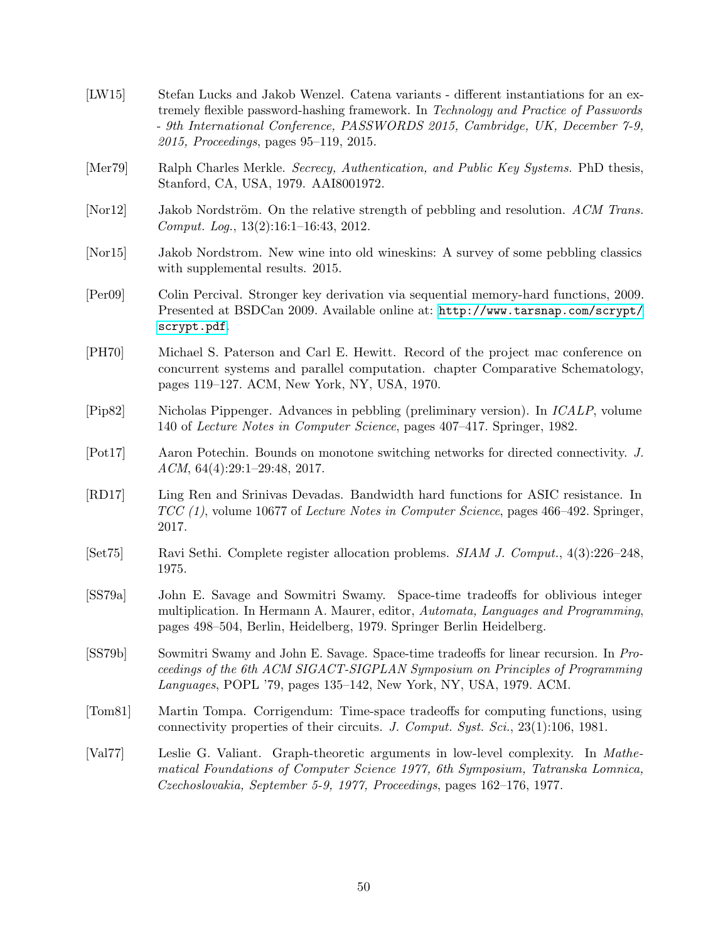<span id="page-49-13"></span><span id="page-49-12"></span><span id="page-49-11"></span><span id="page-49-10"></span><span id="page-49-9"></span><span id="page-49-8"></span><span id="page-49-7"></span><span id="page-49-6"></span><span id="page-49-5"></span><span id="page-49-4"></span><span id="page-49-3"></span><span id="page-49-2"></span><span id="page-49-1"></span><span id="page-49-0"></span>[LW15] Stefan Lucks and Jakob Wenzel. Catena variants - different instantiations for an extremely flexible password-hashing framework. In Technology and Practice of Passwords - 9th International Conference, PASSWORDS 2015, Cambridge, UK, December 7-9, 2015, Proceedings, pages 95–119, 2015. [Mer79] Ralph Charles Merkle. Secrecy, Authentication, and Public Key Systems. PhD thesis, Stanford, CA, USA, 1979. AAI8001972. [Nor12] Jakob Nordström. On the relative strength of pebbling and resolution. ACM Trans. Comput. Log., 13(2):16:1–16:43, 2012. [Nor15] Jakob Nordstrom. New wine into old wineskins: A survey of some pebbling classics with supplemental results. 2015. [Per09] Colin Percival. Stronger key derivation via sequential memory-hard functions, 2009. Presented at BSDCan 2009. Available online at: [http://www.tarsnap.com/scrypt/](http://www.tarsnap.com/scrypt/scrypt.pdf) [scrypt.pdf](http://www.tarsnap.com/scrypt/scrypt.pdf). [PH70] Michael S. Paterson and Carl E. Hewitt. Record of the project mac conference on concurrent systems and parallel computation. chapter Comparative Schematology, pages 119–127. ACM, New York, NY, USA, 1970. [Pip82] Nicholas Pippenger. Advances in pebbling (preliminary version). In ICALP, volume 140 of Lecture Notes in Computer Science, pages 407–417. Springer, 1982. [Pot17] Aaron Potechin. Bounds on monotone switching networks for directed connectivity. J. ACM, 64(4):29:1–29:48, 2017. [RD17] Ling Ren and Srinivas Devadas. Bandwidth hard functions for ASIC resistance. In TCC  $(1)$ , volume 10677 of Lecture Notes in Computer Science, pages 466–492. Springer, 2017. [Set75] Ravi Sethi. Complete register allocation problems. SIAM J. Comput., 4(3):226–248, 1975. [SS79a] John E. Savage and Sowmitri Swamy. Space-time tradeoffs for oblivious integer multiplication. In Hermann A. Maurer, editor, Automata, Languages and Programming, pages 498–504, Berlin, Heidelberg, 1979. Springer Berlin Heidelberg. [SS79b] Sowmitri Swamy and John E. Savage. Space-time tradeoffs for linear recursion. In Proceedings of the 6th ACM SIGACT-SIGPLAN Symposium on Principles of Programming Languages, POPL '79, pages 135–142, New York, NY, USA, 1979. ACM. [Tom81] Martin Tompa. Corrigendum: Time-space tradeoffs for computing functions, using connectivity properties of their circuits. J. Comput. Syst. Sci., 23(1):106, 1981. [Val77] Leslie G. Valiant. Graph-theoretic arguments in low-level complexity. In Mathematical Foundations of Computer Science 1977, 6th Symposium, Tatranska Lomnica, Czechoslovakia, September 5-9, 1977, Proceedings, pages 162–176, 1977.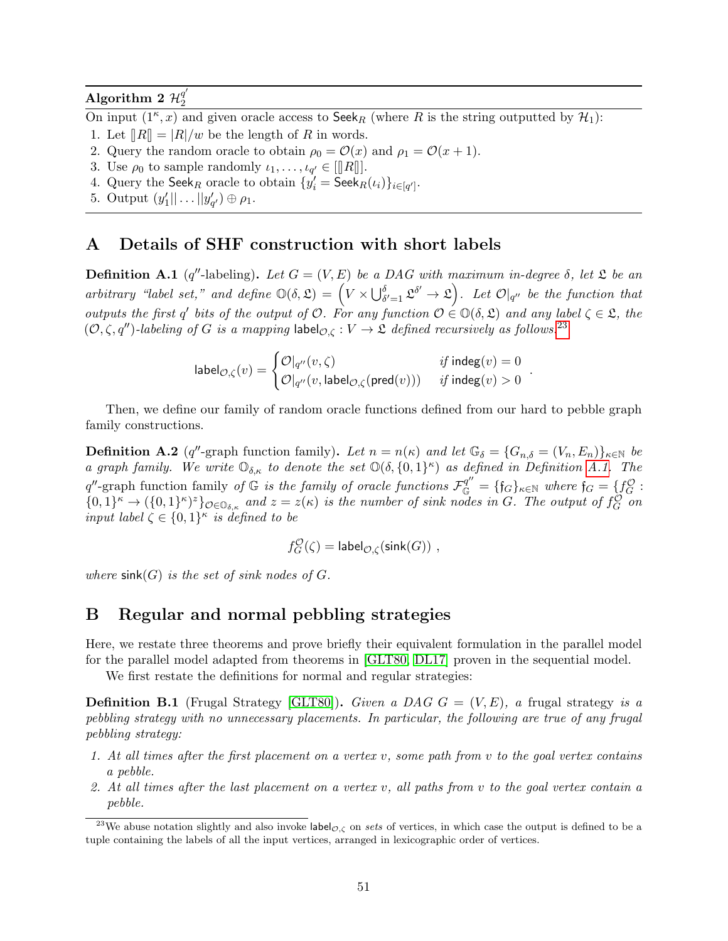#### <span id="page-50-4"></span>Algorithm 2  $\mathcal{H}^{q'}_2$ 2

On input  $(1^{\kappa}, x)$  and given oracle access to Seek<sub>R</sub> (where R is the string outputted by  $\mathcal{H}_1$ ):

- 1. Let  $||R|| = |R|/w$  be the length of R in words.
- 2. Query the random oracle to obtain  $\rho_0 = \mathcal{O}(x)$  and  $\rho_1 = \mathcal{O}(x+1)$ .
- 3. Use  $\rho_0$  to sample randomly  $\iota_1, \dots, \iota_{q'} \in [[R]]$ .<br>
4. Over the Socke grade to obtain  $[\iota'_1 \text{Sock}_2]$
- 4. Query the Seek<sub>R</sub> oracle to obtain  $\{y'_i = \textsf{Seek}_R(\iota_i)\}_{i \in [q']}$ .
- 5. Output  $(y_1'|| \dots || y_{q'}') \oplus \rho_1$ .

## <span id="page-50-0"></span>A Details of SHF construction with short labels

<span id="page-50-2"></span>**Definition A.1** (q''-labeling). Let  $G = (V, E)$  be a DAG with maximum in-degree  $\delta$ , let  $\mathfrak L$  be an arbitrary "label set," and define  $\mathbb{O}(\delta, \mathfrak{L}) = (V \times \bigcup_{\delta'=1}^{\delta} \mathfrak{L}^{\delta'} \to \mathfrak{L}).$  Let  $\mathcal{O}|_{q''}$  be the function that outputs the first q' bits of the output of  $\mathcal{O}$ . For any function  $\mathcal{O} \in \mathbb{O}(\delta, \mathfrak{L})$  and any label  $\zeta \in \mathfrak{L}$ , the  $(0, \zeta, q'')$ -labeling of G is a mapping label $\phi, \zeta : V \to \mathfrak{L}$  defined recursively as follows.<sup>[23](#page-50-5)</sup>

> $\mathsf{label}_{\mathcal{O},\zeta}(v) = \begin{cases} \mathcal{O}|_{q''}(v,\zeta) & \text{if~}\mathsf{indeg}(v) = 0 \ \mathcal{O}|_{q''}(v,\zeta) & \text{if~}\mathsf{indeg}(v) > 0 \end{cases}$  $\mathcal{O}|_{q''}(v,\mathsf{label}_{\mathcal{O},\zeta}(\mathsf{pred}(v)))\quad\textit{ if } \mathsf{indeg}(v) > 0$

.

Then, we define our family of random oracle functions defined from our hard to pebble graph family constructions.

**Definition A.2** (q''-graph function family). Let  $n = n(\kappa)$  and let  $\mathbb{G}_{\delta} = \{G_{n,\delta} = (V_n, E_n)\}_{\kappa \in \mathbb{N}}$  be a graph family. We write  $\mathbb{O}_{\delta,\kappa}$  to denote the set  $\mathbb{O}(\delta,\{0,1\}^{\kappa})$  as defined in Definition [A.1.](#page-50-2) The  $q''$ -graph function family of  $\mathbb G$  is the family of oracle functions  $\mathcal{F}_{\mathbb G}^{q''} = \{f_G\}_{\kappa \in \mathbb N}$  where  $f_G = \{f_G^{\mathcal O}:$  $\{0,1\}^{\kappa} \to (\{0,1\}^{\kappa})^z\}_{\mathcal{O} \in \mathbb{O}_{\delta,\kappa}}$  and  $z = z(\kappa)$  is the number of sink nodes in G. The output of  $f_G^{\mathcal{O}}$  on input label  $\zeta \in \{0,1\}^{\kappa}$  is defined to be

$$
f^{\mathcal{O}}_G(\zeta) = \mathsf{label}_{\mathcal{O},\zeta}(\mathsf{sink}(G))\,\, ,
$$

where  $\mathsf{sink}(G)$  is the set of sink nodes of  $G$ .

## <span id="page-50-1"></span>B Regular and normal pebbling strategies

Here, we restate three theorems and prove briefly their equivalent formulation in the parallel model for the parallel model adapted from theorems in [\[GLT80,](#page-48-11) [DL17\]](#page-48-12) proven in the sequential model.

We first restate the definitions for normal and regular strategies:

<span id="page-50-3"></span>**Definition B.1** (Frugal Strategy [\[GLT80\]](#page-48-11)). Given a DAG  $G = (V, E)$ , a frugal strategy is a pebbling strategy with no unnecessary placements. In particular, the following are true of any frugal pebbling strategy:

- 1. At all times after the first placement on a vertex v, some path from v to the goal vertex contains a pebble.
- 2. At all times after the last placement on a vertex v, all paths from v to the goal vertex contain a pebble.

<span id="page-50-5"></span><sup>&</sup>lt;sup>23</sup>We abuse notation slightly and also invoke label<sub>O, $\zeta$ </sub> on sets of vertices, in which case the output is defined to be a tuple containing the labels of all the input vertices, arranged in lexicographic order of vertices.